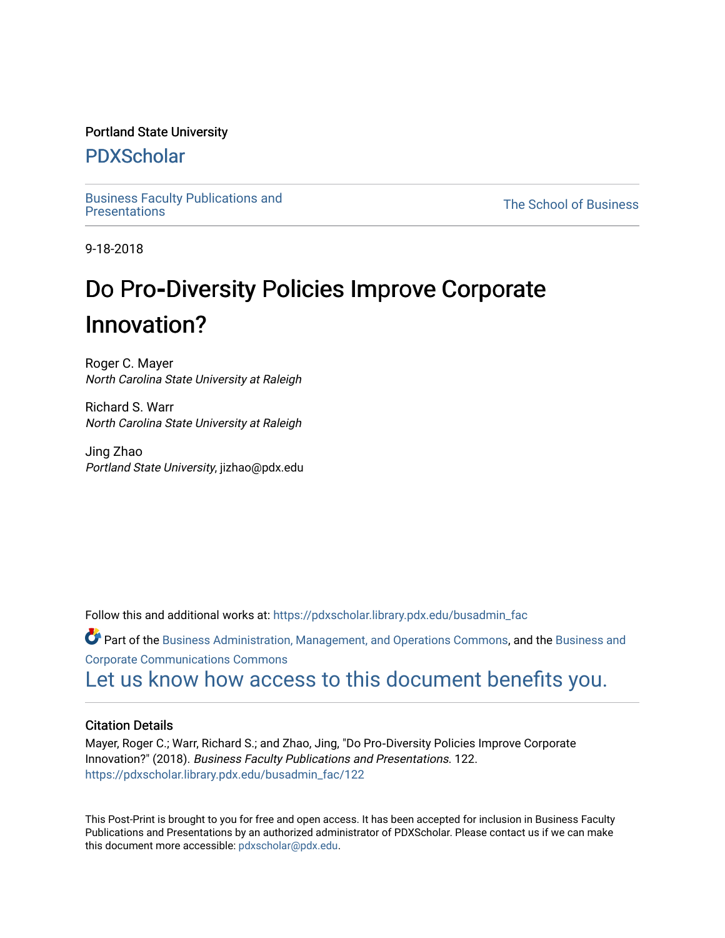#### Portland State University

# [PDXScholar](https://pdxscholar.library.pdx.edu/)

[Business Faculty Publications and](https://pdxscholar.library.pdx.edu/busadmin_fac) 

**The School of Business** 

9-18-2018

# **Do Pro-Diversity Policies Improve Corporate** Innovation?

Roger C. Mayer North Carolina State University at Raleigh

Richard S. Warr North Carolina State University at Raleigh

Jing Zhao Portland State University, jizhao@pdx.edu

Follow this and additional works at: [https://pdxscholar.library.pdx.edu/busadmin\\_fac](https://pdxscholar.library.pdx.edu/busadmin_fac?utm_source=pdxscholar.library.pdx.edu%2Fbusadmin_fac%2F122&utm_medium=PDF&utm_campaign=PDFCoverPages) 

Part of the [Business Administration, Management, and Operations Commons](http://network.bepress.com/hgg/discipline/623?utm_source=pdxscholar.library.pdx.edu%2Fbusadmin_fac%2F122&utm_medium=PDF&utm_campaign=PDFCoverPages), and the Business and [Corporate Communications Commons](http://network.bepress.com/hgg/discipline/627?utm_source=pdxscholar.library.pdx.edu%2Fbusadmin_fac%2F122&utm_medium=PDF&utm_campaign=PDFCoverPages)

[Let us know how access to this document benefits you.](http://library.pdx.edu/services/pdxscholar-services/pdxscholar-feedback/?ref=https://pdxscholar.library.pdx.edu/busadmin_fac/122) 

#### Citation Details

Mayer, Roger C.; Warr, Richard S.; and Zhao, Jing, "Do Pro‐Diversity Policies Improve Corporate Innovation?" (2018). Business Faculty Publications and Presentations. 122. [https://pdxscholar.library.pdx.edu/busadmin\\_fac/122](https://pdxscholar.library.pdx.edu/busadmin_fac/122?utm_source=pdxscholar.library.pdx.edu%2Fbusadmin_fac%2F122&utm_medium=PDF&utm_campaign=PDFCoverPages) 

This Post-Print is brought to you for free and open access. It has been accepted for inclusion in Business Faculty Publications and Presentations by an authorized administrator of PDXScholar. Please contact us if we can make this document more accessible: [pdxscholar@pdx.edu.](mailto:pdxscholar@pdx.edu)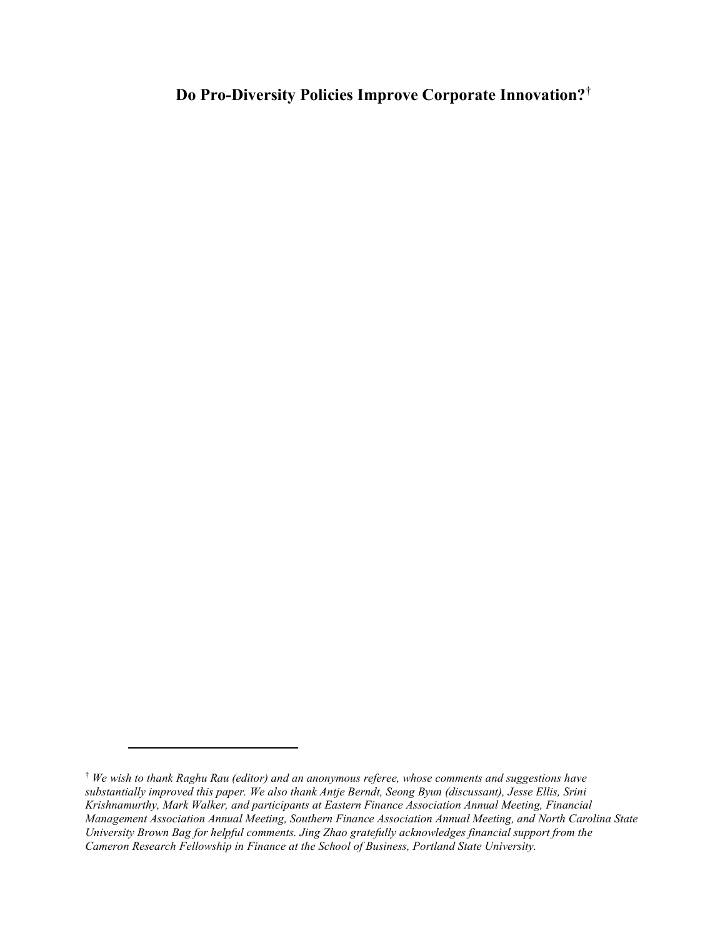# Do Pro-Diversity Policies Improve Corporate Innovation?†

<sup>†</sup> We wish to thank Raghu Rau (editor) and an anonymous referee, whose comments and suggestions have substantially improved this paper. We also thank Antje Berndt, Seong Byun (discussant), Jesse Ellis, Srini Krishnamurthy, Mark Walker, and participants at Eastern Finance Association Annual Meeting, Financial Management Association Annual Meeting, Southern Finance Association Annual Meeting, and North Carolina State University Brown Bag for helpful comments. Jing Zhao gratefully acknowledges financial support from the Cameron Research Fellowship in Finance at the School of Business, Portland State University.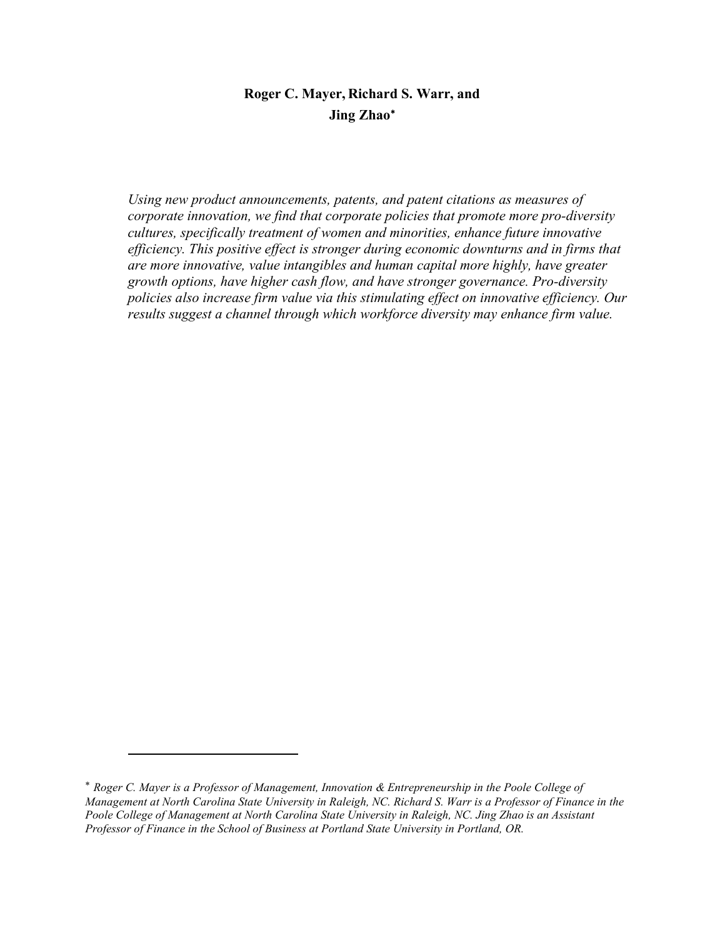# Roger C. Mayer, Richard S. Warr, and Jing Zhao

Using new product announcements, patents, and patent citations as measures of corporate innovation, we find that corporate policies that promote more pro-diversity cultures, specifically treatment of women and minorities, enhance future innovative efficiency. This positive effect is stronger during economic downturns and in firms that are more innovative, value intangibles and human capital more highly, have greater growth options, have higher cash flow, and have stronger governance. Pro-diversity policies also increase firm value via this stimulating effect on innovative efficiency. Our results suggest a channel through which workforce diversity may enhance firm value.

<sup>\*</sup> Roger C. Mayer is a Professor of Management, Innovation & Entrepreneurship in the Poole College of Management at North Carolina State University in Raleigh, NC. Richard S. Warr is a Professor of Finance in the Poole College of Management at North Carolina State University in Raleigh, NC. Jing Zhao is an Assistant Professor of Finance in the School of Business at Portland State University in Portland, OR.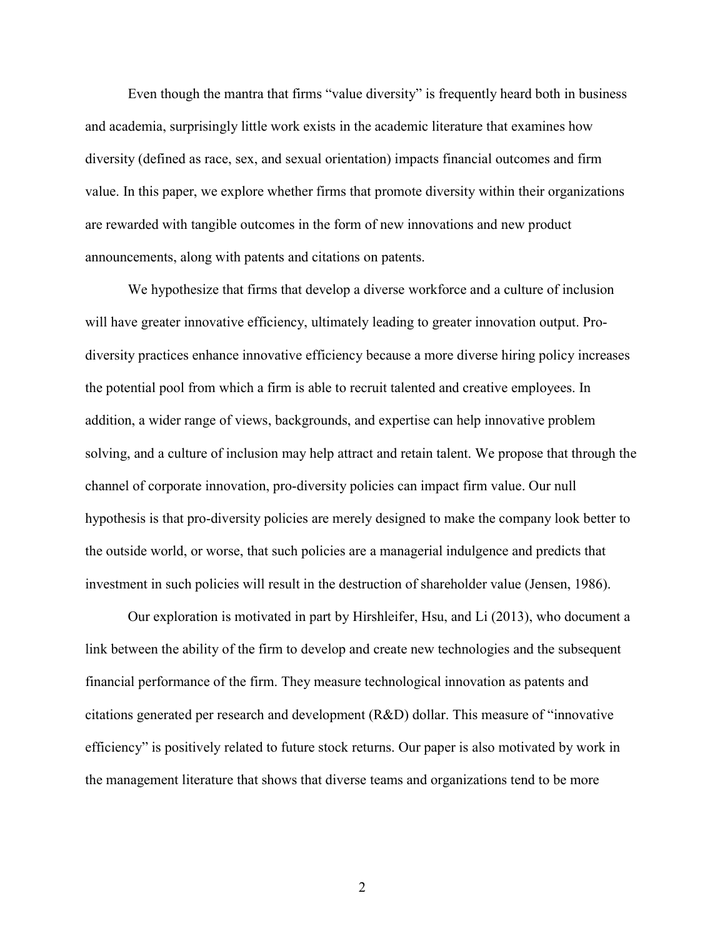Even though the mantra that firms "value diversity" is frequently heard both in business and academia, surprisingly little work exists in the academic literature that examines how diversity (defined as race, sex, and sexual orientation) impacts financial outcomes and firm value. In this paper, we explore whether firms that promote diversity within their organizations are rewarded with tangible outcomes in the form of new innovations and new product announcements, along with patents and citations on patents.

We hypothesize that firms that develop a diverse workforce and a culture of inclusion will have greater innovative efficiency, ultimately leading to greater innovation output. Prodiversity practices enhance innovative efficiency because a more diverse hiring policy increases the potential pool from which a firm is able to recruit talented and creative employees. In addition, a wider range of views, backgrounds, and expertise can help innovative problem solving, and a culture of inclusion may help attract and retain talent. We propose that through the channel of corporate innovation, pro-diversity policies can impact firm value. Our null hypothesis is that pro-diversity policies are merely designed to make the company look better to the outside world, or worse, that such policies are a managerial indulgence and predicts that investment in such policies will result in the destruction of shareholder value (Jensen, 1986).

Our exploration is motivated in part by Hirshleifer, Hsu, and Li (2013), who document a link between the ability of the firm to develop and create new technologies and the subsequent financial performance of the firm. They measure technological innovation as patents and citations generated per research and development (R&D) dollar. This measure of "innovative efficiency" is positively related to future stock returns. Our paper is also motivated by work in the management literature that shows that diverse teams and organizations tend to be more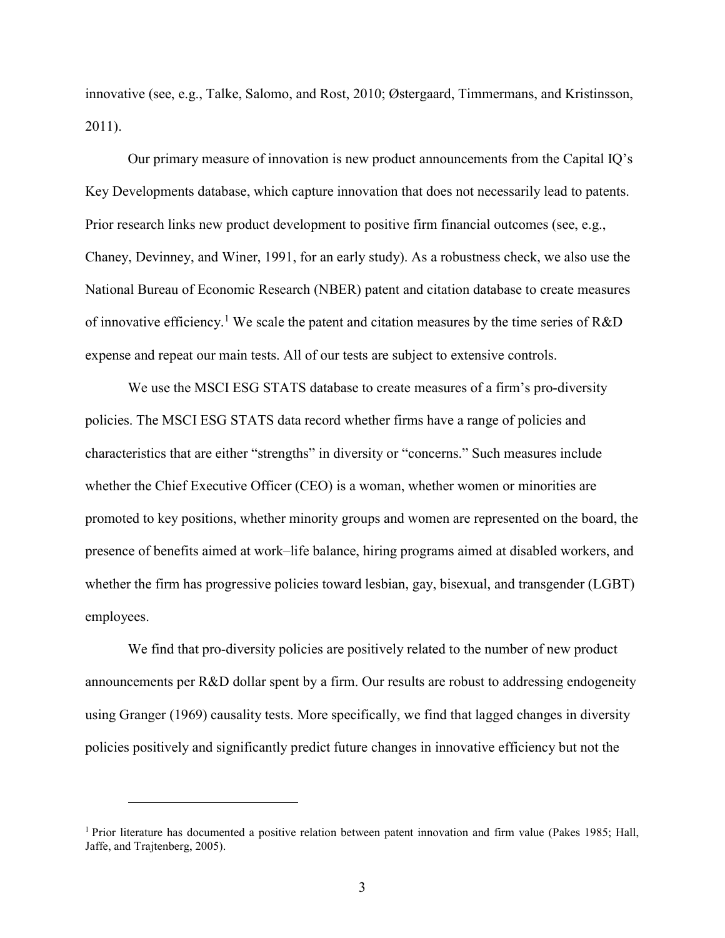innovative (see, e.g., Talke, Salomo, and Rost, 2010; Østergaard, Timmermans, and Kristinsson, 2011).

Our primary measure of innovation is new product announcements from the Capital IQ's Key Developments database, which capture innovation that does not necessarily lead to patents. Prior research links new product development to positive firm financial outcomes (see, e.g., Chaney, Devinney, and Winer, 1991, for an early study). As a robustness check, we also use the National Bureau of Economic Research (NBER) patent and citation database to create measures of innovative efficiency.<sup>1</sup> We scale the patent and citation measures by the time series of R&D expense and repeat our main tests. All of our tests are subject to extensive controls.

We use the MSCI ESG STATS database to create measures of a firm's pro-diversity policies. The MSCI ESG STATS data record whether firms have a range of policies and characteristics that are either "strengths" in diversity or "concerns." Such measures include whether the Chief Executive Officer (CEO) is a woman, whether women or minorities are promoted to key positions, whether minority groups and women are represented on the board, the presence of benefits aimed at work–life balance, hiring programs aimed at disabled workers, and whether the firm has progressive policies toward lesbian, gay, bisexual, and transgender (LGBT) employees.

We find that pro-diversity policies are positively related to the number of new product announcements per R&D dollar spent by a firm. Our results are robust to addressing endogeneity using Granger (1969) causality tests. More specifically, we find that lagged changes in diversity policies positively and significantly predict future changes in innovative efficiency but not the

<sup>&</sup>lt;sup>1</sup> Prior literature has documented a positive relation between patent innovation and firm value (Pakes 1985; Hall, Jaffe, and Trajtenberg, 2005).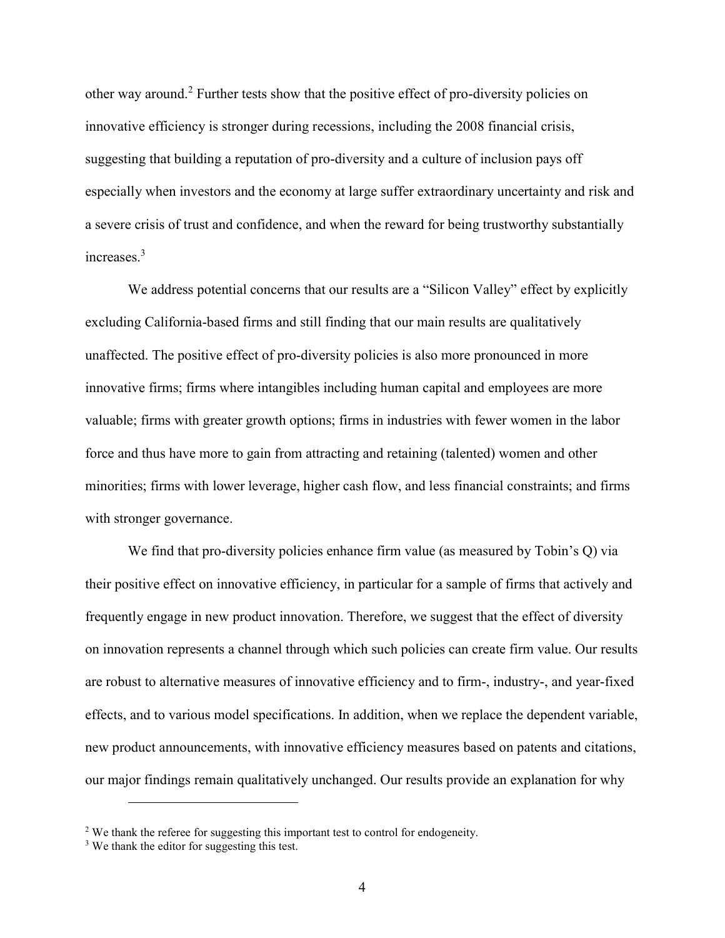other way around.<sup>2</sup> Further tests show that the positive effect of pro-diversity policies on innovative efficiency is stronger during recessions, including the 2008 financial crisis, suggesting that building a reputation of pro-diversity and a culture of inclusion pays off especially when investors and the economy at large suffer extraordinary uncertainty and risk and a severe crisis of trust and confidence, and when the reward for being trustworthy substantially increases.<sup>3</sup>

We address potential concerns that our results are a "Silicon Valley" effect by explicitly excluding California-based firms and still finding that our main results are qualitatively unaffected. The positive effect of pro-diversity policies is also more pronounced in more innovative firms; firms where intangibles including human capital and employees are more valuable; firms with greater growth options; firms in industries with fewer women in the labor force and thus have more to gain from attracting and retaining (talented) women and other minorities; firms with lower leverage, higher cash flow, and less financial constraints; and firms with stronger governance.

We find that pro-diversity policies enhance firm value (as measured by Tobin's Q) via their positive effect on innovative efficiency, in particular for a sample of firms that actively and frequently engage in new product innovation. Therefore, we suggest that the effect of diversity on innovation represents a channel through which such policies can create firm value. Our results are robust to alternative measures of innovative efficiency and to firm-, industry-, and year-fixed effects, and to various model specifications. In addition, when we replace the dependent variable, new product announcements, with innovative efficiency measures based on patents and citations, our major findings remain qualitatively unchanged. Our results provide an explanation for why

<sup>&</sup>lt;sup>2</sup> We thank the referee for suggesting this important test to control for endogeneity.

<sup>&</sup>lt;sup>3</sup> We thank the editor for suggesting this test.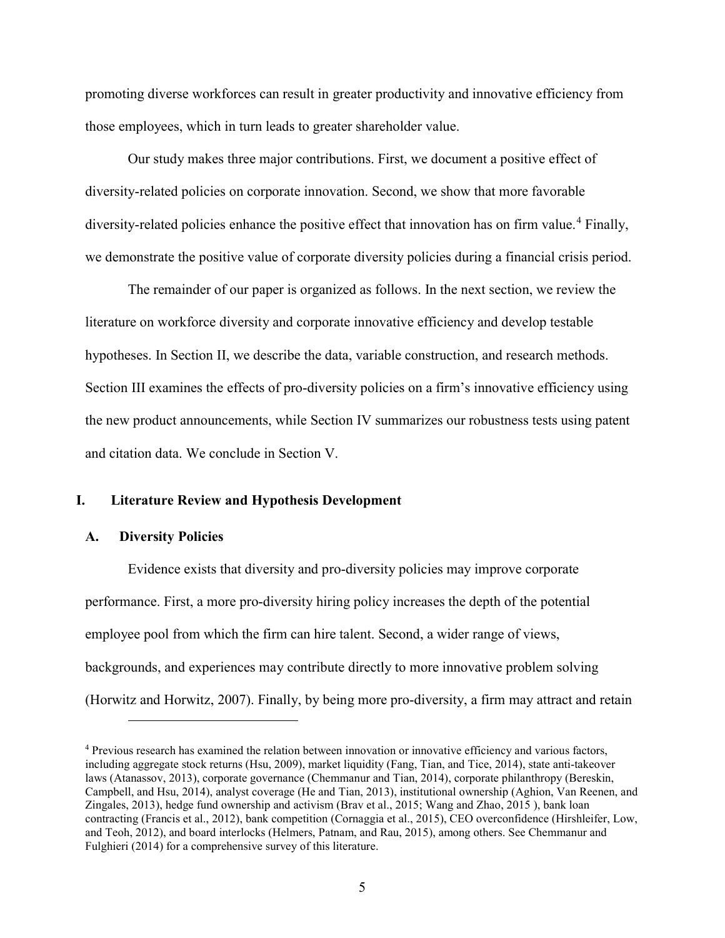promoting diverse workforces can result in greater productivity and innovative efficiency from those employees, which in turn leads to greater shareholder value.

Our study makes three major contributions. First, we document a positive effect of diversity-related policies on corporate innovation. Second, we show that more favorable diversity-related policies enhance the positive effect that innovation has on firm value.<sup>4</sup> Finally, we demonstrate the positive value of corporate diversity policies during a financial crisis period.

The remainder of our paper is organized as follows. In the next section, we review the literature on workforce diversity and corporate innovative efficiency and develop testable hypotheses. In Section II, we describe the data, variable construction, and research methods. Section III examines the effects of pro-diversity policies on a firm's innovative efficiency using the new product announcements, while Section IV summarizes our robustness tests using patent and citation data. We conclude in Section V.

#### I. Literature Review and Hypothesis Development

#### A. Diversity Policies

 $\overline{a}$ 

Evidence exists that diversity and pro-diversity policies may improve corporate performance. First, a more pro-diversity hiring policy increases the depth of the potential employee pool from which the firm can hire talent. Second, a wider range of views, backgrounds, and experiences may contribute directly to more innovative problem solving (Horwitz and Horwitz, 2007). Finally, by being more pro-diversity, a firm may attract and retain

<sup>&</sup>lt;sup>4</sup> Previous research has examined the relation between innovation or innovative efficiency and various factors, including aggregate stock returns (Hsu, 2009), market liquidity (Fang, Tian, and Tice, 2014), state anti-takeover laws (Atanassov, 2013), corporate governance (Chemmanur and Tian, 2014), corporate philanthropy (Bereskin, Campbell, and Hsu, 2014), analyst coverage (He and Tian, 2013), institutional ownership (Aghion, Van Reenen, and Zingales, 2013), hedge fund ownership and activism (Brav et al., 2015; Wang and Zhao, 2015 ), bank loan contracting (Francis et al., 2012), bank competition (Cornaggia et al., 2015), CEO overconfidence (Hirshleifer, Low, and Teoh, 2012), and board interlocks (Helmers, Patnam, and Rau, 2015), among others. See Chemmanur and Fulghieri (2014) for a comprehensive survey of this literature.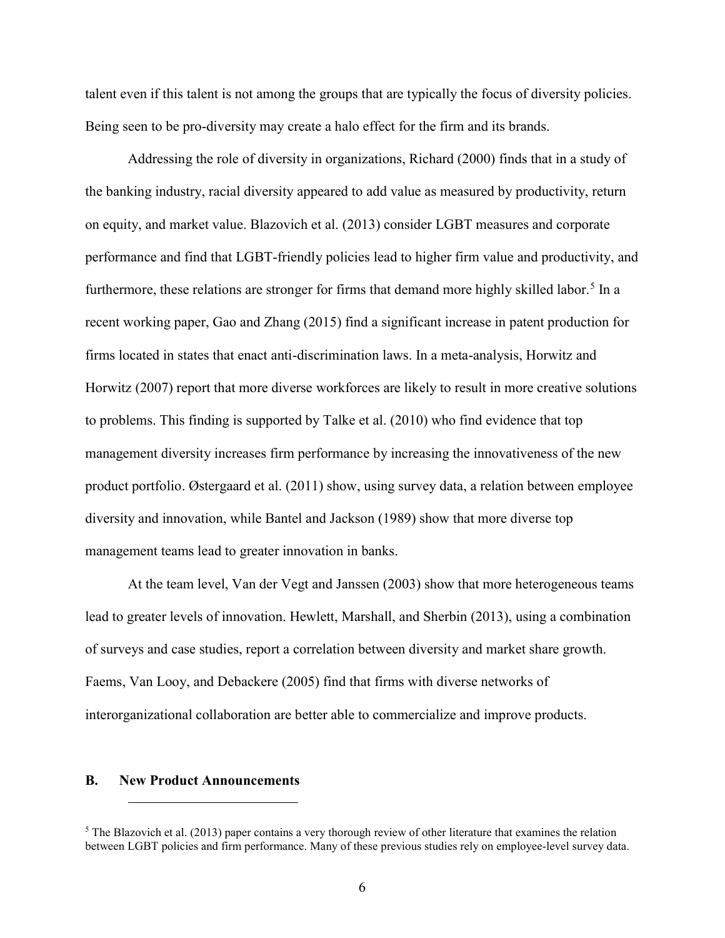talent even if this talent is not among the groups that are typically the focus of diversity policies. Being seen to be pro-diversity may create a halo effect for the firm and its brands.

Addressing the role of diversity in organizations, Richard (2000) finds that in a study of the banking industry, racial diversity appeared to add value as measured by productivity, return on equity, and market value. Blazovich et al. (2013) consider LGBT measures and corporate performance and find that LGBT-friendly policies lead to higher firm value and productivity, and furthermore, these relations are stronger for firms that demand more highly skilled labor.<sup>5</sup> In a recent working paper, Gao and Zhang (2015) find a significant increase in patent production for firms located in states that enact anti-discrimination laws. In a meta-analysis, Horwitz and Horwitz (2007) report that more diverse workforces are likely to result in more creative solutions to problems. This finding is supported by Talke et al. (2010) who find evidence that top management diversity increases firm performance by increasing the innovativeness of the new product portfolio. Østergaard et al. (2011) show, using survey data, a relation between employee diversity and innovation, while Bantel and Jackson (1989) show that more diverse top management teams lead to greater innovation in banks.

At the team level, Van der Vegt and Janssen (2003) show that more heterogeneous teams lead to greater levels of innovation. Hewlett, Marshall, and Sherbin (2013), using a combination of surveys and case studies, report a correlation between diversity and market share growth. Faems, Van Looy, and Debackere (2005) find that firms with diverse networks of interorganizational collaboration are better able to commercialize and improve products.

#### B. New Product Announcements

 $5$  The Blazovich et al. (2013) paper contains a very thorough review of other literature that examines the relation between LGBT policies and firm performance. Many of these previous studies rely on employee-level survey data.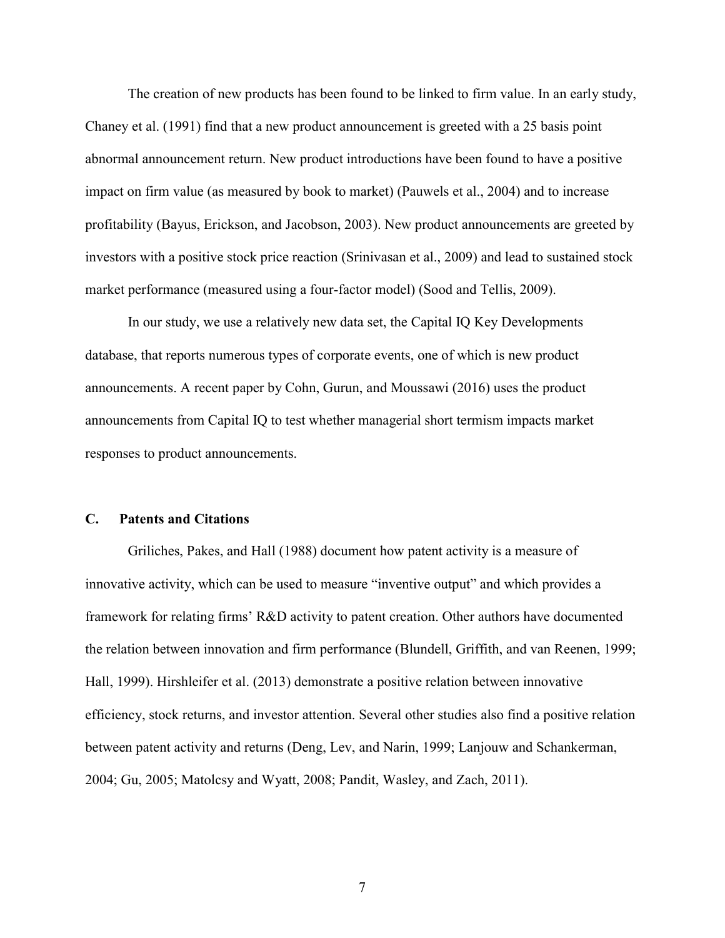The creation of new products has been found to be linked to firm value. In an early study, Chaney et al. (1991) find that a new product announcement is greeted with a 25 basis point abnormal announcement return. New product introductions have been found to have a positive impact on firm value (as measured by book to market) (Pauwels et al., 2004) and to increase profitability (Bayus, Erickson, and Jacobson, 2003). New product announcements are greeted by investors with a positive stock price reaction (Srinivasan et al., 2009) and lead to sustained stock market performance (measured using a four-factor model) (Sood and Tellis, 2009).

In our study, we use a relatively new data set, the Capital IQ Key Developments database, that reports numerous types of corporate events, one of which is new product announcements. A recent paper by Cohn, Gurun, and Moussawi (2016) uses the product announcements from Capital IQ to test whether managerial short termism impacts market responses to product announcements.

## C. Patents and Citations

Griliches, Pakes, and Hall (1988) document how patent activity is a measure of innovative activity, which can be used to measure "inventive output" and which provides a framework for relating firms' R&D activity to patent creation. Other authors have documented the relation between innovation and firm performance (Blundell, Griffith, and van Reenen, 1999; Hall, 1999). Hirshleifer et al. (2013) demonstrate a positive relation between innovative efficiency, stock returns, and investor attention. Several other studies also find a positive relation between patent activity and returns (Deng, Lev, and Narin, 1999; Lanjouw and Schankerman, 2004; Gu, 2005; Matolcsy and Wyatt, 2008; Pandit, Wasley, and Zach, 2011).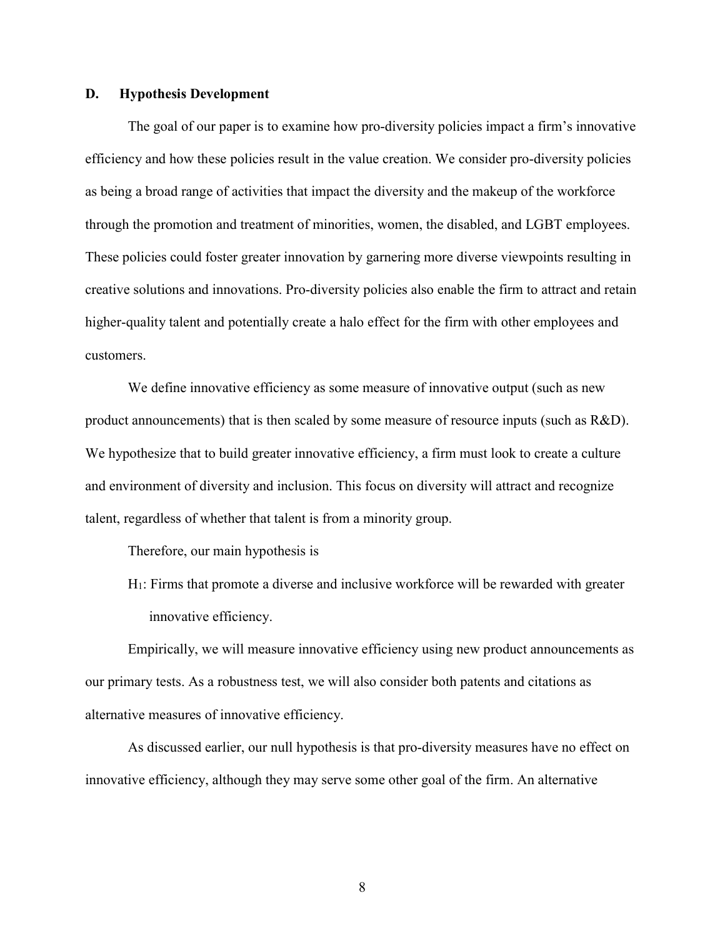#### D. Hypothesis Development

The goal of our paper is to examine how pro-diversity policies impact a firm's innovative efficiency and how these policies result in the value creation. We consider pro-diversity policies as being a broad range of activities that impact the diversity and the makeup of the workforce through the promotion and treatment of minorities, women, the disabled, and LGBT employees. These policies could foster greater innovation by garnering more diverse viewpoints resulting in creative solutions and innovations. Pro-diversity policies also enable the firm to attract and retain higher-quality talent and potentially create a halo effect for the firm with other employees and customers.

We define innovative efficiency as some measure of innovative output (such as new product announcements) that is then scaled by some measure of resource inputs (such as R&D). We hypothesize that to build greater innovative efficiency, a firm must look to create a culture and environment of diversity and inclusion. This focus on diversity will attract and recognize talent, regardless of whether that talent is from a minority group.

Therefore, our main hypothesis is

H1: Firms that promote a diverse and inclusive workforce will be rewarded with greater innovative efficiency.

Empirically, we will measure innovative efficiency using new product announcements as our primary tests. As a robustness test, we will also consider both patents and citations as alternative measures of innovative efficiency.

As discussed earlier, our null hypothesis is that pro-diversity measures have no effect on innovative efficiency, although they may serve some other goal of the firm. An alternative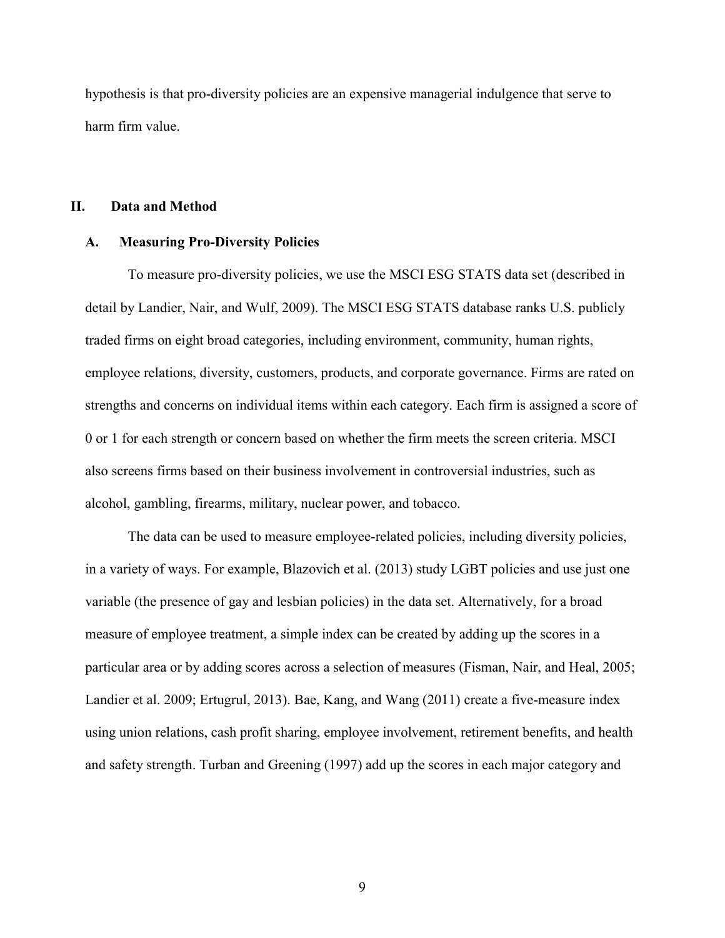hypothesis is that pro-diversity policies are an expensive managerial indulgence that serve to harm firm value.

#### II. Data and Method

#### A. Measuring Pro-Diversity Policies

To measure pro-diversity policies, we use the MSCI ESG STATS data set (described in detail by Landier, Nair, and Wulf, 2009). The MSCI ESG STATS database ranks U.S. publicly traded firms on eight broad categories, including environment, community, human rights, employee relations, diversity, customers, products, and corporate governance. Firms are rated on strengths and concerns on individual items within each category. Each firm is assigned a score of 0 or 1 for each strength or concern based on whether the firm meets the screen criteria. MSCI also screens firms based on their business involvement in controversial industries, such as alcohol, gambling, firearms, military, nuclear power, and tobacco.

The data can be used to measure employee-related policies, including diversity policies, in a variety of ways. For example, Blazovich et al. (2013) study LGBT policies and use just one variable (the presence of gay and lesbian policies) in the data set. Alternatively, for a broad measure of employee treatment, a simple index can be created by adding up the scores in a particular area or by adding scores across a selection of measures (Fisman, Nair, and Heal, 2005; Landier et al. 2009; Ertugrul, 2013). Bae, Kang, and Wang (2011) create a five-measure index using union relations, cash profit sharing, employee involvement, retirement benefits, and health and safety strength. Turban and Greening (1997) add up the scores in each major category and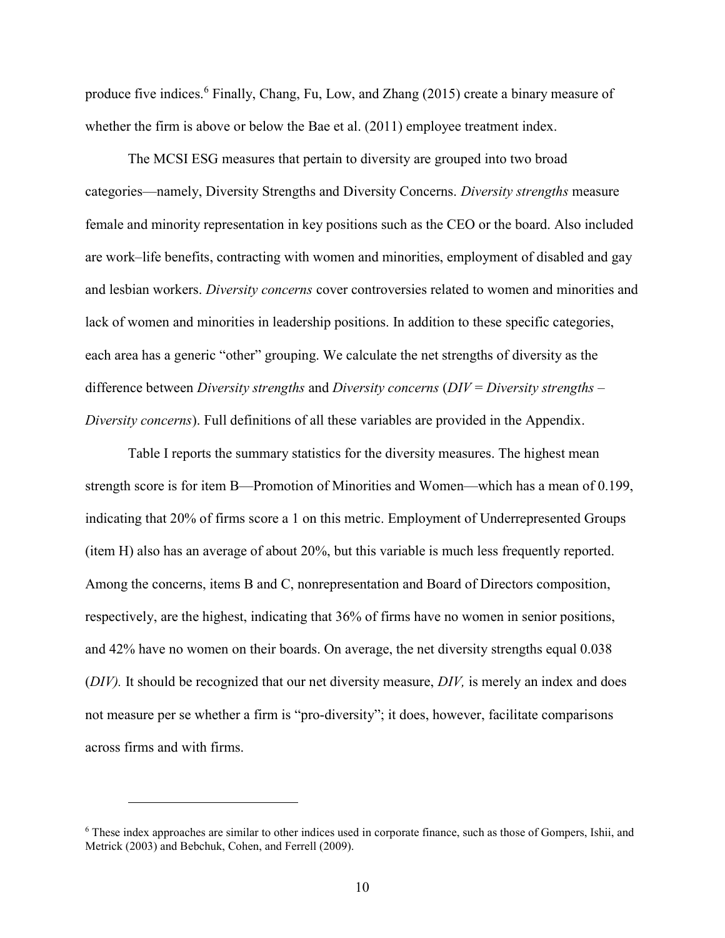produce five indices.<sup>6</sup> Finally, Chang, Fu, Low, and Zhang (2015) create a binary measure of whether the firm is above or below the Bae et al. (2011) employee treatment index.

The MCSI ESG measures that pertain to diversity are grouped into two broad categories—namely, Diversity Strengths and Diversity Concerns. Diversity strengths measure female and minority representation in key positions such as the CEO or the board. Also included are work–life benefits, contracting with women and minorities, employment of disabled and gay and lesbian workers. Diversity concerns cover controversies related to women and minorities and lack of women and minorities in leadership positions. In addition to these specific categories, each area has a generic "other" grouping. We calculate the net strengths of diversity as the difference between Diversity strengths and Diversity concerns ( $DIV = Diversity$  strengths – Diversity concerns). Full definitions of all these variables are provided in the Appendix.

Table I reports the summary statistics for the diversity measures. The highest mean strength score is for item B—Promotion of Minorities and Women—which has a mean of 0.199, indicating that 20% of firms score a 1 on this metric. Employment of Underrepresented Groups (item H) also has an average of about 20%, but this variable is much less frequently reported. Among the concerns, items B and C, nonrepresentation and Board of Directors composition, respectively, are the highest, indicating that 36% of firms have no women in senior positions, and 42% have no women on their boards. On average, the net diversity strengths equal 0.038  $(DIV)$ . It should be recognized that our net diversity measure,  $DIV$ , is merely an index and does not measure per se whether a firm is "pro-diversity"; it does, however, facilitate comparisons across firms and with firms.

<sup>&</sup>lt;sup>6</sup> These index approaches are similar to other indices used in corporate finance, such as those of Gompers, Ishii, and Metrick (2003) and Bebchuk, Cohen, and Ferrell (2009).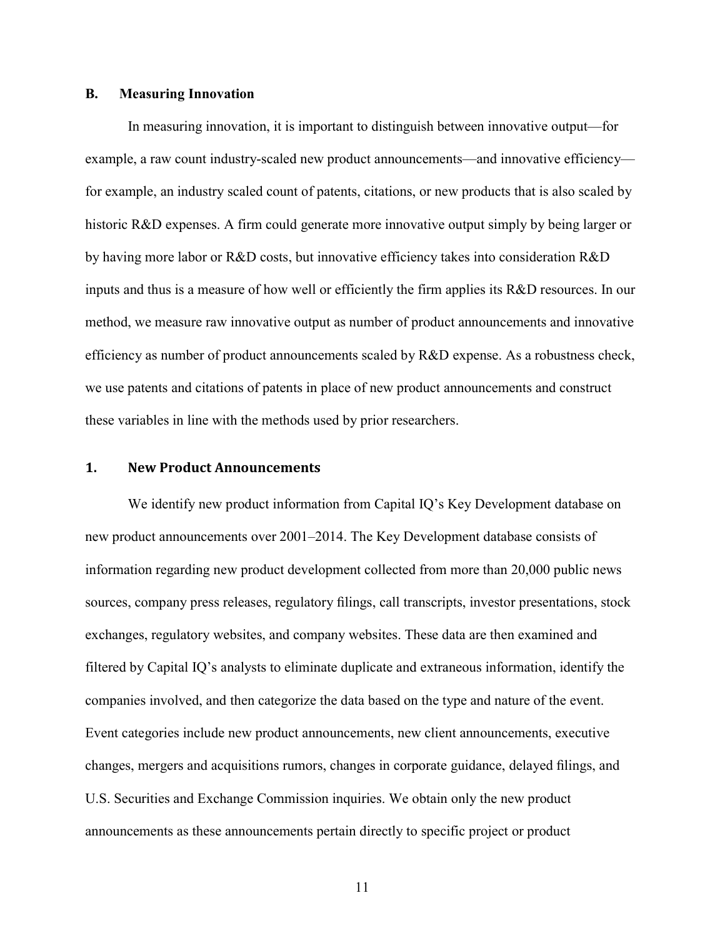#### B. Measuring Innovation

In measuring innovation, it is important to distinguish between innovative output—for example, a raw count industry-scaled new product announcements—and innovative efficiency for example, an industry scaled count of patents, citations, or new products that is also scaled by historic R&D expenses. A firm could generate more innovative output simply by being larger or by having more labor or R&D costs, but innovative efficiency takes into consideration R&D inputs and thus is a measure of how well or efficiently the firm applies its R&D resources. In our method, we measure raw innovative output as number of product announcements and innovative efficiency as number of product announcements scaled by R&D expense. As a robustness check, we use patents and citations of patents in place of new product announcements and construct these variables in line with the methods used by prior researchers.

#### 1. New Product Announcements

We identify new product information from Capital IQ's Key Development database on new product announcements over 2001–2014. The Key Development database consists of information regarding new product development collected from more than 20,000 public news sources, company press releases, regulatory filings, call transcripts, investor presentations, stock exchanges, regulatory websites, and company websites. These data are then examined and filtered by Capital IQ's analysts to eliminate duplicate and extraneous information, identify the companies involved, and then categorize the data based on the type and nature of the event. Event categories include new product announcements, new client announcements, executive changes, mergers and acquisitions rumors, changes in corporate guidance, delayed filings, and U.S. Securities and Exchange Commission inquiries. We obtain only the new product announcements as these announcements pertain directly to specific project or product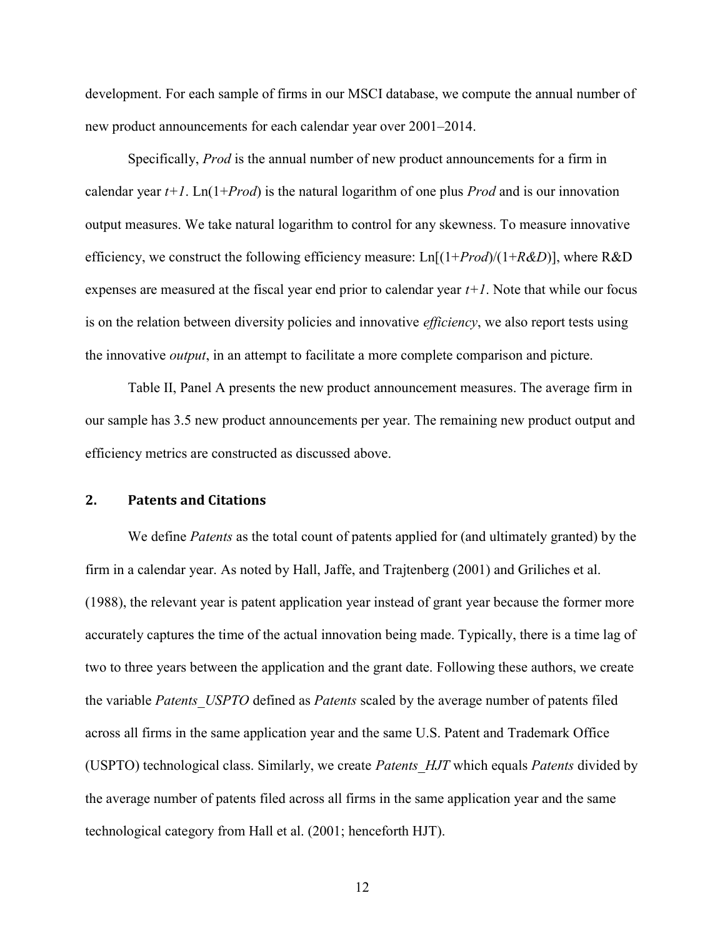development. For each sample of firms in our MSCI database, we compute the annual number of new product announcements for each calendar year over 2001–2014.

Specifically, *Prod* is the annual number of new product announcements for a firm in calendar year  $t+1$ . Ln(1+*Prod*) is the natural logarithm of one plus *Prod* and is our innovation output measures. We take natural logarithm to control for any skewness. To measure innovative efficiency, we construct the following efficiency measure:  $\text{Ln}[(1+Prod)/(1+R&D)]$ , where R&D expenses are measured at the fiscal year end prior to calendar year  $t+1$ . Note that while our focus is on the relation between diversity policies and innovative *efficiency*, we also report tests using the innovative *output*, in an attempt to facilitate a more complete comparison and picture.

Table II, Panel A presents the new product announcement measures. The average firm in our sample has 3.5 new product announcements per year. The remaining new product output and efficiency metrics are constructed as discussed above.

## 2. Patents and Citations

We define *Patents* as the total count of patents applied for (and ultimately granted) by the firm in a calendar year. As noted by Hall, Jaffe, and Trajtenberg (2001) and Griliches et al. (1988), the relevant year is patent application year instead of grant year because the former more accurately captures the time of the actual innovation being made. Typically, there is a time lag of two to three years between the application and the grant date. Following these authors, we create the variable Patents USPTO defined as Patents scaled by the average number of patents filed across all firms in the same application year and the same U.S. Patent and Trademark Office (USPTO) technological class. Similarly, we create *Patents HJT* which equals *Patents* divided by the average number of patents filed across all firms in the same application year and the same technological category from Hall et al. (2001; henceforth HJT).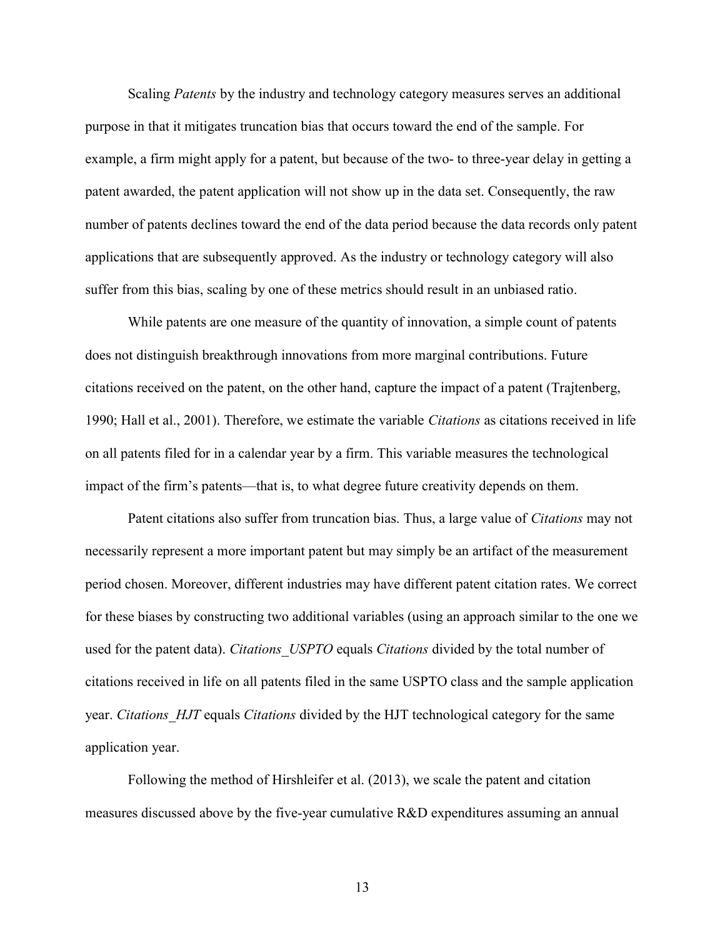Scaling *Patents* by the industry and technology category measures serves an additional purpose in that it mitigates truncation bias that occurs toward the end of the sample. For example, a firm might apply for a patent, but because of the two- to three-year delay in getting a patent awarded, the patent application will not show up in the data set. Consequently, the raw number of patents declines toward the end of the data period because the data records only patent applications that are subsequently approved. As the industry or technology category will also suffer from this bias, scaling by one of these metrics should result in an unbiased ratio.

While patents are one measure of the quantity of innovation, a simple count of patents does not distinguish breakthrough innovations from more marginal contributions. Future citations received on the patent, on the other hand, capture the impact of a patent (Trajtenberg, 1990; Hall et al., 2001). Therefore, we estimate the variable Citations as citations received in life on all patents filed for in a calendar year by a firm. This variable measures the technological impact of the firm's patents—that is, to what degree future creativity depends on them.

Patent citations also suffer from truncation bias. Thus, a large value of Citations may not necessarily represent a more important patent but may simply be an artifact of the measurement period chosen. Moreover, different industries may have different patent citation rates. We correct for these biases by constructing two additional variables (using an approach similar to the one we used for the patent data). Citations USPTO equals Citations divided by the total number of citations received in life on all patents filed in the same USPTO class and the sample application year. Citations HJT equals Citations divided by the HJT technological category for the same application year.

Following the method of Hirshleifer et al. (2013), we scale the patent and citation measures discussed above by the five-year cumulative R&D expenditures assuming an annual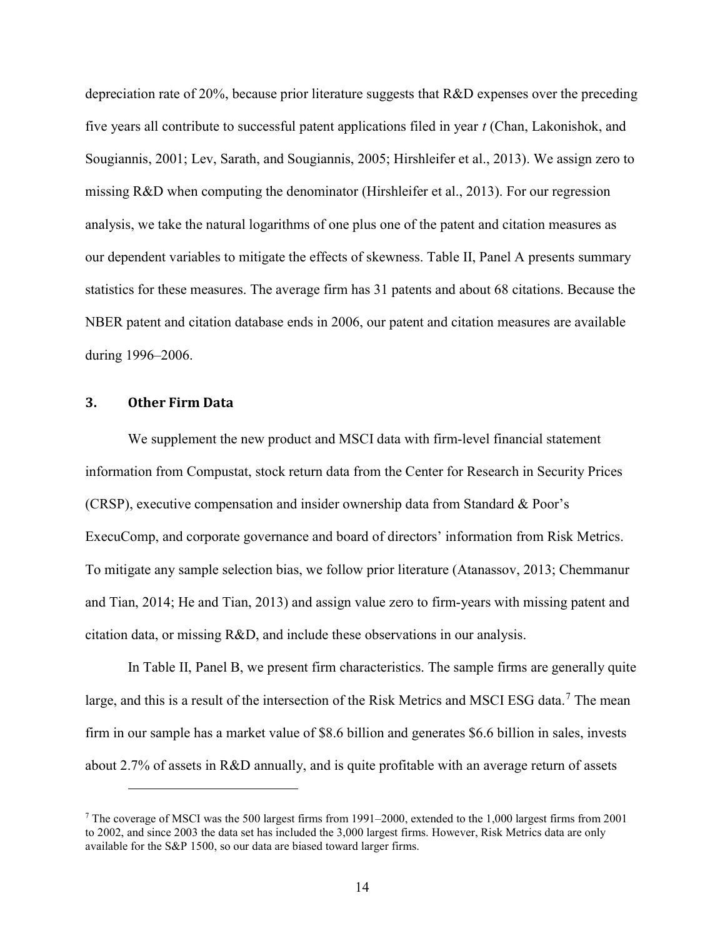depreciation rate of 20%, because prior literature suggests that R&D expenses over the preceding five years all contribute to successful patent applications filed in year t (Chan, Lakonishok, and Sougiannis, 2001; Lev, Sarath, and Sougiannis, 2005; Hirshleifer et al., 2013). We assign zero to missing R&D when computing the denominator (Hirshleifer et al., 2013). For our regression analysis, we take the natural logarithms of one plus one of the patent and citation measures as our dependent variables to mitigate the effects of skewness. Table II, Panel A presents summary statistics for these measures. The average firm has 31 patents and about 68 citations. Because the NBER patent and citation database ends in 2006, our patent and citation measures are available during 1996–2006.

#### 3. Other Firm Data

 $\overline{a}$ 

We supplement the new product and MSCI data with firm-level financial statement information from Compustat, stock return data from the Center for Research in Security Prices (CRSP), executive compensation and insider ownership data from Standard & Poor's ExecuComp, and corporate governance and board of directors' information from Risk Metrics. To mitigate any sample selection bias, we follow prior literature (Atanassov, 2013; Chemmanur and Tian, 2014; He and Tian, 2013) and assign value zero to firm-years with missing patent and citation data, or missing R&D, and include these observations in our analysis.

In Table II, Panel B, we present firm characteristics. The sample firms are generally quite large, and this is a result of the intersection of the Risk Metrics and MSCI ESG data.<sup>7</sup> The mean firm in our sample has a market value of \$8.6 billion and generates \$6.6 billion in sales, invests about 2.7% of assets in R&D annually, and is quite profitable with an average return of assets

<sup>&</sup>lt;sup>7</sup> The coverage of MSCI was the 500 largest firms from 1991–2000, extended to the 1,000 largest firms from 2001 to 2002, and since 2003 the data set has included the 3,000 largest firms. However, Risk Metrics data are only available for the S&P 1500, so our data are biased toward larger firms.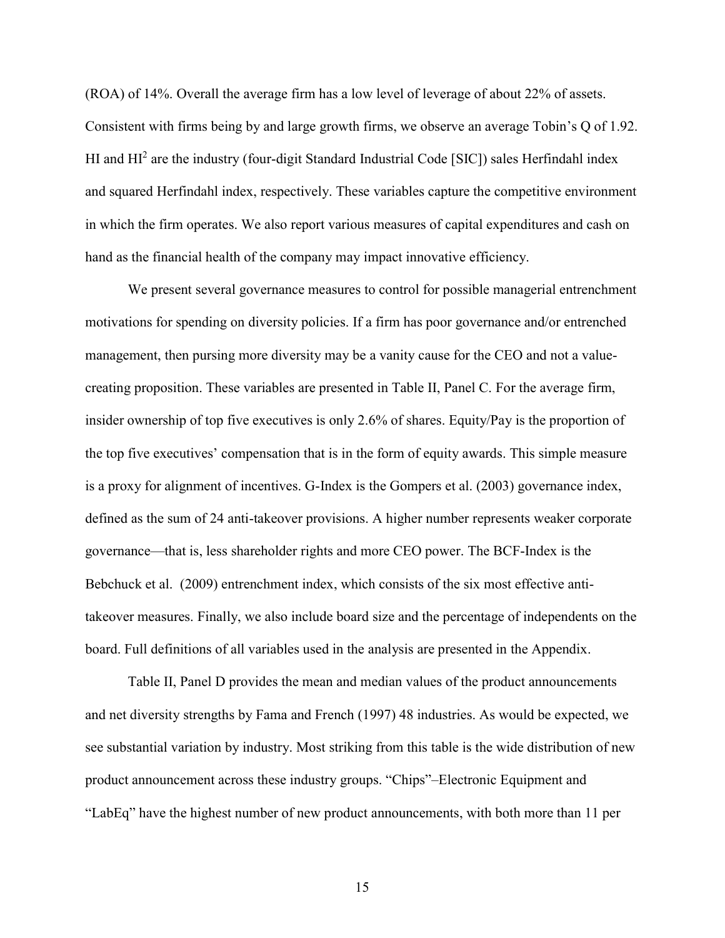(ROA) of 14%. Overall the average firm has a low level of leverage of about 22% of assets. Consistent with firms being by and large growth firms, we observe an average Tobin's Q of 1.92. HI and HI<sup>2</sup> are the industry (four-digit Standard Industrial Code [SIC]) sales Herfindahl index and squared Herfindahl index, respectively. These variables capture the competitive environment in which the firm operates. We also report various measures of capital expenditures and cash on hand as the financial health of the company may impact innovative efficiency.

We present several governance measures to control for possible managerial entrenchment motivations for spending on diversity policies. If a firm has poor governance and/or entrenched management, then pursing more diversity may be a vanity cause for the CEO and not a valuecreating proposition. These variables are presented in Table II, Panel C. For the average firm, insider ownership of top five executives is only 2.6% of shares. Equity/Pay is the proportion of the top five executives' compensation that is in the form of equity awards. This simple measure is a proxy for alignment of incentives. G-Index is the Gompers et al. (2003) governance index, defined as the sum of 24 anti-takeover provisions. A higher number represents weaker corporate governance—that is, less shareholder rights and more CEO power. The BCF-Index is the Bebchuck et al. (2009) entrenchment index, which consists of the six most effective antitakeover measures. Finally, we also include board size and the percentage of independents on the board. Full definitions of all variables used in the analysis are presented in the Appendix.

Table II, Panel D provides the mean and median values of the product announcements and net diversity strengths by Fama and French (1997) 48 industries. As would be expected, we see substantial variation by industry. Most striking from this table is the wide distribution of new product announcement across these industry groups. "Chips"–Electronic Equipment and "LabEq" have the highest number of new product announcements, with both more than 11 per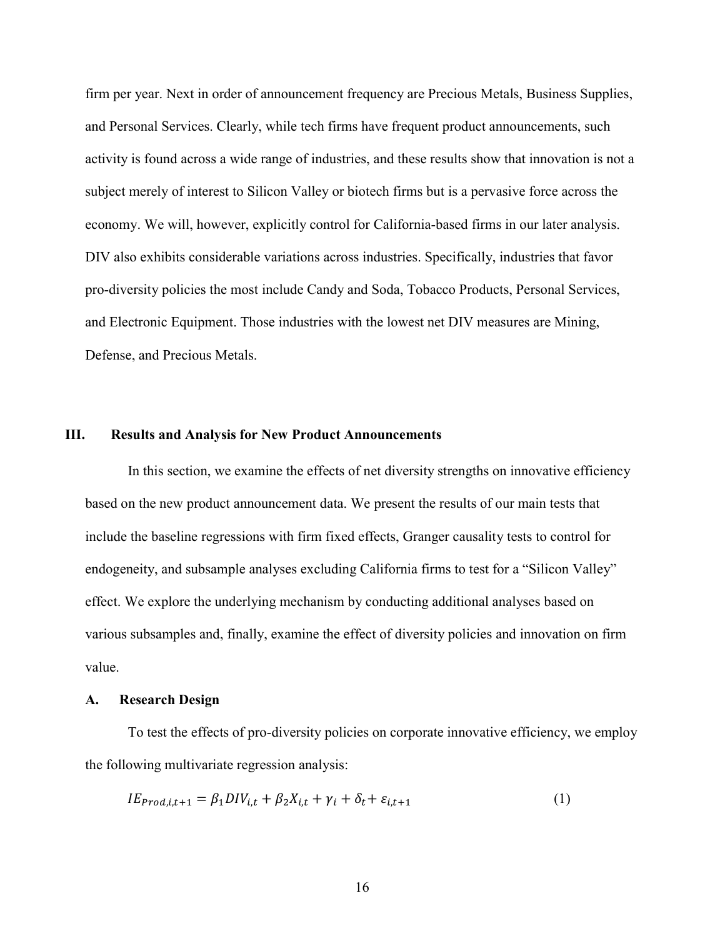firm per year. Next in order of announcement frequency are Precious Metals, Business Supplies, and Personal Services. Clearly, while tech firms have frequent product announcements, such activity is found across a wide range of industries, and these results show that innovation is not a subject merely of interest to Silicon Valley or biotech firms but is a pervasive force across the economy. We will, however, explicitly control for California-based firms in our later analysis. DIV also exhibits considerable variations across industries. Specifically, industries that favor pro-diversity policies the most include Candy and Soda, Tobacco Products, Personal Services, and Electronic Equipment. Those industries with the lowest net DIV measures are Mining, Defense, and Precious Metals.

#### III. Results and Analysis for New Product Announcements

In this section, we examine the effects of net diversity strengths on innovative efficiency based on the new product announcement data. We present the results of our main tests that include the baseline regressions with firm fixed effects, Granger causality tests to control for endogeneity, and subsample analyses excluding California firms to test for a "Silicon Valley" effect. We explore the underlying mechanism by conducting additional analyses based on various subsamples and, finally, examine the effect of diversity policies and innovation on firm value.

#### A. Research Design

To test the effects of pro-diversity policies on corporate innovative efficiency, we employ the following multivariate regression analysis:

$$
IE_{prod,i,t+1} = \beta_1 DIV_{i,t} + \beta_2 X_{i,t} + \gamma_i + \delta_t + \varepsilon_{i,t+1}
$$
\n<sup>(1)</sup>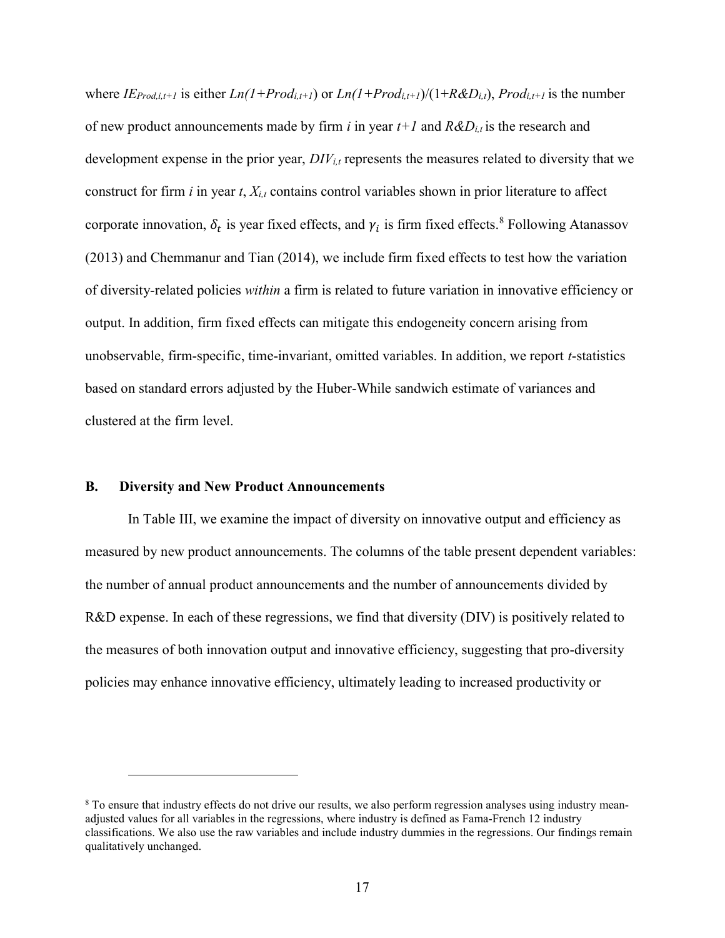where  $IE_{Prod,i,t+1}$  is either  $Ln(1+Prod_{i,t+1})$  or  $Ln(1+Prod_{i,t+1})/(1+R&D_{i,t})$ ,  $Prod_{i,t+1}$  is the number of new product announcements made by firm i in year  $t+1$  and  $R&D_{i,t}$  is the research and development expense in the prior year,  $DIV_{i,t}$  represents the measures related to diversity that we construct for firm i in year t,  $X_{i,t}$  contains control variables shown in prior literature to affect corporate innovation,  $\delta_t$  is year fixed effects, and  $\gamma_i$  is firm fixed effects.<sup>8</sup> Following Atanassov (2013) and Chemmanur and Tian (2014), we include firm fixed effects to test how the variation of diversity-related policies within a firm is related to future variation in innovative efficiency or output. In addition, firm fixed effects can mitigate this endogeneity concern arising from unobservable, firm-specific, time-invariant, omitted variables. In addition, we report t-statistics based on standard errors adjusted by the Huber-While sandwich estimate of variances and clustered at the firm level.

#### B. Diversity and New Product Announcements

 $\overline{a}$ 

In Table III, we examine the impact of diversity on innovative output and efficiency as measured by new product announcements. The columns of the table present dependent variables: the number of annual product announcements and the number of announcements divided by R&D expense. In each of these regressions, we find that diversity (DIV) is positively related to the measures of both innovation output and innovative efficiency, suggesting that pro-diversity policies may enhance innovative efficiency, ultimately leading to increased productivity or

<sup>&</sup>lt;sup>8</sup> To ensure that industry effects do not drive our results, we also perform regression analyses using industry meanadjusted values for all variables in the regressions, where industry is defined as Fama-French 12 industry classifications. We also use the raw variables and include industry dummies in the regressions. Our findings remain qualitatively unchanged.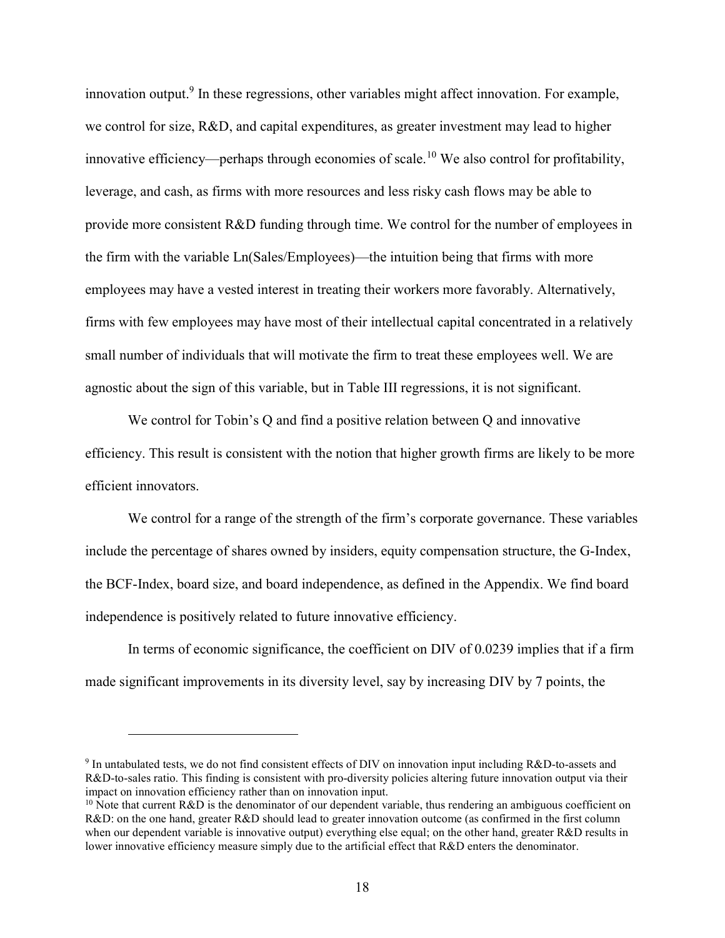innovation output.<sup>9</sup> In these regressions, other variables might affect innovation. For example, we control for size, R&D, and capital expenditures, as greater investment may lead to higher innovative efficiency—perhaps through economies of scale.<sup>10</sup> We also control for profitability, leverage, and cash, as firms with more resources and less risky cash flows may be able to provide more consistent R&D funding through time. We control for the number of employees in the firm with the variable Ln(Sales/Employees)—the intuition being that firms with more employees may have a vested interest in treating their workers more favorably. Alternatively, firms with few employees may have most of their intellectual capital concentrated in a relatively small number of individuals that will motivate the firm to treat these employees well. We are agnostic about the sign of this variable, but in Table III regressions, it is not significant.

We control for Tobin's Q and find a positive relation between Q and innovative efficiency. This result is consistent with the notion that higher growth firms are likely to be more efficient innovators.

We control for a range of the strength of the firm's corporate governance. These variables include the percentage of shares owned by insiders, equity compensation structure, the G-Index, the BCF-Index, board size, and board independence, as defined in the Appendix. We find board independence is positively related to future innovative efficiency.

In terms of economic significance, the coefficient on DIV of 0.0239 implies that if a firm made significant improvements in its diversity level, say by increasing DIV by 7 points, the

<sup>&</sup>lt;sup>9</sup> In untabulated tests, we do not find consistent effects of DIV on innovation input including R&D-to-assets and R&D-to-sales ratio. This finding is consistent with pro-diversity policies altering future innovation output via their impact on innovation efficiency rather than on innovation input.

<sup>&</sup>lt;sup>10</sup> Note that current R&D is the denominator of our dependent variable, thus rendering an ambiguous coefficient on R&D: on the one hand, greater R&D should lead to greater innovation outcome (as confirmed in the first column when our dependent variable is innovative output) everything else equal; on the other hand, greater R&D results in lower innovative efficiency measure simply due to the artificial effect that R&D enters the denominator.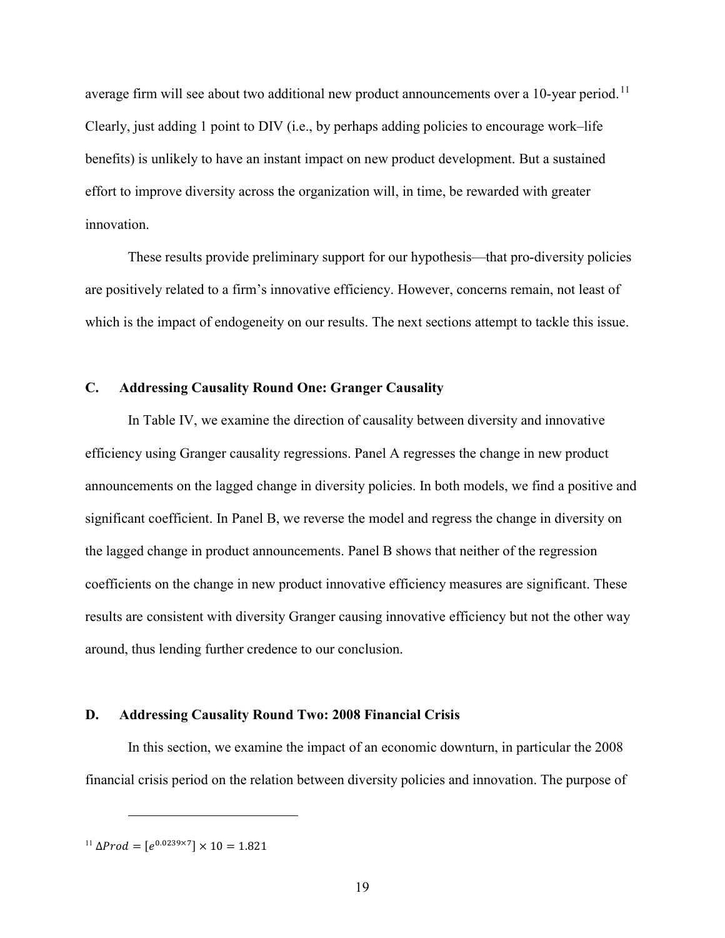average firm will see about two additional new product announcements over a  $10$ -year period.<sup>11</sup> Clearly, just adding 1 point to DIV (i.e., by perhaps adding policies to encourage work–life benefits) is unlikely to have an instant impact on new product development. But a sustained effort to improve diversity across the organization will, in time, be rewarded with greater innovation.

These results provide preliminary support for our hypothesis—that pro-diversity policies are positively related to a firm's innovative efficiency. However, concerns remain, not least of which is the impact of endogeneity on our results. The next sections attempt to tackle this issue.

## C. Addressing Causality Round One: Granger Causality

In Table IV, we examine the direction of causality between diversity and innovative efficiency using Granger causality regressions. Panel A regresses the change in new product announcements on the lagged change in diversity policies. In both models, we find a positive and significant coefficient. In Panel B, we reverse the model and regress the change in diversity on the lagged change in product announcements. Panel B shows that neither of the regression coefficients on the change in new product innovative efficiency measures are significant. These results are consistent with diversity Granger causing innovative efficiency but not the other way around, thus lending further credence to our conclusion.

#### D. Addressing Causality Round Two: 2008 Financial Crisis

In this section, we examine the impact of an economic downturn, in particular the 2008 financial crisis period on the relation between diversity policies and innovation. The purpose of

<sup>&</sup>lt;sup>11</sup> Δ*Prod* =  $[e^{0.0239\times7}] \times 10 = 1.821$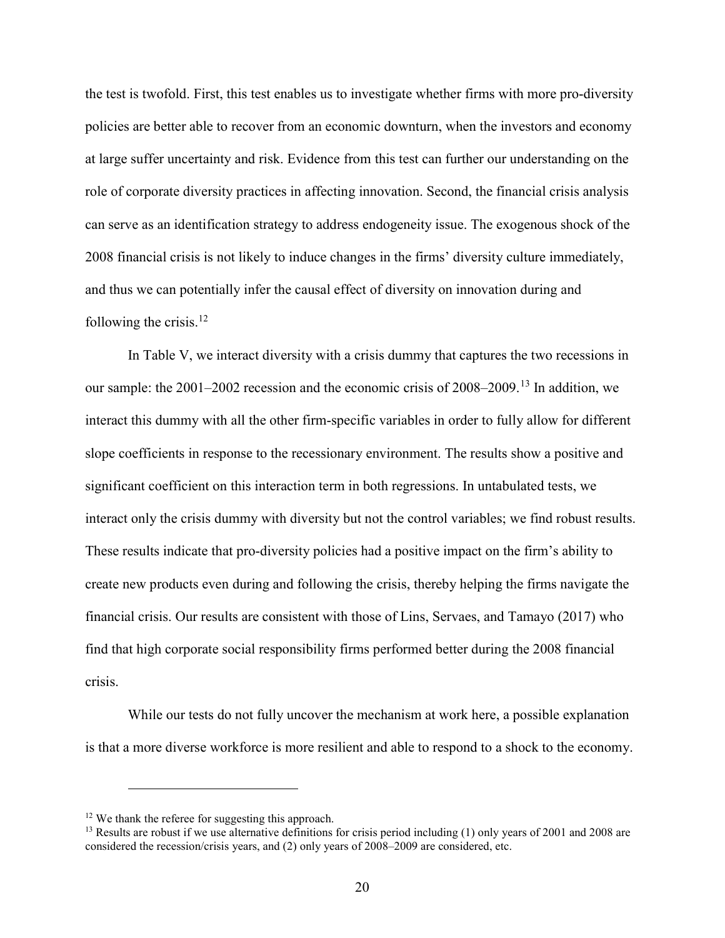the test is twofold. First, this test enables us to investigate whether firms with more pro-diversity policies are better able to recover from an economic downturn, when the investors and economy at large suffer uncertainty and risk. Evidence from this test can further our understanding on the role of corporate diversity practices in affecting innovation. Second, the financial crisis analysis can serve as an identification strategy to address endogeneity issue. The exogenous shock of the 2008 financial crisis is not likely to induce changes in the firms' diversity culture immediately, and thus we can potentially infer the causal effect of diversity on innovation during and following the crisis. $^{12}$ 

In Table V, we interact diversity with a crisis dummy that captures the two recessions in our sample: the 2001–2002 recession and the economic crisis of 2008–2009.<sup>13</sup> In addition, we interact this dummy with all the other firm-specific variables in order to fully allow for different slope coefficients in response to the recessionary environment. The results show a positive and significant coefficient on this interaction term in both regressions. In untabulated tests, we interact only the crisis dummy with diversity but not the control variables; we find robust results. These results indicate that pro-diversity policies had a positive impact on the firm's ability to create new products even during and following the crisis, thereby helping the firms navigate the financial crisis. Our results are consistent with those of Lins, Servaes, and Tamayo (2017) who find that high corporate social responsibility firms performed better during the 2008 financial crisis.

While our tests do not fully uncover the mechanism at work here, a possible explanation is that a more diverse workforce is more resilient and able to respond to a shock to the economy.

<sup>&</sup>lt;sup>12</sup> We thank the referee for suggesting this approach.

<sup>&</sup>lt;sup>13</sup> Results are robust if we use alternative definitions for crisis period including (1) only years of 2001 and 2008 are considered the recession/crisis years, and (2) only years of 2008–2009 are considered, etc.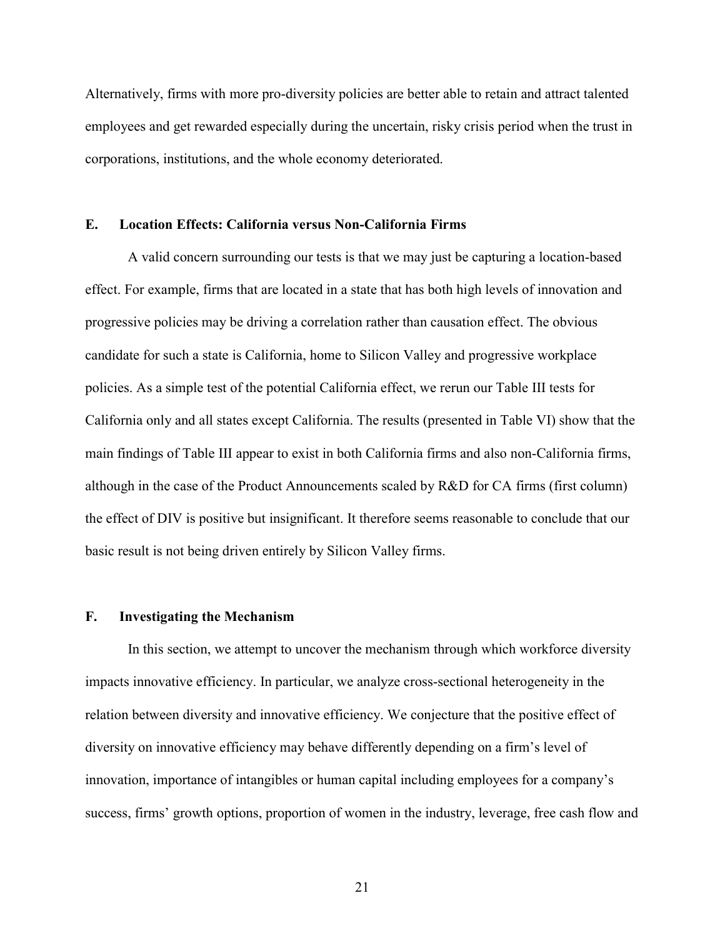Alternatively, firms with more pro-diversity policies are better able to retain and attract talented employees and get rewarded especially during the uncertain, risky crisis period when the trust in corporations, institutions, and the whole economy deteriorated.

#### E. Location Effects: California versus Non-California Firms

A valid concern surrounding our tests is that we may just be capturing a location-based effect. For example, firms that are located in a state that has both high levels of innovation and progressive policies may be driving a correlation rather than causation effect. The obvious candidate for such a state is California, home to Silicon Valley and progressive workplace policies. As a simple test of the potential California effect, we rerun our Table III tests for California only and all states except California. The results (presented in Table VI) show that the main findings of Table III appear to exist in both California firms and also non-California firms, although in the case of the Product Announcements scaled by R&D for CA firms (first column) the effect of DIV is positive but insignificant. It therefore seems reasonable to conclude that our basic result is not being driven entirely by Silicon Valley firms.

## F. Investigating the Mechanism

In this section, we attempt to uncover the mechanism through which workforce diversity impacts innovative efficiency. In particular, we analyze cross-sectional heterogeneity in the relation between diversity and innovative efficiency. We conjecture that the positive effect of diversity on innovative efficiency may behave differently depending on a firm's level of innovation, importance of intangibles or human capital including employees for a company's success, firms' growth options, proportion of women in the industry, leverage, free cash flow and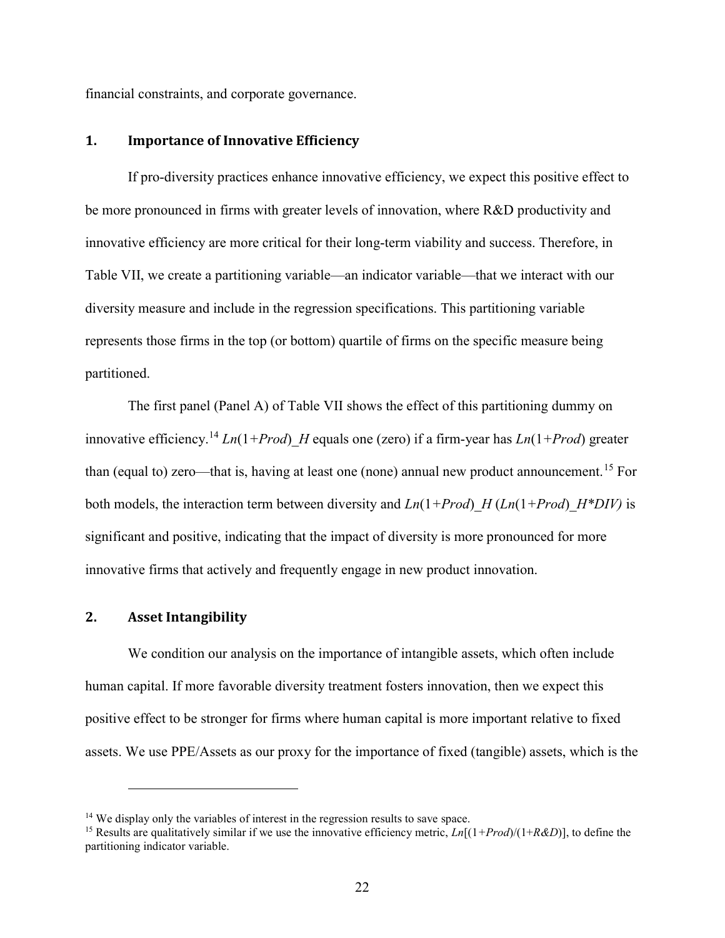financial constraints, and corporate governance.

## 1. Importance of Innovative Efficiency

If pro-diversity practices enhance innovative efficiency, we expect this positive effect to be more pronounced in firms with greater levels of innovation, where R&D productivity and innovative efficiency are more critical for their long-term viability and success. Therefore, in Table VII, we create a partitioning variable—an indicator variable—that we interact with our diversity measure and include in the regression specifications. This partitioning variable represents those firms in the top (or bottom) quartile of firms on the specific measure being partitioned.

The first panel (Panel A) of Table VII shows the effect of this partitioning dummy on innovative efficiency.<sup>14</sup> Ln(1+Prod) H equals one (zero) if a firm-year has Ln(1+Prod) greater than (equal to) zero—that is, having at least one (none) annual new product announcement.<sup>15</sup> For both models, the interaction term between diversity and  $Ln(1+Prod)H (Ln(1+Prod)H*DIV)$  is significant and positive, indicating that the impact of diversity is more pronounced for more innovative firms that actively and frequently engage in new product innovation.

#### 2. Asset Intangibility

 $\overline{a}$ 

We condition our analysis on the importance of intangible assets, which often include human capital. If more favorable diversity treatment fosters innovation, then we expect this positive effect to be stronger for firms where human capital is more important relative to fixed assets. We use PPE/Assets as our proxy for the importance of fixed (tangible) assets, which is the

<sup>&</sup>lt;sup>14</sup> We display only the variables of interest in the regression results to save space.

<sup>&</sup>lt;sup>15</sup> Results are qualitatively similar if we use the innovative efficiency metric,  $Ln[(1+Prod)/(1+R&D)]$ , to define the partitioning indicator variable.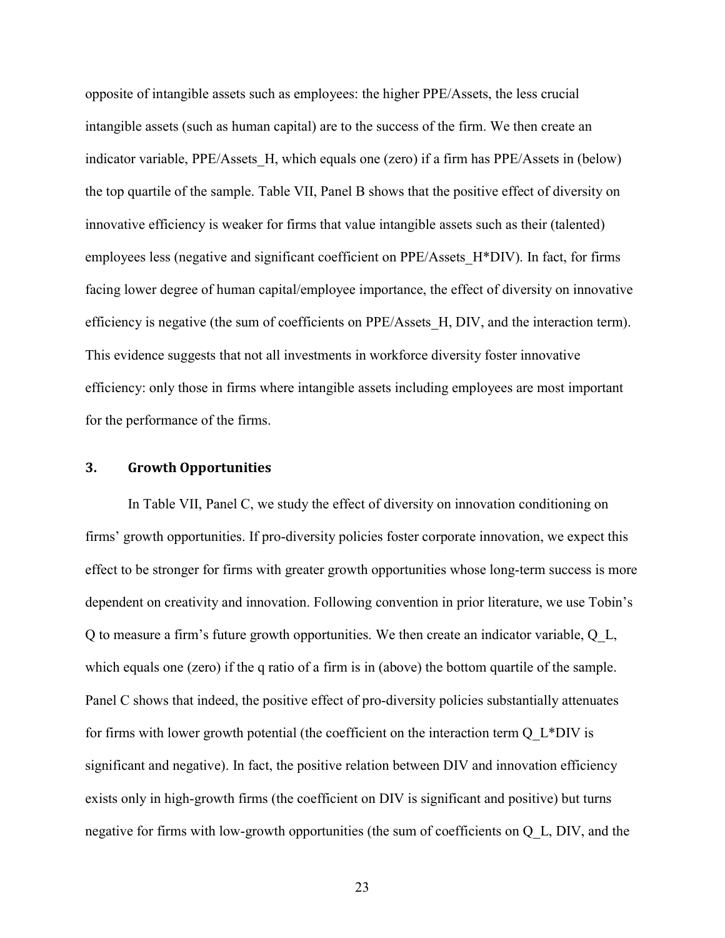opposite of intangible assets such as employees: the higher PPE/Assets, the less crucial intangible assets (such as human capital) are to the success of the firm. We then create an indicator variable, PPE/Assets H, which equals one (zero) if a firm has PPE/Assets in (below) the top quartile of the sample. Table VII, Panel B shows that the positive effect of diversity on innovative efficiency is weaker for firms that value intangible assets such as their (talented) employees less (negative and significant coefficient on PPE/Assets\_H\*DIV). In fact, for firms facing lower degree of human capital/employee importance, the effect of diversity on innovative efficiency is negative (the sum of coefficients on PPE/Assets\_H, DIV, and the interaction term). This evidence suggests that not all investments in workforce diversity foster innovative efficiency: only those in firms where intangible assets including employees are most important for the performance of the firms.

#### 3. Growth Opportunities

In Table VII, Panel C, we study the effect of diversity on innovation conditioning on firms' growth opportunities. If pro-diversity policies foster corporate innovation, we expect this effect to be stronger for firms with greater growth opportunities whose long-term success is more dependent on creativity and innovation. Following convention in prior literature, we use Tobin's Q to measure a firm's future growth opportunities. We then create an indicator variable, Q\_L, which equals one (zero) if the q ratio of a firm is in (above) the bottom quartile of the sample. Panel C shows that indeed, the positive effect of pro-diversity policies substantially attenuates for firms with lower growth potential (the coefficient on the interaction term  $Q$  L\*DIV is significant and negative). In fact, the positive relation between DIV and innovation efficiency exists only in high-growth firms (the coefficient on DIV is significant and positive) but turns negative for firms with low-growth opportunities (the sum of coefficients on Q\_L, DIV, and the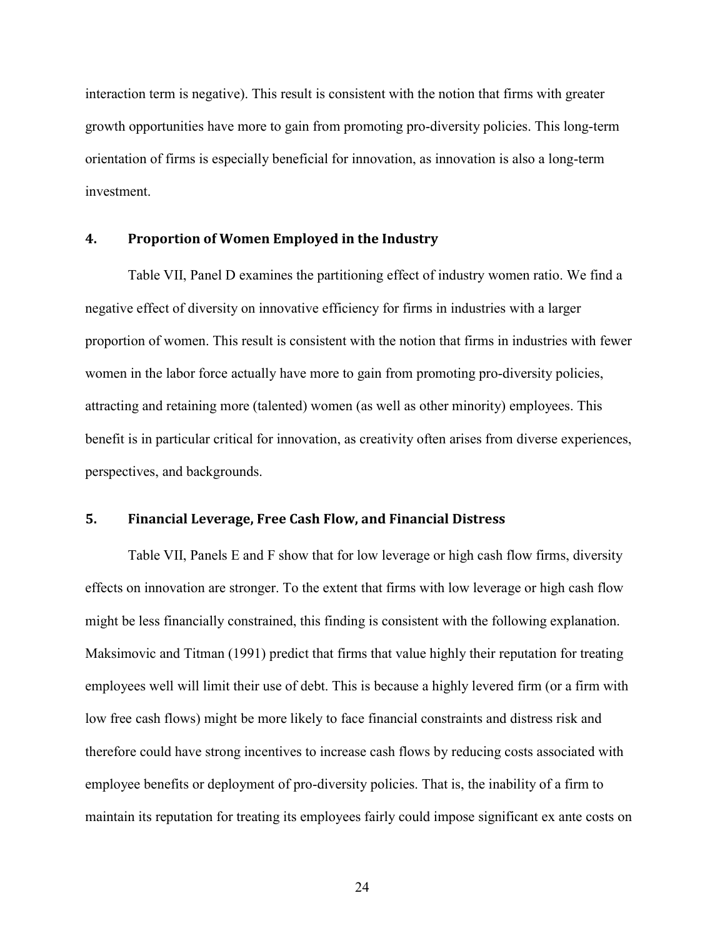interaction term is negative). This result is consistent with the notion that firms with greater growth opportunities have more to gain from promoting pro-diversity policies. This long-term orientation of firms is especially beneficial for innovation, as innovation is also a long-term investment.

#### 4. Proportion of Women Employed in the Industry

Table VII, Panel D examines the partitioning effect of industry women ratio. We find a negative effect of diversity on innovative efficiency for firms in industries with a larger proportion of women. This result is consistent with the notion that firms in industries with fewer women in the labor force actually have more to gain from promoting pro-diversity policies, attracting and retaining more (talented) women (as well as other minority) employees. This benefit is in particular critical for innovation, as creativity often arises from diverse experiences, perspectives, and backgrounds.

## 5. Financial Leverage, Free Cash Flow, and Financial Distress

Table VII, Panels E and F show that for low leverage or high cash flow firms, diversity effects on innovation are stronger. To the extent that firms with low leverage or high cash flow might be less financially constrained, this finding is consistent with the following explanation. Maksimovic and Titman (1991) predict that firms that value highly their reputation for treating employees well will limit their use of debt. This is because a highly levered firm (or a firm with low free cash flows) might be more likely to face financial constraints and distress risk and therefore could have strong incentives to increase cash flows by reducing costs associated with employee benefits or deployment of pro-diversity policies. That is, the inability of a firm to maintain its reputation for treating its employees fairly could impose significant ex ante costs on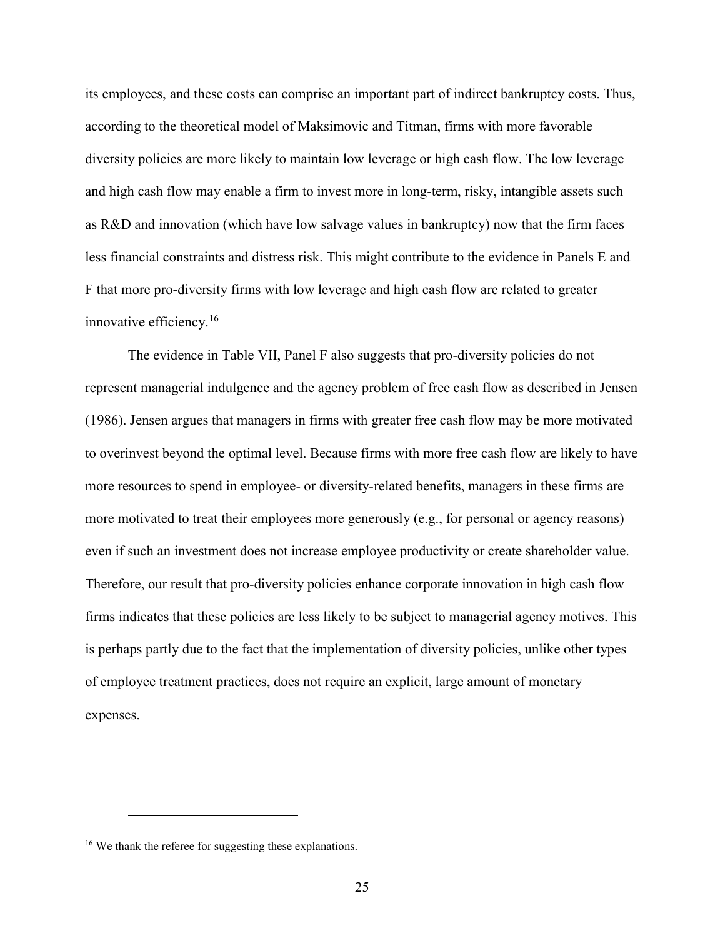its employees, and these costs can comprise an important part of indirect bankruptcy costs. Thus, according to the theoretical model of Maksimovic and Titman, firms with more favorable diversity policies are more likely to maintain low leverage or high cash flow. The low leverage and high cash flow may enable a firm to invest more in long-term, risky, intangible assets such as R&D and innovation (which have low salvage values in bankruptcy) now that the firm faces less financial constraints and distress risk. This might contribute to the evidence in Panels E and F that more pro-diversity firms with low leverage and high cash flow are related to greater innovative efficiency.<sup>16</sup>

The evidence in Table VII, Panel F also suggests that pro-diversity policies do not represent managerial indulgence and the agency problem of free cash flow as described in Jensen (1986). Jensen argues that managers in firms with greater free cash flow may be more motivated to overinvest beyond the optimal level. Because firms with more free cash flow are likely to have more resources to spend in employee- or diversity-related benefits, managers in these firms are more motivated to treat their employees more generously (e.g., for personal or agency reasons) even if such an investment does not increase employee productivity or create shareholder value. Therefore, our result that pro-diversity policies enhance corporate innovation in high cash flow firms indicates that these policies are less likely to be subject to managerial agency motives. This is perhaps partly due to the fact that the implementation of diversity policies, unlike other types of employee treatment practices, does not require an explicit, large amount of monetary expenses.

<sup>&</sup>lt;sup>16</sup> We thank the referee for suggesting these explanations.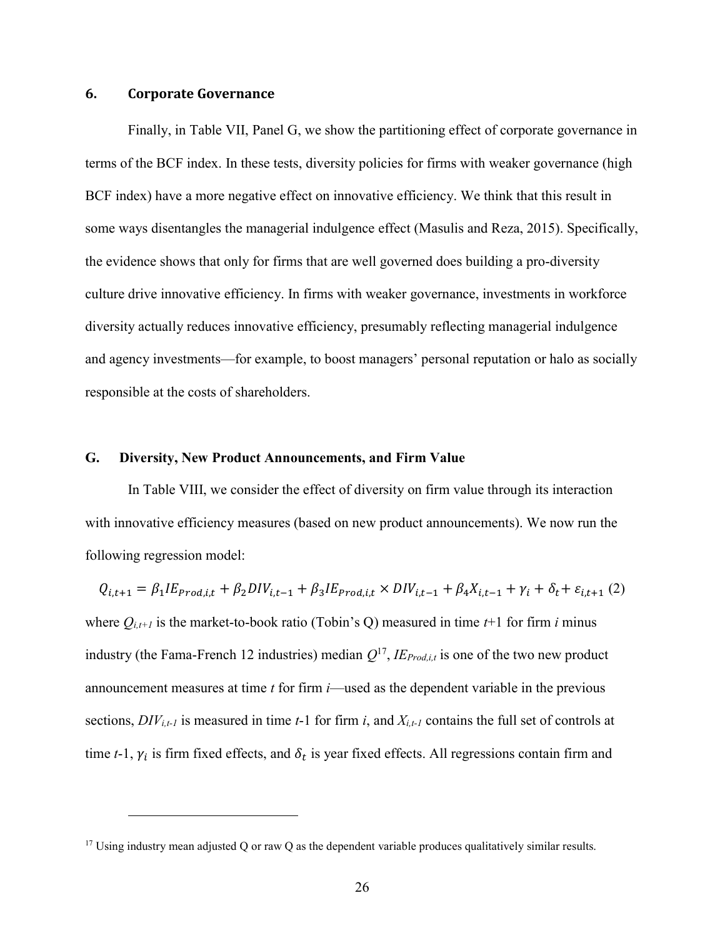#### 6. Corporate Governance

 $\overline{a}$ 

Finally, in Table VII, Panel G, we show the partitioning effect of corporate governance in terms of the BCF index. In these tests, diversity policies for firms with weaker governance (high BCF index) have a more negative effect on innovative efficiency. We think that this result in some ways disentangles the managerial indulgence effect (Masulis and Reza, 2015). Specifically, the evidence shows that only for firms that are well governed does building a pro-diversity culture drive innovative efficiency. In firms with weaker governance, investments in workforce diversity actually reduces innovative efficiency, presumably reflecting managerial indulgence and agency investments—for example, to boost managers' personal reputation or halo as socially responsible at the costs of shareholders.

#### G. Diversity, New Product Announcements, and Firm Value

In Table VIII, we consider the effect of diversity on firm value through its interaction with innovative efficiency measures (based on new product announcements). We now run the following regression model:

 $Q_{i,t+1} = \beta_1 I E_{prod,i,t} + \beta_2 D I V_{i,t-1} + \beta_3 I E_{prod,i,t} \times D I V_{i,t-1} + \beta_4 X_{i,t-1} + \gamma_i + \delta_t + \varepsilon_{i,t+1} (2)$ where  $Q_{i,t+1}$  is the market-to-book ratio (Tobin's Q) measured in time  $t+1$  for firm i minus industry (the Fama-French 12 industries) median  $Q^{17}$ ,  $I E_{Prod,i,t}$  is one of the two new product announcement measures at time  $t$  for firm  $i$ —used as the dependent variable in the previous sections,  $DIV_{i,t-1}$  is measured in time t-1 for firm i, and  $X_{i,t-1}$  contains the full set of controls at time t-1,  $\gamma_i$  is firm fixed effects, and  $\delta_t$  is year fixed effects. All regressions contain firm and

 $17$  Using industry mean adjusted Q or raw Q as the dependent variable produces qualitatively similar results.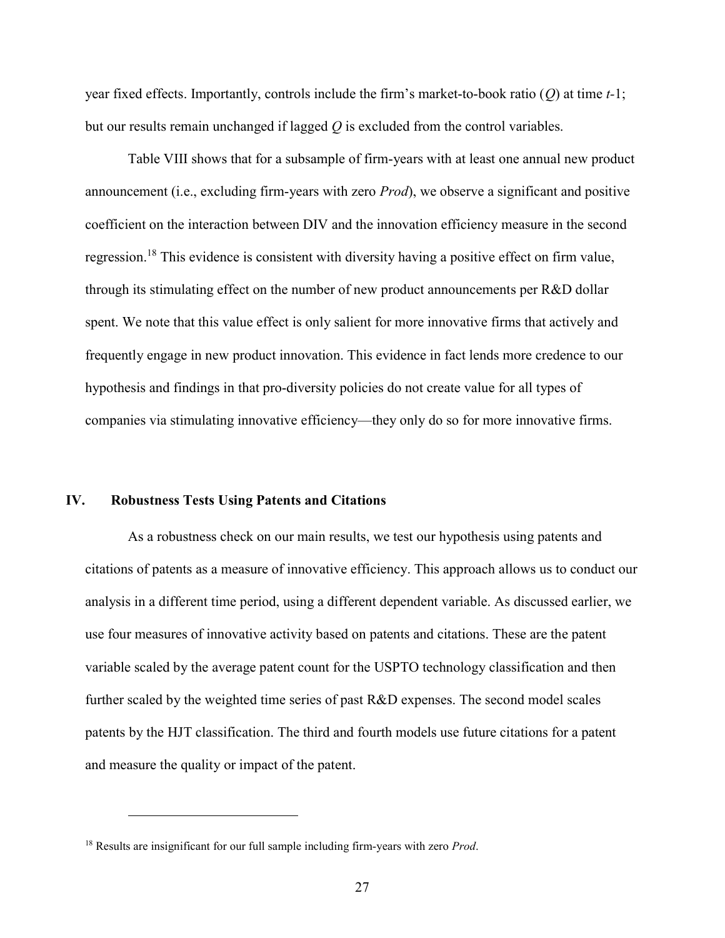year fixed effects. Importantly, controls include the firm's market-to-book ratio  $(Q)$  at time t-1; but our results remain unchanged if lagged  $Q$  is excluded from the control variables.

Table VIII shows that for a subsample of firm-years with at least one annual new product announcement (i.e., excluding firm-years with zero *Prod*), we observe a significant and positive coefficient on the interaction between DIV and the innovation efficiency measure in the second regression.<sup>18</sup> This evidence is consistent with diversity having a positive effect on firm value, through its stimulating effect on the number of new product announcements per R&D dollar spent. We note that this value effect is only salient for more innovative firms that actively and frequently engage in new product innovation. This evidence in fact lends more credence to our hypothesis and findings in that pro-diversity policies do not create value for all types of companies via stimulating innovative efficiency—they only do so for more innovative firms.

#### IV. Robustness Tests Using Patents and Citations

As a robustness check on our main results, we test our hypothesis using patents and citations of patents as a measure of innovative efficiency. This approach allows us to conduct our analysis in a different time period, using a different dependent variable. As discussed earlier, we use four measures of innovative activity based on patents and citations. These are the patent variable scaled by the average patent count for the USPTO technology classification and then further scaled by the weighted time series of past R&D expenses. The second model scales patents by the HJT classification. The third and fourth models use future citations for a patent and measure the quality or impact of the patent.

 $18$  Results are insignificant for our full sample including firm-years with zero *Prod*.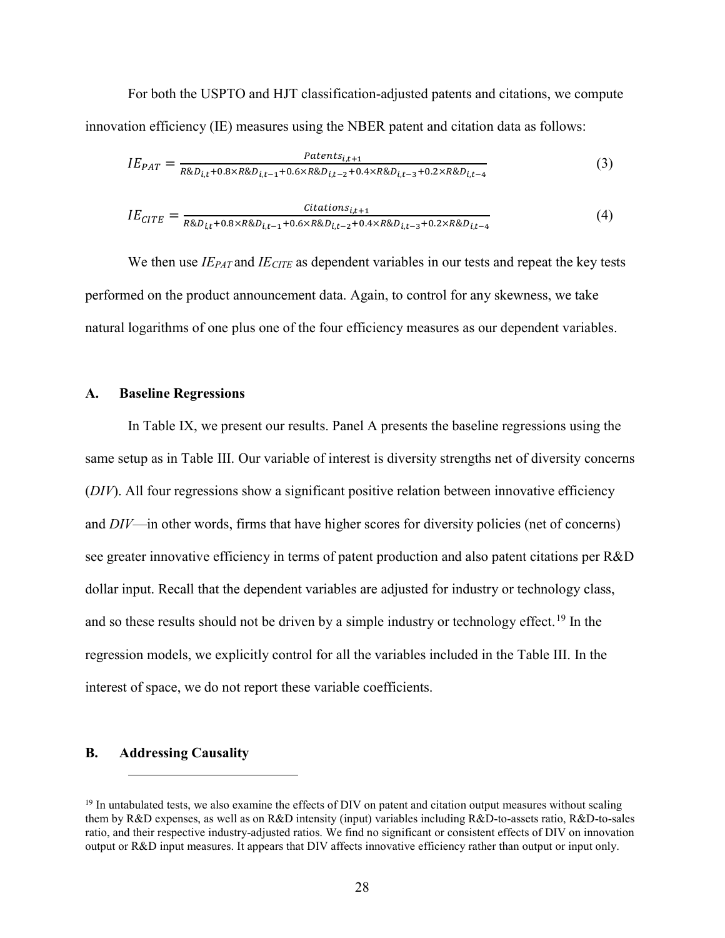For both the USPTO and HJT classification-adjusted patents and citations, we compute innovation efficiency (IE) measures using the NBER patent and citation data as follows:

$$
IE_{PAT} = \frac{Patterns_{i,t+1}}{R&D_{i,t} + 0.8 \times R&D_{i,t-1} + 0.6 \times R&D_{i,t-2} + 0.4 \times R&D_{i,t-3} + 0.2 \times R&D_{i,t-4}}
$$
\n
$$
\tag{3}
$$

$$
IE_{CITE} = \frac{Citations_{i,t+1}}{R&D_{i,t} + 0.8 \times R&D_{i,t-1} + 0.6 \times R&D_{i,t-2} + 0.4 \times R&D_{i,t-3} + 0.2 \times R&D_{i,t-4}} \tag{4}
$$

We then use  $IE_{PAT}$  and  $IE_{CITE}$  as dependent variables in our tests and repeat the key tests performed on the product announcement data. Again, to control for any skewness, we take natural logarithms of one plus one of the four efficiency measures as our dependent variables.

#### A. Baseline Regressions

In Table IX, we present our results. Panel A presents the baseline regressions using the same setup as in Table III. Our variable of interest is diversity strengths net of diversity concerns (DIV). All four regressions show a significant positive relation between innovative efficiency and  $DIV$ —in other words, firms that have higher scores for diversity policies (net of concerns) see greater innovative efficiency in terms of patent production and also patent citations per R&D dollar input. Recall that the dependent variables are adjusted for industry or technology class, and so these results should not be driven by a simple industry or technology effect.<sup>19</sup> In the regression models, we explicitly control for all the variables included in the Table III. In the interest of space, we do not report these variable coefficients.

#### B. Addressing Causality

 $19$  In untabulated tests, we also examine the effects of DIV on patent and citation output measures without scaling them by R&D expenses, as well as on R&D intensity (input) variables including R&D-to-assets ratio, R&D-to-sales ratio, and their respective industry-adjusted ratios. We find no significant or consistent effects of DIV on innovation output or R&D input measures. It appears that DIV affects innovative efficiency rather than output or input only.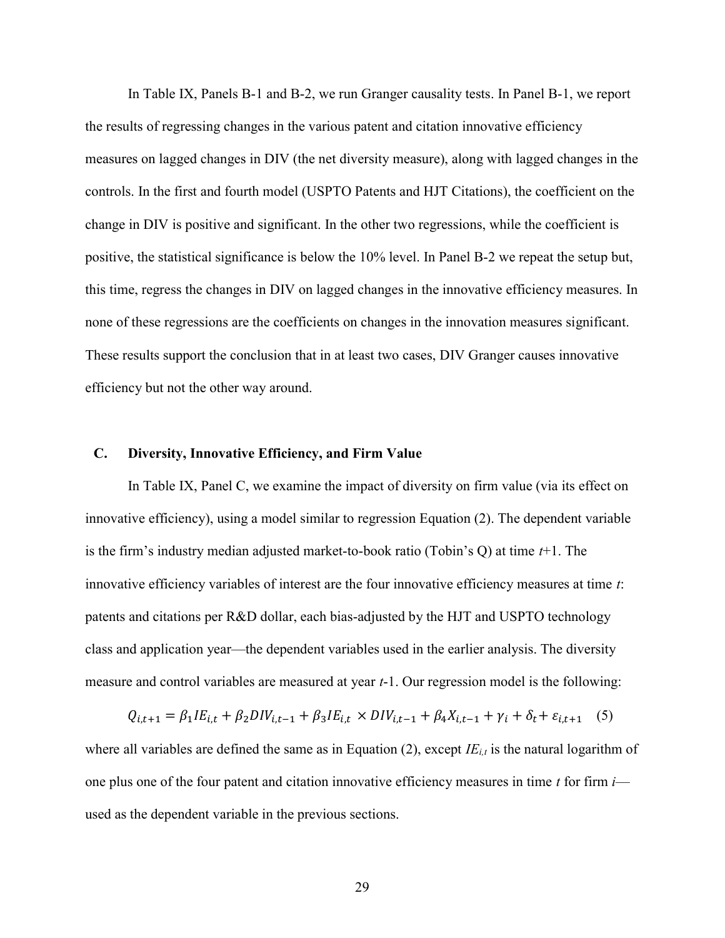In Table IX, Panels B-1 and B-2, we run Granger causality tests. In Panel B-1, we report the results of regressing changes in the various patent and citation innovative efficiency measures on lagged changes in DIV (the net diversity measure), along with lagged changes in the controls. In the first and fourth model (USPTO Patents and HJT Citations), the coefficient on the change in DIV is positive and significant. In the other two regressions, while the coefficient is positive, the statistical significance is below the 10% level. In Panel B-2 we repeat the setup but, this time, regress the changes in DIV on lagged changes in the innovative efficiency measures. In none of these regressions are the coefficients on changes in the innovation measures significant. These results support the conclusion that in at least two cases, DIV Granger causes innovative efficiency but not the other way around.

#### C. Diversity, Innovative Efficiency, and Firm Value

In Table IX, Panel C, we examine the impact of diversity on firm value (via its effect on innovative efficiency), using a model similar to regression Equation (2). The dependent variable is the firm's industry median adjusted market-to-book ratio (Tobin's Q) at time  $t+1$ . The innovative efficiency variables of interest are the four innovative efficiency measures at time  $t$ : patents and citations per R&D dollar, each bias-adjusted by the HJT and USPTO technology class and application year—the dependent variables used in the earlier analysis. The diversity measure and control variables are measured at year t-1. Our regression model is the following:

$$
Q_{i,t+1} = \beta_1 I E_{i,t} + \beta_2 D I V_{i,t-1} + \beta_3 I E_{i,t} \times D I V_{i,t-1} + \beta_4 X_{i,t-1} + \gamma_i + \delta_t + \varepsilon_{i,t+1} \quad (5)
$$

where all variables are defined the same as in Equation (2), except  $IE_{i,t}$  is the natural logarithm of one plus one of the four patent and citation innovative efficiency measures in time  $t$  for firm  $i$  used as the dependent variable in the previous sections.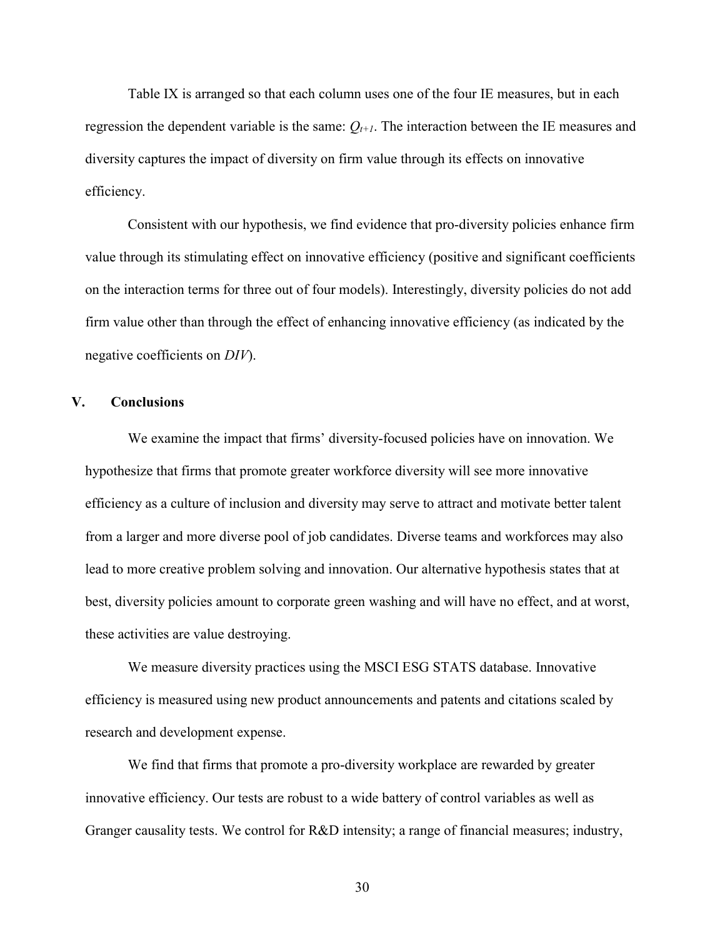Table IX is arranged so that each column uses one of the four IE measures, but in each regression the dependent variable is the same:  $Q_{t+1}$ . The interaction between the IE measures and diversity captures the impact of diversity on firm value through its effects on innovative efficiency.

Consistent with our hypothesis, we find evidence that pro-diversity policies enhance firm value through its stimulating effect on innovative efficiency (positive and significant coefficients on the interaction terms for three out of four models). Interestingly, diversity policies do not add firm value other than through the effect of enhancing innovative efficiency (as indicated by the negative coefficients on DIV).

#### V. Conclusions

We examine the impact that firms' diversity-focused policies have on innovation. We hypothesize that firms that promote greater workforce diversity will see more innovative efficiency as a culture of inclusion and diversity may serve to attract and motivate better talent from a larger and more diverse pool of job candidates. Diverse teams and workforces may also lead to more creative problem solving and innovation. Our alternative hypothesis states that at best, diversity policies amount to corporate green washing and will have no effect, and at worst, these activities are value destroying.

We measure diversity practices using the MSCI ESG STATS database. Innovative efficiency is measured using new product announcements and patents and citations scaled by research and development expense.

We find that firms that promote a pro-diversity workplace are rewarded by greater innovative efficiency. Our tests are robust to a wide battery of control variables as well as Granger causality tests. We control for R&D intensity; a range of financial measures; industry,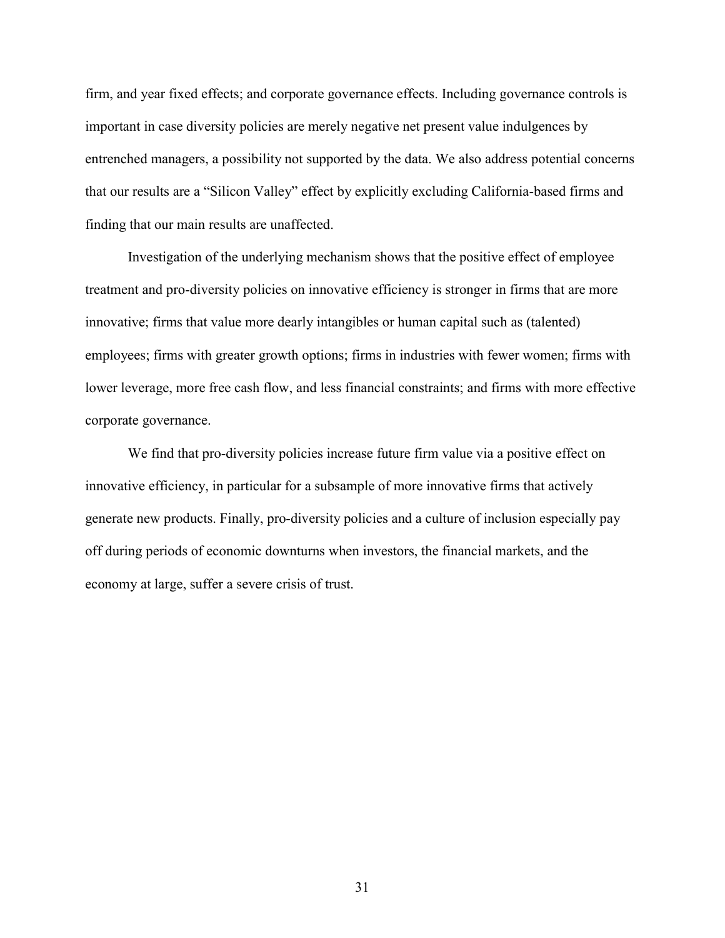firm, and year fixed effects; and corporate governance effects. Including governance controls is important in case diversity policies are merely negative net present value indulgences by entrenched managers, a possibility not supported by the data. We also address potential concerns that our results are a "Silicon Valley" effect by explicitly excluding California-based firms and finding that our main results are unaffected.

Investigation of the underlying mechanism shows that the positive effect of employee treatment and pro-diversity policies on innovative efficiency is stronger in firms that are more innovative; firms that value more dearly intangibles or human capital such as (talented) employees; firms with greater growth options; firms in industries with fewer women; firms with lower leverage, more free cash flow, and less financial constraints; and firms with more effective corporate governance.

We find that pro-diversity policies increase future firm value via a positive effect on innovative efficiency, in particular for a subsample of more innovative firms that actively generate new products. Finally, pro-diversity policies and a culture of inclusion especially pay off during periods of economic downturns when investors, the financial markets, and the economy at large, suffer a severe crisis of trust.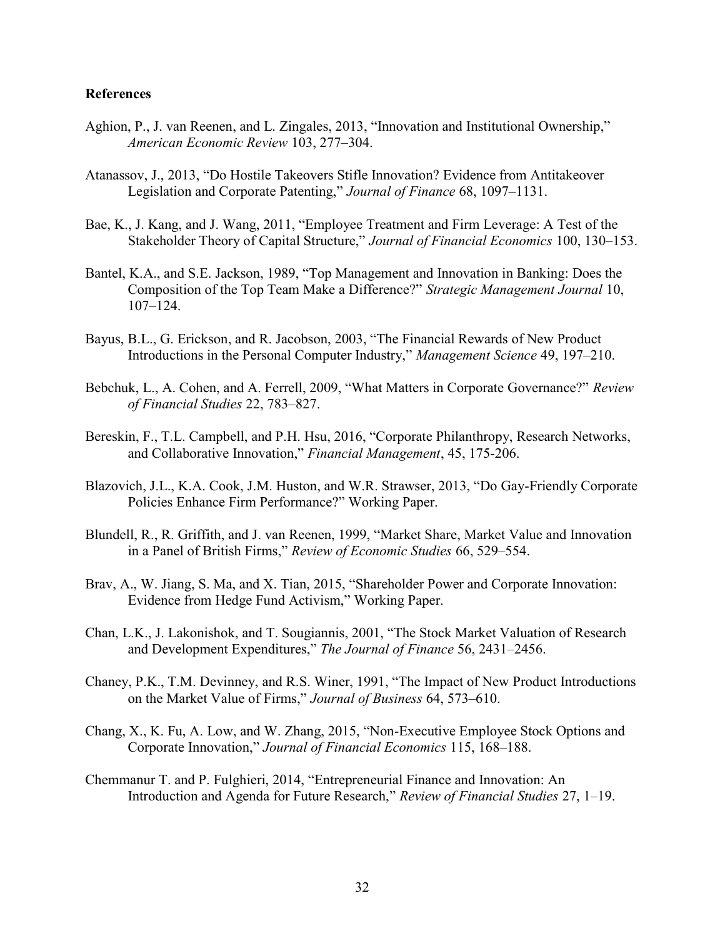## References

- Aghion, P., J. van Reenen, and L. Zingales, 2013, "Innovation and Institutional Ownership," American Economic Review 103, 277–304.
- Atanassov, J., 2013, "Do Hostile Takeovers Stifle Innovation? Evidence from Antitakeover Legislation and Corporate Patenting," Journal of Finance 68, 1097–1131.
- Bae, K., J. Kang, and J. Wang, 2011, "Employee Treatment and Firm Leverage: A Test of the Stakeholder Theory of Capital Structure," Journal of Financial Economics 100, 130–153.
- Bantel, K.A., and S.E. Jackson, 1989, "Top Management and Innovation in Banking: Does the Composition of the Top Team Make a Difference?" Strategic Management Journal 10, 107–124.
- Bayus, B.L., G. Erickson, and R. Jacobson, 2003, "The Financial Rewards of New Product Introductions in the Personal Computer Industry," Management Science 49, 197–210.
- Bebchuk, L., A. Cohen, and A. Ferrell, 2009, "What Matters in Corporate Governance?" Review of Financial Studies 22, 783–827.
- Bereskin, F., T.L. Campbell, and P.H. Hsu, 2016, "Corporate Philanthropy, Research Networks, and Collaborative Innovation," Financial Management, 45, 175-206.
- Blazovich, J.L., K.A. Cook, J.M. Huston, and W.R. Strawser, 2013, "Do Gay-Friendly Corporate Policies Enhance Firm Performance?" Working Paper.
- Blundell, R., R. Griffith, and J. van Reenen, 1999, "Market Share, Market Value and Innovation in a Panel of British Firms," Review of Economic Studies 66, 529-554.
- Brav, A., W. Jiang, S. Ma, and X. Tian, 2015, "Shareholder Power and Corporate Innovation: Evidence from Hedge Fund Activism," Working Paper.
- Chan, L.K., J. Lakonishok, and T. Sougiannis, 2001, "The Stock Market Valuation of Research and Development Expenditures," The Journal of Finance 56, 2431-2456.
- Chaney, P.K., T.M. Devinney, and R.S. Winer, 1991, "The Impact of New Product Introductions on the Market Value of Firms," Journal of Business 64, 573–610.
- Chang, X., K. Fu, A. Low, and W. Zhang, 2015, "Non-Executive Employee Stock Options and Corporate Innovation," Journal of Financial Economics 115, 168–188.
- Chemmanur T. and P. Fulghieri, 2014, "Entrepreneurial Finance and Innovation: An Introduction and Agenda for Future Research," Review of Financial Studies 27, 1–19.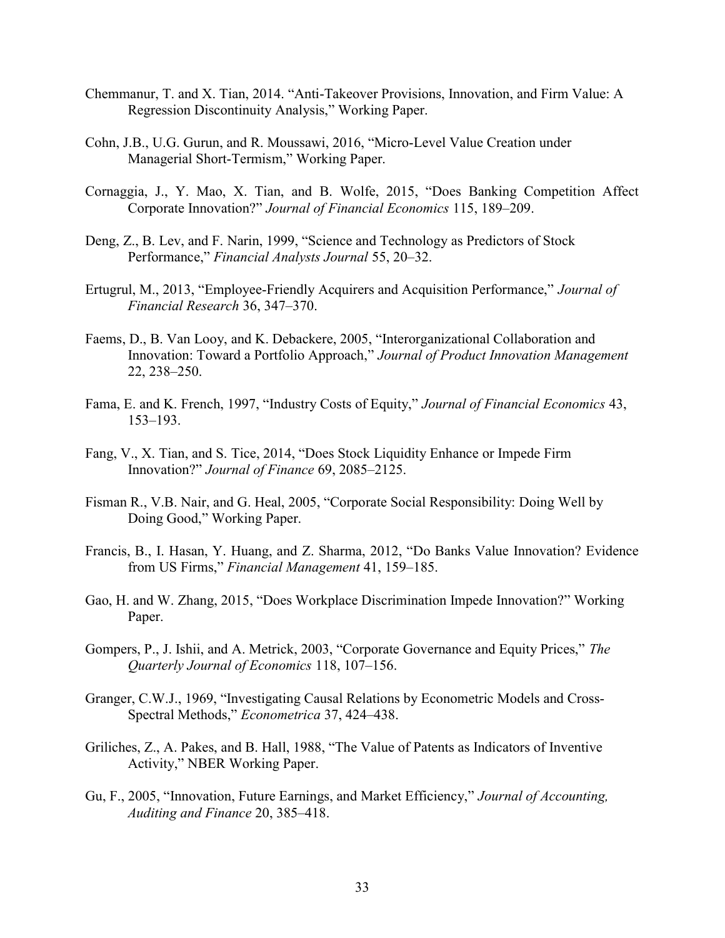- Chemmanur, T. and X. Tian, 2014. "Anti-Takeover Provisions, Innovation, and Firm Value: A Regression Discontinuity Analysis," Working Paper.
- Cohn, J.B., U.G. Gurun, and R. Moussawi, 2016, "Micro-Level Value Creation under Managerial Short-Termism," Working Paper.
- Cornaggia, J., Y. Mao, X. Tian, and B. Wolfe, 2015, "Does Banking Competition Affect Corporate Innovation?" Journal of Financial Economics 115, 189–209.
- Deng, Z., B. Lev, and F. Narin, 1999, "Science and Technology as Predictors of Stock Performance," Financial Analysts Journal 55, 20–32.
- Ertugrul, M., 2013, "Employee-Friendly Acquirers and Acquisition Performance," Journal of Financial Research 36, 347–370.
- Faems, D., B. Van Looy, and K. Debackere, 2005, "Interorganizational Collaboration and Innovation: Toward a Portfolio Approach," Journal of Product Innovation Management 22, 238–250.
- Fama, E. and K. French, 1997, "Industry Costs of Equity," Journal of Financial Economics 43, 153–193.
- Fang, V., X. Tian, and S. Tice, 2014, "Does Stock Liquidity Enhance or Impede Firm Innovation?" Journal of Finance 69, 2085–2125.
- Fisman R., V.B. Nair, and G. Heal, 2005, "Corporate Social Responsibility: Doing Well by Doing Good," Working Paper.
- Francis, B., I. Hasan, Y. Huang, and Z. Sharma, 2012, "Do Banks Value Innovation? Evidence from US Firms," Financial Management 41, 159–185.
- Gao, H. and W. Zhang, 2015, "Does Workplace Discrimination Impede Innovation?" Working Paper.
- Gompers, P., J. Ishii, and A. Metrick, 2003, "Corporate Governance and Equity Prices," The Quarterly Journal of Economics 118, 107–156.
- Granger, C.W.J., 1969, "Investigating Causal Relations by Econometric Models and Cross-Spectral Methods," Econometrica 37, 424–438.
- Griliches, Z., A. Pakes, and B. Hall, 1988, "The Value of Patents as Indicators of Inventive Activity," NBER Working Paper.
- Gu, F., 2005, "Innovation, Future Earnings, and Market Efficiency," Journal of Accounting, Auditing and Finance 20, 385–418.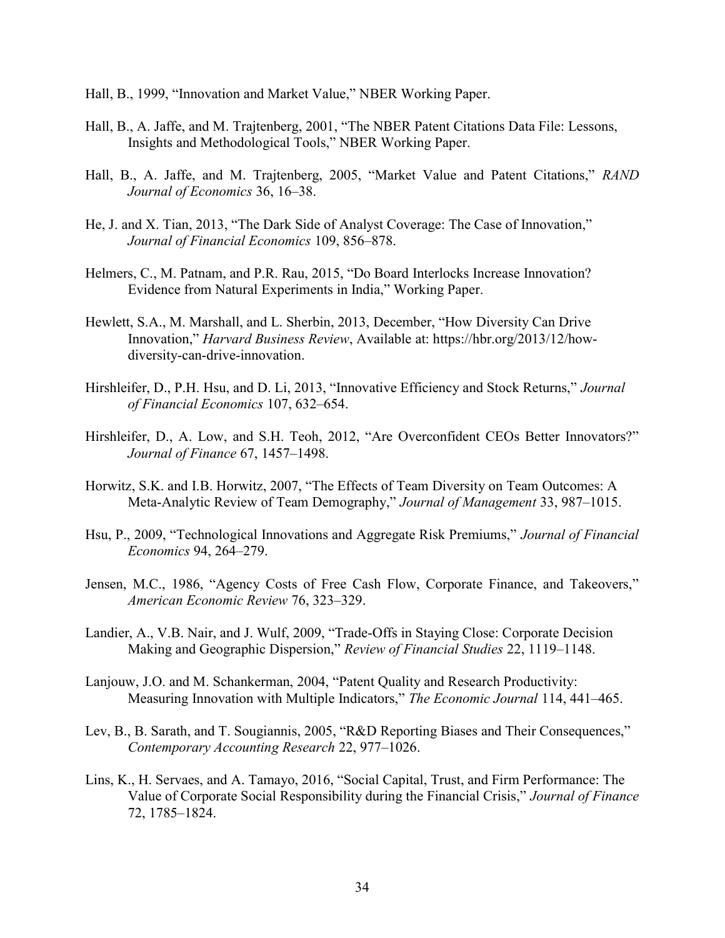- Hall, B., 1999, "Innovation and Market Value," NBER Working Paper.
- Hall, B., A. Jaffe, and M. Trajtenberg, 2001, "The NBER Patent Citations Data File: Lessons, Insights and Methodological Tools," NBER Working Paper.
- Hall, B., A. Jaffe, and M. Trajtenberg, 2005, "Market Value and Patent Citations," RAND Journal of Economics 36, 16–38.
- He, J. and X. Tian, 2013, "The Dark Side of Analyst Coverage: The Case of Innovation," Journal of Financial Economics 109, 856–878.
- Helmers, C., M. Patnam, and P.R. Rau, 2015, "Do Board Interlocks Increase Innovation? Evidence from Natural Experiments in India," Working Paper.
- Hewlett, S.A., M. Marshall, and L. Sherbin, 2013, December, "How Diversity Can Drive Innovation," Harvard Business Review, Available at: https://hbr.org/2013/12/howdiversity-can-drive-innovation.
- Hirshleifer, D., P.H. Hsu, and D. Li, 2013, "Innovative Efficiency and Stock Returns," Journal of Financial Economics 107, 632–654.
- Hirshleifer, D., A. Low, and S.H. Teoh, 2012, "Are Overconfident CEOs Better Innovators?" Journal of Finance 67, 1457–1498.
- Horwitz, S.K. and I.B. Horwitz, 2007, "The Effects of Team Diversity on Team Outcomes: A Meta-Analytic Review of Team Demography," Journal of Management 33, 987-1015.
- Hsu, P., 2009, "Technological Innovations and Aggregate Risk Premiums," Journal of Financial Economics 94, 264–279.
- Jensen, M.C., 1986, "Agency Costs of Free Cash Flow, Corporate Finance, and Takeovers," American Economic Review 76, 323–329.
- Landier, A., V.B. Nair, and J. Wulf, 2009, "Trade-Offs in Staying Close: Corporate Decision Making and Geographic Dispersion," Review of Financial Studies 22, 1119–1148.
- Lanjouw, J.O. and M. Schankerman, 2004, "Patent Quality and Research Productivity: Measuring Innovation with Multiple Indicators," The Economic Journal 114, 441–465.
- Lev, B., B. Sarath, and T. Sougiannis, 2005, "R&D Reporting Biases and Their Consequences," Contemporary Accounting Research 22, 977–1026.
- Lins, K., H. Servaes, and A. Tamayo, 2016, "Social Capital, Trust, and Firm Performance: The Value of Corporate Social Responsibility during the Financial Crisis," Journal of Finance 72, 1785–1824.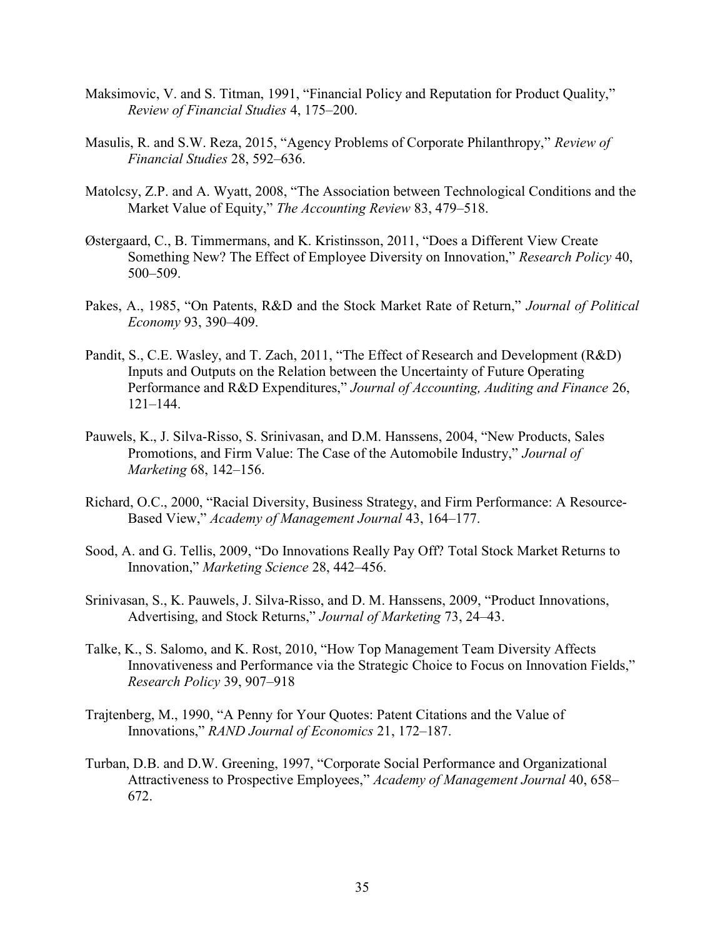- Maksimovic, V. and S. Titman, 1991, "Financial Policy and Reputation for Product Quality," Review of Financial Studies 4, 175–200.
- Masulis, R. and S.W. Reza, 2015, "Agency Problems of Corporate Philanthropy," Review of Financial Studies 28, 592–636.
- Matolcsy, Z.P. and A. Wyatt, 2008, "The Association between Technological Conditions and the Market Value of Equity," The Accounting Review 83, 479–518.
- Østergaard, C., B. Timmermans, and K. Kristinsson, 2011, "Does a Different View Create Something New? The Effect of Employee Diversity on Innovation," Research Policy 40, 500–509.
- Pakes, A., 1985, "On Patents, R&D and the Stock Market Rate of Return," Journal of Political Economy 93, 390–409.
- Pandit, S., C.E. Wasley, and T. Zach, 2011, "The Effect of Research and Development (R&D) Inputs and Outputs on the Relation between the Uncertainty of Future Operating Performance and R&D Expenditures," Journal of Accounting, Auditing and Finance 26, 121–144.
- Pauwels, K., J. Silva-Risso, S. Srinivasan, and D.M. Hanssens, 2004, "New Products, Sales Promotions, and Firm Value: The Case of the Automobile Industry," Journal of Marketing 68, 142–156.
- Richard, O.C., 2000, "Racial Diversity, Business Strategy, and Firm Performance: A Resource-Based View," Academy of Management Journal 43, 164–177.
- Sood, A. and G. Tellis, 2009, "Do Innovations Really Pay Off? Total Stock Market Returns to Innovation," Marketing Science 28, 442–456.
- Srinivasan, S., K. Pauwels, J. Silva-Risso, and D. M. Hanssens, 2009, "Product Innovations, Advertising, and Stock Returns," Journal of Marketing 73, 24–43.
- Talke, K., S. Salomo, and K. Rost, 2010, "How Top Management Team Diversity Affects Innovativeness and Performance via the Strategic Choice to Focus on Innovation Fields," Research Policy 39, 907–918
- Trajtenberg, M., 1990, "A Penny for Your Quotes: Patent Citations and the Value of Innovations," RAND Journal of Economics 21, 172–187.
- Turban, D.B. and D.W. Greening, 1997, "Corporate Social Performance and Organizational Attractiveness to Prospective Employees," Academy of Management Journal 40, 658– 672.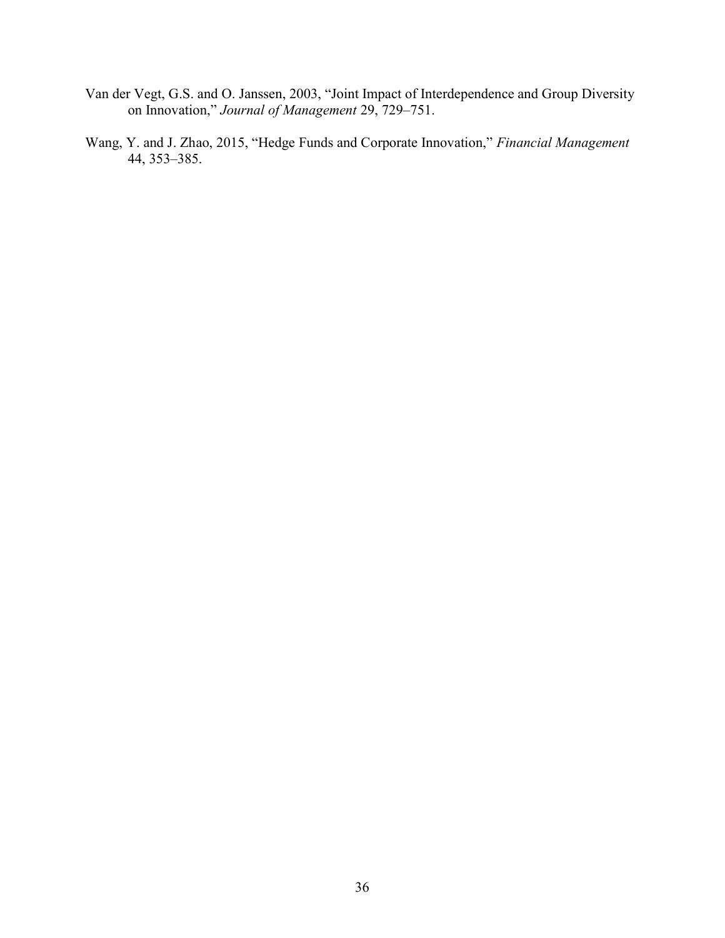- Van der Vegt, G.S. and O. Janssen, 2003, "Joint Impact of Interdependence and Group Diversity on Innovation," Journal of Management 29, 729–751.
- Wang, Y. and J. Zhao, 2015, "Hedge Funds and Corporate Innovation," Financial Management 44, 353–385.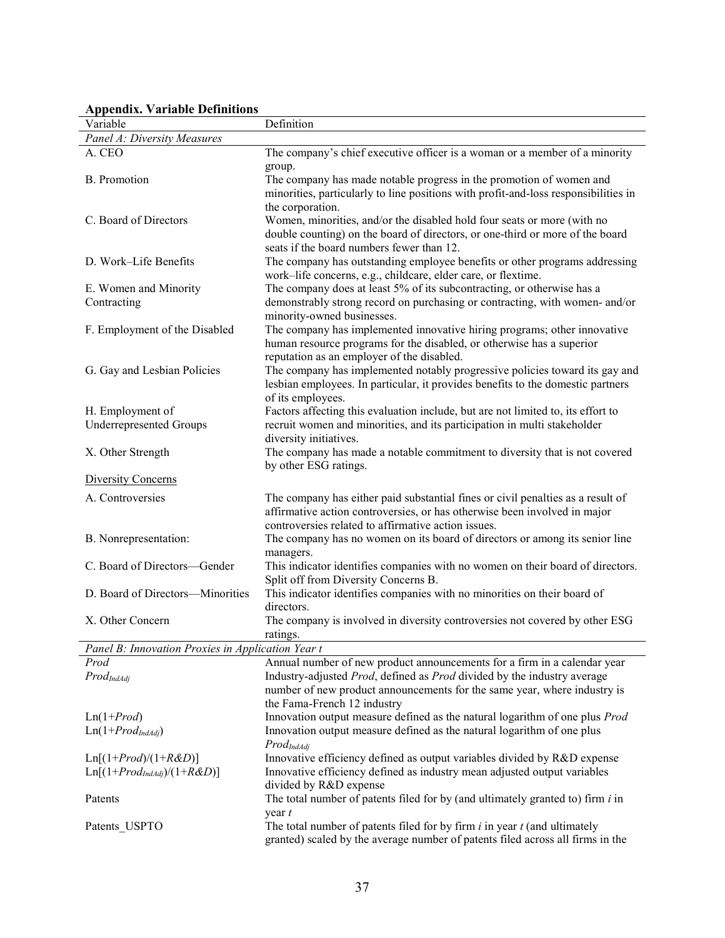| дррспиіл. У агіаніс іспіннічня<br>Variable        | Definition                                                                             |
|---------------------------------------------------|----------------------------------------------------------------------------------------|
| Panel A: Diversity Measures                       |                                                                                        |
| A. CEO                                            | The company's chief executive officer is a woman or a member of a minority             |
|                                                   | group.                                                                                 |
| <b>B.</b> Promotion                               | The company has made notable progress in the promotion of women and                    |
|                                                   | minorities, particularly to line positions with profit-and-loss responsibilities in    |
|                                                   | the corporation.                                                                       |
| C. Board of Directors                             | Women, minorities, and/or the disabled hold four seats or more (with no                |
|                                                   | double counting) on the board of directors, or one-third or more of the board          |
|                                                   | seats if the board numbers fewer than 12.                                              |
| D. Work-Life Benefits                             | The company has outstanding employee benefits or other programs addressing             |
|                                                   | work-life concerns, e.g., childcare, elder care, or flextime.                          |
| E. Women and Minority                             | The company does at least 5% of its subcontracting, or otherwise has a                 |
| Contracting                                       | demonstrably strong record on purchasing or contracting, with women- and/or            |
|                                                   | minority-owned businesses.                                                             |
| F. Employment of the Disabled                     | The company has implemented innovative hiring programs; other innovative               |
|                                                   | human resource programs for the disabled, or otherwise has a superior                  |
|                                                   | reputation as an employer of the disabled.                                             |
| G. Gay and Lesbian Policies                       | The company has implemented notably progressive policies toward its gay and            |
|                                                   | lesbian employees. In particular, it provides benefits to the domestic partners        |
|                                                   | of its employees.                                                                      |
| H. Employment of                                  | Factors affecting this evaluation include, but are not limited to, its effort to       |
| <b>Underrepresented Groups</b>                    | recruit women and minorities, and its participation in multi stakeholder               |
|                                                   | diversity initiatives.                                                                 |
| X. Other Strength                                 | The company has made a notable commitment to diversity that is not covered             |
|                                                   | by other ESG ratings.                                                                  |
| <b>Diversity Concerns</b>                         |                                                                                        |
| A. Controversies                                  | The company has either paid substantial fines or civil penalties as a result of        |
|                                                   | affirmative action controversies, or has otherwise been involved in major              |
|                                                   | controversies related to affirmative action issues.                                    |
| B. Nonrepresentation:                             | The company has no women on its board of directors or among its senior line            |
|                                                   | managers.                                                                              |
| C. Board of Directors-Gender                      | This indicator identifies companies with no women on their board of directors.         |
|                                                   | Split off from Diversity Concerns B.                                                   |
| D. Board of Directors-Minorities                  | This indicator identifies companies with no minorities on their board of<br>directors. |
| X. Other Concern                                  |                                                                                        |
|                                                   | The company is involved in diversity controversies not covered by other ESG            |
| Panel B: Innovation Proxies in Application Year t | ratings.                                                                               |
| Prod                                              | Annual number of new product announcements for a firm in a calendar year               |
| $Prod_{IndAdj}$                                   | Industry-adjusted Prod, defined as Prod divided by the industry average                |
|                                                   | number of new product announcements for the same year, where industry is               |
|                                                   | the Fama-French 12 industry                                                            |
| $Ln(1+Prod)$                                      | Innovation output measure defined as the natural logarithm of one plus Prod            |
| $Ln(1+Prod_{IndAdj})$                             | Innovation output measure defined as the natural logarithm of one plus                 |
|                                                   | $Prod_{IndAdi}$                                                                        |
| $Ln[(1+Prod)/(1+R&D)]$                            | Innovative efficiency defined as output variables divided by R&D expense               |
| $Ln[(1+Prod_{IndAdj})/(1+R&D)]$                   | Innovative efficiency defined as industry mean adjusted output variables               |
|                                                   | divided by R&D expense                                                                 |
| Patents                                           | The total number of patents filed for by (and ultimately granted to) firm $i$ in       |
|                                                   | year t                                                                                 |
| Patents_USPTO                                     | The total number of patents filed for by firm $i$ in year $t$ (and ultimately          |
|                                                   | granted) scaled by the average number of patents filed across all firms in the         |

# Appendix. Variable Definitions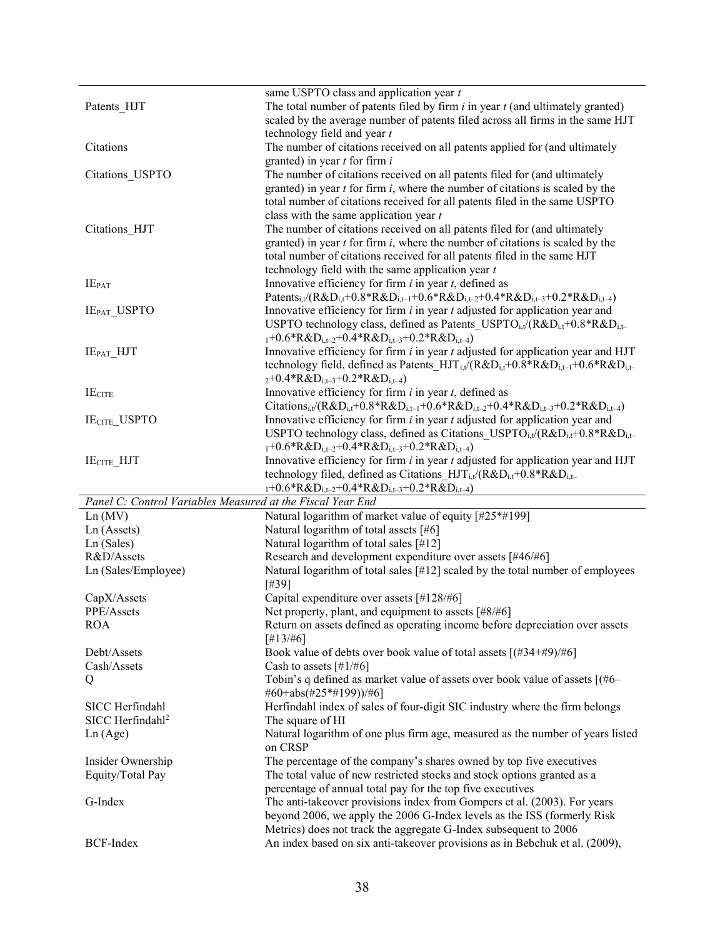|                                                            | same USPTO class and application year $t$                                                                                                               |
|------------------------------------------------------------|---------------------------------------------------------------------------------------------------------------------------------------------------------|
| Patents_HJT                                                | The total number of patents filed by firm $i$ in year $t$ (and ultimately granted)                                                                      |
|                                                            | scaled by the average number of patents filed across all firms in the same HJT                                                                          |
|                                                            | technology field and year t                                                                                                                             |
| Citations                                                  | The number of citations received on all patents applied for (and ultimately                                                                             |
|                                                            | granted) in year $t$ for firm $i$                                                                                                                       |
| Citations USPTO                                            | The number of citations received on all patents filed for (and ultimately                                                                               |
|                                                            |                                                                                                                                                         |
|                                                            | granted) in year $t$ for firm $i$ , where the number of citations is scaled by the                                                                      |
|                                                            | total number of citations received for all patents filed in the same USPTO                                                                              |
|                                                            | class with the same application year $t$                                                                                                                |
| Citations HJT                                              | The number of citations received on all patents filed for (and ultimately                                                                               |
|                                                            | granted) in year $t$ for firm $i$ , where the number of citations is scaled by the                                                                      |
|                                                            | total number of citations received for all patents filed in the same HJT                                                                                |
|                                                            | technology field with the same application year $t$                                                                                                     |
| $IE_{PAT}$                                                 | Innovative efficiency for firm $i$ in year $t$ , defined as                                                                                             |
|                                                            | Patents <sub>i,t</sub> /(R&D <sub>i,t</sub> +0.8*R&D <sub>i,t-1</sub> +0.6*R&D <sub>i,t-2</sub> +0.4*R&D <sub>i,t-3</sub> +0.2*R&D <sub>i,t-4</sub> )   |
| IE <sub>PAT_</sub> USPTO                                   | Innovative efficiency for firm $i$ in year $t$ adjusted for application year and                                                                        |
|                                                            | USPTO technology class, defined as Patents_USPTO <sub>i,t</sub> /( $R&D_{i,t}+0.8&R&D_{i,t-}$                                                           |
|                                                            | $_{1}+0.6*R\&D_{i,t-2}+0.4*R\&D_{i,t-3}+0.2*R\&D_{i,t-4})$                                                                                              |
| $IE_{PATH}$ $HJT$                                          | Innovative efficiency for firm $i$ in year $t$ adjusted for application year and HJT                                                                    |
|                                                            | technology field, defined as Patents $HJT_{i,t}/(R\&D_{i,t}+0.8*R\&D_{i,t-1}+0.6*R\&D_{i,t-1}$                                                          |
|                                                            | $_{2}+0.4*R\&D_{i,t-3}+0.2*R\&D_{i,t-4})$                                                                                                               |
| <b>IECITE</b>                                              | Innovative efficiency for firm $i$ in year $t$ , defined as                                                                                             |
|                                                            | Citations <sub>i,t</sub> /(R&D <sub>i,t</sub> +0.8*R&D <sub>i,t-1</sub> +0.6*R&D <sub>i,t-2</sub> +0.4*R&D <sub>i,t-3</sub> +0.2*R&D <sub>i,t-4</sub> ) |
|                                                            | Innovative efficiency for firm $i$ in year $t$ adjusted for application year and                                                                        |
| <b>IECITE_USPTO</b>                                        |                                                                                                                                                         |
|                                                            | USPTO technology class, defined as Citations USPTO <sub>i.t</sub> /( $R&D_{i,t}+0.8&R&D_{i,t-}$                                                         |
|                                                            | $_{1}+0.6*R\&D_{i,t-2}+0.4*R\&D_{i,t-3}+0.2*R\&D_{i,t-4})$                                                                                              |
| IE <sub>CITE</sub> HJT                                     | Innovative efficiency for firm $i$ in year $t$ adjusted for application year and HJT                                                                    |
|                                                            | technology filed, defined as Citations $HJT_{i,t}/(R\&D_{i,t}+0.8*R\&D_{i,t-1})$                                                                        |
|                                                            | $_{1}+0.6*R\&D_{i,t-2}+0.4*R\&D_{i,t-3}+0.2*R\&D_{i,t-4})$                                                                                              |
| Panel C: Control Variables Measured at the Fiscal Year End |                                                                                                                                                         |
| Ln(MV)                                                     | Natural logarithm of market value of equity [#25*#199]                                                                                                  |
| Ln (Assets)                                                | Natural logarithm of total assets [#6]                                                                                                                  |
| Ln (Sales)                                                 | Natural logarithm of total sales [#12]                                                                                                                  |
| R&D/Assets                                                 | Research and development expenditure over assets [#46/#6]                                                                                               |
| Ln (Sales/Employee)                                        | Natural logarithm of total sales [#12] scaled by the total number of employees                                                                          |
|                                                            | [#39]                                                                                                                                                   |
| CapX/Assets                                                | Capital expenditure over assets [#128/#6]                                                                                                               |
| PPE/Assets                                                 | Net property, plant, and equipment to assets [#8/#6]                                                                                                    |
| <b>ROA</b>                                                 | Return on assets defined as operating income before depreciation over assets                                                                            |
|                                                            | [#13/#6]                                                                                                                                                |
| Debt/Assets                                                | Book value of debts over book value of total assets [(#34+#9)/#6]                                                                                       |
| Cash/Assets                                                | Cash to assets $[#1/#6]$                                                                                                                                |
| Q                                                          | Tobin's q defined as market value of assets over book value of assets [(#6–                                                                             |
|                                                            | #60+abs(#25*#199))/#6]                                                                                                                                  |
| SICC Herfindahl                                            | Herfindahl index of sales of four-digit SIC industry where the firm belongs                                                                             |
| SICC Herfindahl <sup>2</sup>                               | The square of HI                                                                                                                                        |
|                                                            | Natural logarithm of one plus firm age, measured as the number of years listed                                                                          |
| Ln(Age)                                                    | on CRSP                                                                                                                                                 |
| Insider Ownership                                          | The percentage of the company's shares owned by top five executives                                                                                     |
| Equity/Total Pay                                           | The total value of new restricted stocks and stock options granted as a                                                                                 |
|                                                            | percentage of annual total pay for the top five executives                                                                                              |
| G-Index                                                    | The anti-takeover provisions index from Gompers et al. (2003). For years                                                                                |
|                                                            | beyond 2006, we apply the 2006 G-Index levels as the ISS (formerly Risk                                                                                 |
|                                                            | Metrics) does not track the aggregate G-Index subsequent to 2006                                                                                        |
|                                                            |                                                                                                                                                         |
| <b>BCF-Index</b>                                           | An index based on six anti-takeover provisions as in Bebchuk et al. (2009),                                                                             |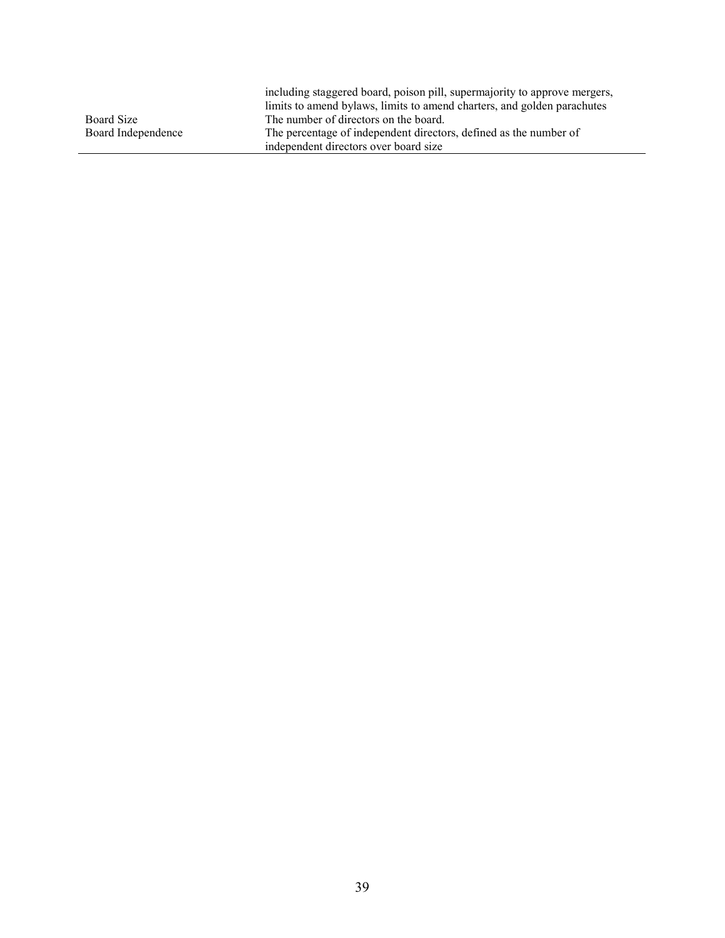|                    | including staggered board, poison pill, supermajority to approve mergers, |
|--------------------|---------------------------------------------------------------------------|
|                    | limits to amend by laws, limits to amend charters, and golden parachutes  |
| Board Size         | The number of directors on the board.                                     |
| Board Independence | The percentage of independent directors, defined as the number of         |
|                    | independent directors over board size                                     |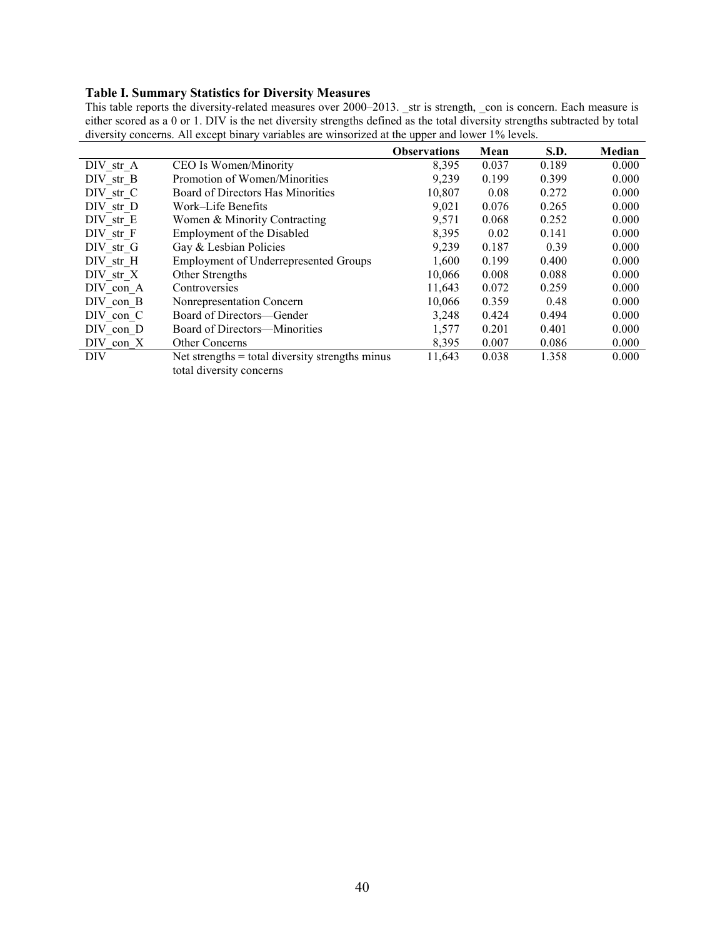#### Table I. Summary Statistics for Diversity Measures

This table reports the diversity-related measures over 2000–2013. \_str is strength, \_con is concern. Each measure is either scored as a 0 or 1. DIV is the net diversity strengths defined as the total diversity strengths subtracted by total diversity concerns. All except binary variables are winsorized at the upper and lower 1% levels.

|           |                                                   | <b>Observations</b> | Mean  | S.D.  | Median |
|-----------|---------------------------------------------------|---------------------|-------|-------|--------|
| DIV str A | CEO Is Women/Minority                             | 8,395               | 0.037 | 0.189 | 0.000  |
| DIV str B | Promotion of Women/Minorities                     | 9,239               | 0.199 | 0.399 | 0.000  |
| DIV str C | Board of Directors Has Minorities                 | 10,807              | 0.08  | 0.272 | 0.000  |
| DIV str D | Work-Life Benefits                                | 9,021               | 0.076 | 0.265 | 0.000  |
| DIV str E | Women & Minority Contracting                      | 9,571               | 0.068 | 0.252 | 0.000  |
| DIV str F | <b>Employment of the Disabled</b>                 | 8,395               | 0.02  | 0.141 | 0.000  |
| DIV str G | Gay & Lesbian Policies                            | 9,239               | 0.187 | 0.39  | 0.000  |
| DIV str H | <b>Employment of Underrepresented Groups</b>      | 1,600               | 0.199 | 0.400 | 0.000  |
| DIV str X | Other Strengths                                   | 10,066              | 0.008 | 0.088 | 0.000  |
| DIV con A | Controversies                                     | 11,643              | 0.072 | 0.259 | 0.000  |
| DIV con B | Nonrepresentation Concern                         | 10,066              | 0.359 | 0.48  | 0.000  |
| DIV con C | Board of Directors—Gender                         | 3,248               | 0.424 | 0.494 | 0.000  |
| DIV con D | Board of Directors—Minorities                     | 1,577               | 0.201 | 0.401 | 0.000  |
| DIV con X | <b>Other Concerns</b>                             | 8,395               | 0.007 | 0.086 | 0.000  |
| DIV       | Net strengths $=$ total diversity strengths minus | 11,643              | 0.038 | 1.358 | 0.000  |
|           | total diversity concerns                          |                     |       |       |        |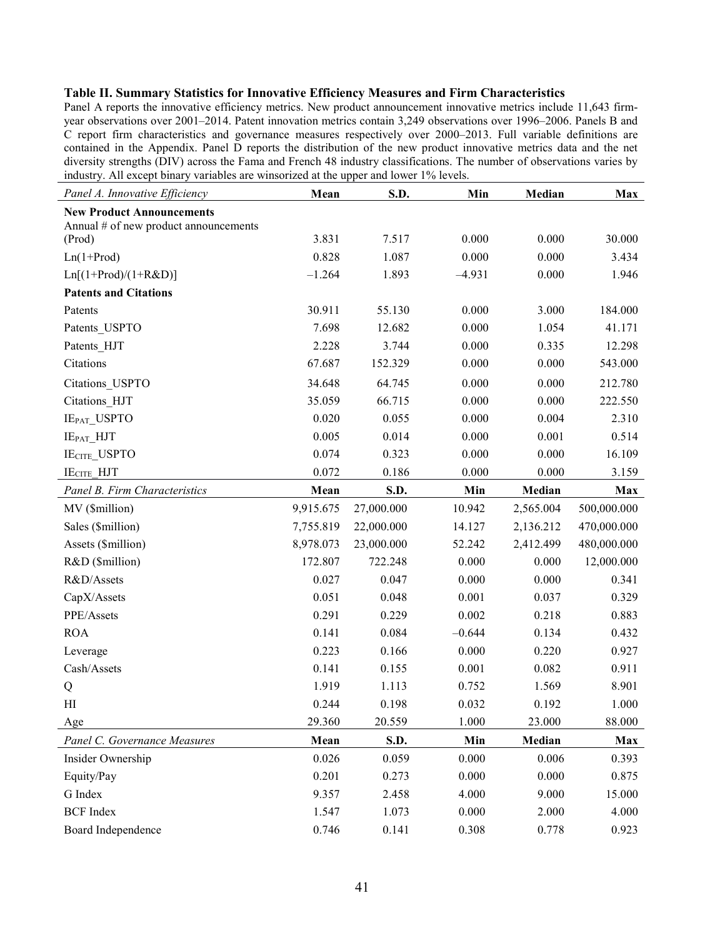#### Table II. Summary Statistics for Innovative Efficiency Measures and Firm Characteristics

Panel A reports the innovative efficiency metrics. New product announcement innovative metrics include 11,643 firmyear observations over 2001–2014. Patent innovation metrics contain 3,249 observations over 1996–2006. Panels B and C report firm characteristics and governance measures respectively over 2000–2013. Full variable definitions are contained in the Appendix. Panel D reports the distribution of the new product innovative metrics data and the net diversity strengths (DIV) across the Fama and French 48 industry classifications. The number of observations varies by industry. All except binary variables are winsorized at the upper and lower 1% levels.

| Panel A. Innovative Efficiency                                            | Mean      | S.D.       | Min      | Median    | Max         |
|---------------------------------------------------------------------------|-----------|------------|----------|-----------|-------------|
| <b>New Product Announcements</b><br>Annual # of new product announcements |           |            |          |           |             |
| (Prod)                                                                    | 3.831     | 7.517      | 0.000    | 0.000     | 30.000      |
| $Ln(1+Prod)$                                                              | 0.828     | 1.087      | 0.000    | 0.000     | 3.434       |
| $Ln[(1+Prod)/(1+R&D)]$                                                    | $-1.264$  | 1.893      | $-4.931$ | 0.000     | 1.946       |
| <b>Patents and Citations</b>                                              |           |            |          |           |             |
| Patents                                                                   | 30.911    | 55.130     | 0.000    | 3.000     | 184.000     |
| Patents USPTO                                                             | 7.698     | 12.682     | 0.000    | 1.054     | 41.171      |
| Patents_HJT                                                               | 2.228     | 3.744      | 0.000    | 0.335     | 12.298      |
| Citations                                                                 | 67.687    | 152.329    | 0.000    | 0.000     | 543.000     |
| Citations USPTO                                                           | 34.648    | 64.745     | 0.000    | 0.000     | 212.780     |
| Citations HJT                                                             | 35.059    | 66.715     | 0.000    | 0.000     | 222.550     |
| IE <sub>PAT_</sub> USPTO                                                  | 0.020     | 0.055      | 0.000    | 0.004     | 2.310       |
| IEPAT HJT                                                                 | 0.005     | 0.014      | 0.000    | 0.001     | 0.514       |
| IECITE_USPTO                                                              | 0.074     | 0.323      | 0.000    | 0.000     | 16.109      |
| <b>IECITE HJT</b>                                                         | 0.072     | 0.186      | 0.000    | 0.000     | 3.159       |
| Panel B. Firm Characteristics                                             | Mean      | S.D.       | Min      | Median    | <b>Max</b>  |
| MV (\$million)                                                            | 9,915.675 | 27,000.000 | 10.942   | 2,565.004 | 500,000.000 |
| Sales (\$million)                                                         | 7,755.819 | 22,000.000 | 14.127   | 2,136.212 | 470,000.000 |
| Assets (\$million)                                                        | 8,978.073 | 23,000.000 | 52.242   | 2,412.499 | 480,000.000 |
| R&D (\$million)                                                           | 172.807   | 722.248    | 0.000    | 0.000     | 12,000.000  |
| R&D/Assets                                                                | 0.027     | 0.047      | 0.000    | 0.000     | 0.341       |
| CapX/Assets                                                               | 0.051     | 0.048      | 0.001    | 0.037     | 0.329       |
| PPE/Assets                                                                | 0.291     | 0.229      | 0.002    | 0.218     | 0.883       |
| <b>ROA</b>                                                                | 0.141     | 0.084      | $-0.644$ | 0.134     | 0.432       |
| Leverage                                                                  | 0.223     | 0.166      | 0.000    | 0.220     | 0.927       |
| Cash/Assets                                                               | 0.141     | 0.155      | 0.001    | 0.082     | 0.911       |
| Q                                                                         | 1.919     | 1.113      | 0.752    | 1.569     | 8.901       |
| H                                                                         | 0.244     | 0.198      | 0.032    | 0.192     | 1.000       |
| Age                                                                       | 29.360    | 20.559     | 1.000    | 23.000    | 88.000      |
| Panel C. Governance Measures                                              | Mean      | S.D.       | Min      | Median    | Max         |
| Insider Ownership                                                         | 0.026     | 0.059      | 0.000    | 0.006     | 0.393       |
| Equity/Pay                                                                | 0.201     | 0.273      | 0.000    | 0.000     | 0.875       |
| G Index                                                                   | 9.357     | 2.458      | 4.000    | 9.000     | 15.000      |
| <b>BCF</b> Index                                                          | 1.547     | 1.073      | 0.000    | 2.000     | 4.000       |
| Board Independence                                                        | 0.746     | 0.141      | 0.308    | 0.778     | 0.923       |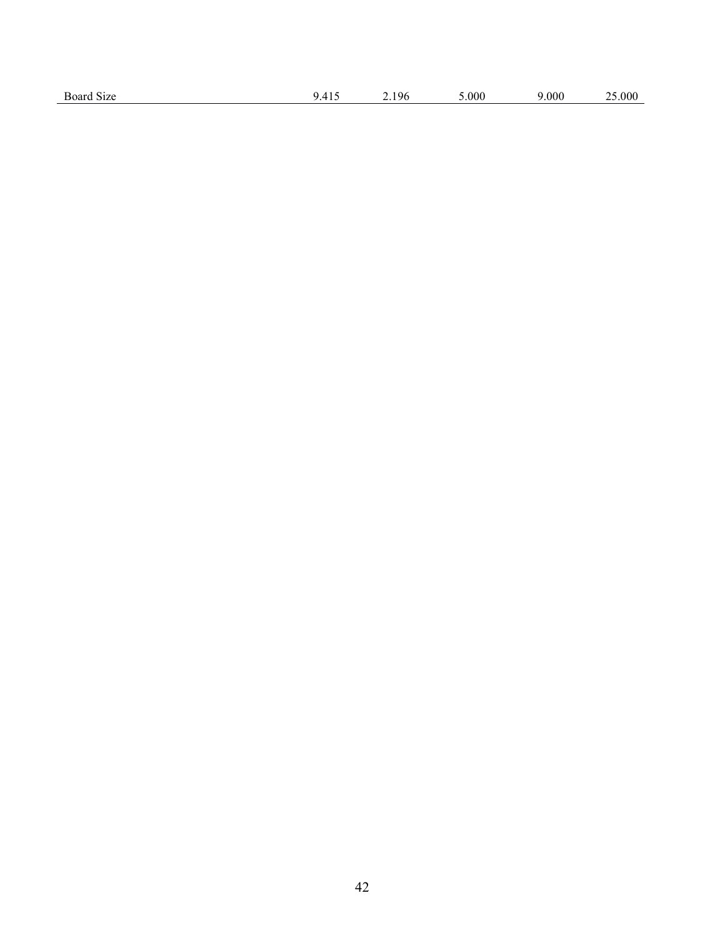| Board Size | $\prime$<br>. | 196<br>. | 5.000 | 000. | .000 |
|------------|---------------|----------|-------|------|------|
|            |               |          |       |      |      |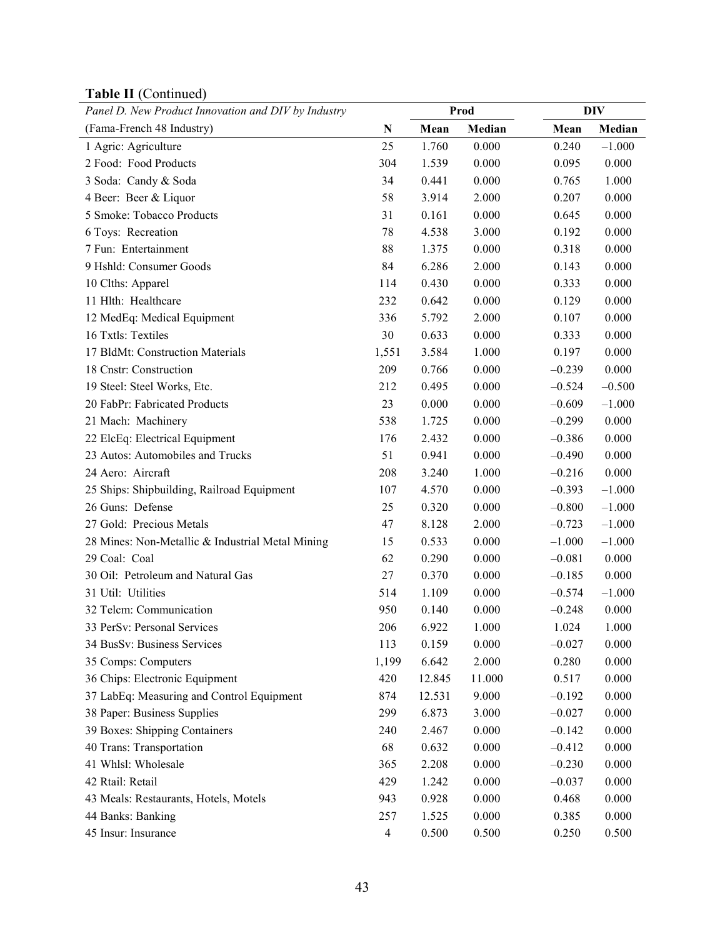| 1001011(001)<br>Panel D. New Product Innovation and DIV by Industry |                |        | Prod   |          | <b>DIV</b> |
|---------------------------------------------------------------------|----------------|--------|--------|----------|------------|
| (Fama-French 48 Industry)                                           | ${\bf N}$      | Mean   | Median | Mean     | Median     |
| 1 Agric: Agriculture                                                | 25             | 1.760  | 0.000  | 0.240    | $-1.000$   |
| 2 Food: Food Products                                               | 304            | 1.539  | 0.000  | 0.095    | 0.000      |
| 3 Soda: Candy & Soda                                                | 34             | 0.441  | 0.000  | 0.765    | 1.000      |
| 4 Beer: Beer & Liquor                                               | 58             | 3.914  | 2.000  | 0.207    | 0.000      |
| 5 Smoke: Tobacco Products                                           | 31             | 0.161  | 0.000  | 0.645    | 0.000      |
| 6 Toys: Recreation                                                  | 78             | 4.538  | 3.000  | 0.192    | 0.000      |
| 7 Fun: Entertainment                                                | 88             | 1.375  | 0.000  | 0.318    | 0.000      |
| 9 Hshld: Consumer Goods                                             | 84             | 6.286  | 2.000  | 0.143    | 0.000      |
| 10 Clths: Apparel                                                   | 114            | 0.430  | 0.000  | 0.333    | 0.000      |
| 11 Hlth: Healthcare                                                 | 232            | 0.642  | 0.000  | 0.129    | 0.000      |
| 12 MedEq: Medical Equipment                                         | 336            | 5.792  | 2.000  | 0.107    | 0.000      |
| 16 Txtls: Textiles                                                  | 30             | 0.633  | 0.000  | 0.333    | 0.000      |
| 17 BldMt: Construction Materials                                    | 1,551          | 3.584  | 1.000  | 0.197    | 0.000      |
| 18 Cnstr: Construction                                              | 209            | 0.766  | 0.000  | $-0.239$ | 0.000      |
| 19 Steel: Steel Works, Etc.                                         | 212            | 0.495  | 0.000  | $-0.524$ | $-0.500$   |
| 20 FabPr: Fabricated Products                                       | 23             | 0.000  | 0.000  | $-0.609$ | $-1.000$   |
| 21 Mach: Machinery                                                  | 538            | 1.725  | 0.000  | $-0.299$ | 0.000      |
| 22 ElcEq: Electrical Equipment                                      | 176            | 2.432  | 0.000  | $-0.386$ | 0.000      |
| 23 Autos: Automobiles and Trucks                                    | 51             | 0.941  | 0.000  | $-0.490$ | 0.000      |
| 24 Aero: Aircraft                                                   | 208            | 3.240  | 1.000  | $-0.216$ | 0.000      |
| 25 Ships: Shipbuilding, Railroad Equipment                          | 107            | 4.570  | 0.000  | $-0.393$ | $-1.000$   |
| 26 Guns: Defense                                                    | 25             | 0.320  | 0.000  | $-0.800$ | $-1.000$   |
| 27 Gold: Precious Metals                                            | 47             | 8.128  | 2.000  | $-0.723$ | $-1.000$   |
| 28 Mines: Non-Metallic & Industrial Metal Mining                    | 15             | 0.533  | 0.000  | $-1.000$ | $-1.000$   |
| 29 Coal: Coal                                                       | 62             | 0.290  | 0.000  | $-0.081$ | 0.000      |
| 30 Oil: Petroleum and Natural Gas                                   | 27             | 0.370  | 0.000  | $-0.185$ | 0.000      |
| 31 Util: Utilities                                                  | 514            | 1.109  | 0.000  | $-0.574$ | $-1.000$   |
| 32 Telcm: Communication                                             | 950            | 0.140  | 0.000  | $-0.248$ | 0.000      |
| 33 PerSv: Personal Services                                         | 206            | 6.922  | 1.000  | 1.024    | 1.000      |
| 34 BusSv: Business Services                                         | 113            | 0.159  | 0.000  | $-0.027$ | 0.000      |
| 35 Comps: Computers                                                 | 1,199          | 6.642  | 2.000  | 0.280    | 0.000      |
| 36 Chips: Electronic Equipment                                      | 420            | 12.845 | 11.000 | 0.517    | 0.000      |
| 37 LabEq: Measuring and Control Equipment                           | 874            | 12.531 | 9.000  | $-0.192$ | 0.000      |
| 38 Paper: Business Supplies                                         | 299            | 6.873  | 3.000  | $-0.027$ | 0.000      |
| 39 Boxes: Shipping Containers                                       | 240            | 2.467  | 0.000  | $-0.142$ | 0.000      |
| 40 Trans: Transportation                                            | 68             | 0.632  | 0.000  | $-0.412$ | 0.000      |
| 41 Whlsl: Wholesale                                                 | 365            | 2.208  | 0.000  | $-0.230$ | 0.000      |
| 42 Rtail: Retail                                                    | 429            | 1.242  | 0.000  | $-0.037$ | 0.000      |
| 43 Meals: Restaurants, Hotels, Motels                               | 943            | 0.928  | 0.000  | 0.468    | 0.000      |
| 44 Banks: Banking                                                   | 257            | 1.525  | 0.000  | 0.385    | 0.000      |
| 45 Insur: Insurance                                                 | $\overline{4}$ | 0.500  | 0.500  | 0.250    | 0.500      |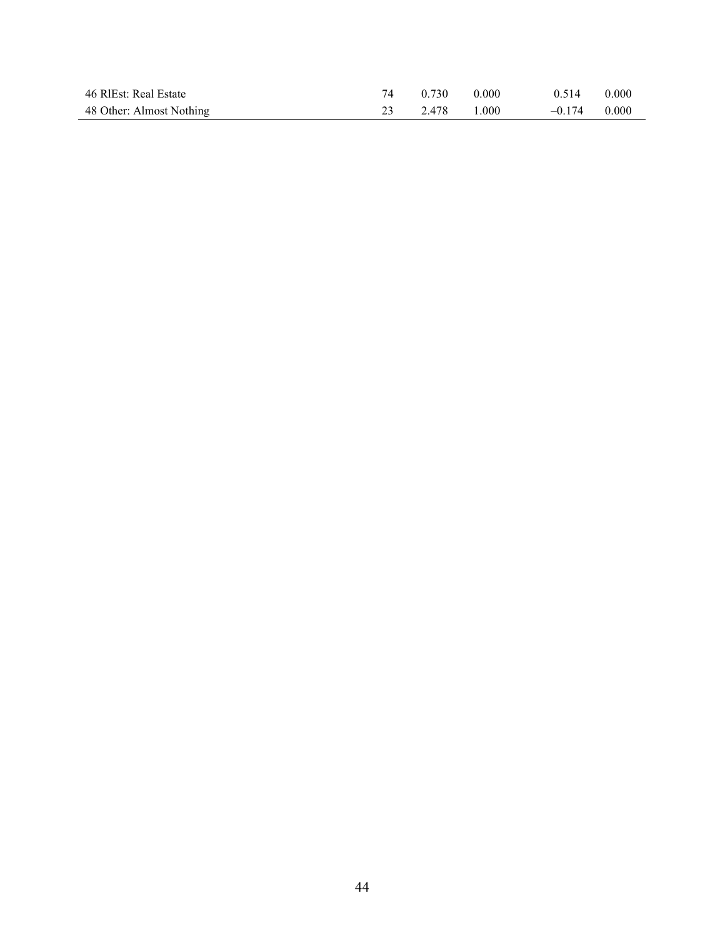| 46 RIEst: Real Estate    | 74 | 0.730 | 0.000 | 0.514    | 0.000 |
|--------------------------|----|-------|-------|----------|-------|
| 48 Other: Almost Nothing |    | 2.478 | 1.000 | $-0.174$ | 0.000 |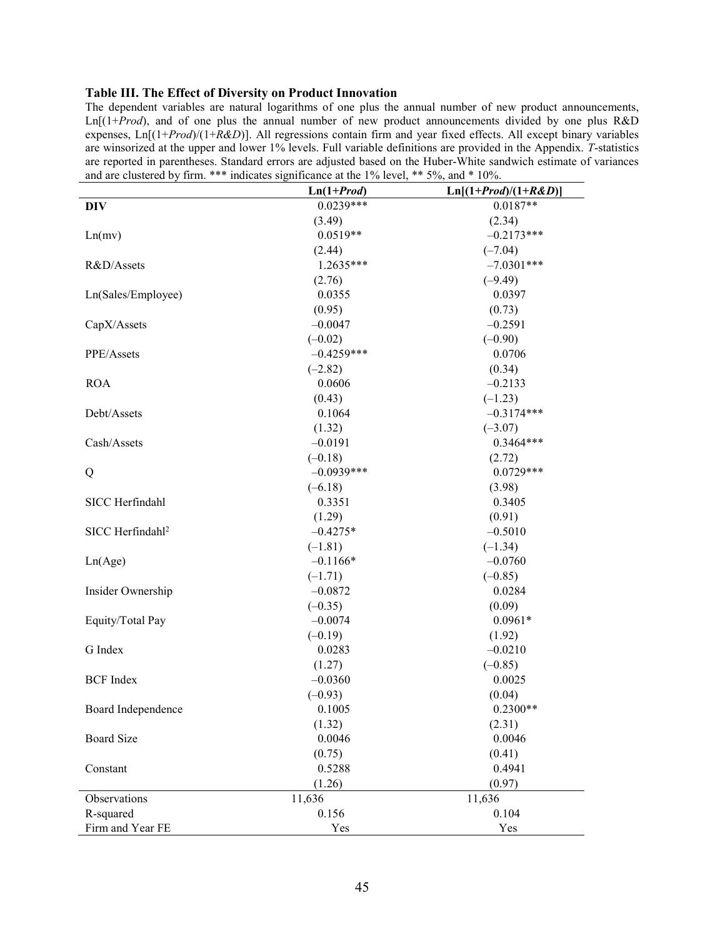#### Table III. The Effect of Diversity on Product Innovation

The dependent variables are natural logarithms of one plus the annual number of new product announcements,  $\text{Ln}[(1+Prod)$ , and of one plus the annual number of new product announcements divided by one plus R&D expenses, Ln[(1+Prod)/(1+R&D)]. All regressions contain firm and year fixed effects. All except binary variables are winsorized at the upper and lower 1% levels. Full variable definitions are provided in the Appendix. T-statistics are reported in parentheses. Standard errors are adjusted based on the Huber-White sandwich estimate of variances and are clustered by firm. \*\*\* indicates significance at the 1% level, \*\* 5%, and \* 10%.

|                              | $Ln(1+Prod)$ | $Ln[(1+Prod)/(1+R\&D)]$ |
|------------------------------|--------------|-------------------------|
| DIV                          | $0.0239***$  | $0.0187**$              |
|                              | (3.49)       | (2.34)                  |
| Ln(mv)                       | $0.0519**$   | $-0.2173***$            |
|                              | (2.44)       | $(-7.04)$               |
| R&D/Assets                   | $1.2635***$  | $-7.0301***$            |
|                              | (2.76)       | $(-9.49)$               |
| Ln(Sales/Employee)           | 0.0355       | 0.0397                  |
|                              | (0.95)       | (0.73)                  |
| CapX/Assets                  | $-0.0047$    | $-0.2591$               |
|                              | $(-0.02)$    | $(-0.90)$               |
| PPE/Assets                   | $-0.4259***$ | 0.0706                  |
|                              | $(-2.82)$    | (0.34)                  |
| <b>ROA</b>                   | 0.0606       | $-0.2133$               |
|                              | (0.43)       | $(-1.23)$               |
| Debt/Assets                  | 0.1064       | $-0.3174***$            |
|                              | (1.32)       | $(-3.07)$               |
| Cash/Assets                  | $-0.0191$    | $0.3464***$             |
|                              | $(-0.18)$    | (2.72)                  |
| Q                            | $-0.0939***$ | $0.0729***$             |
|                              | $(-6.18)$    | (3.98)                  |
| SICC Herfindahl              | 0.3351       | 0.3405                  |
|                              | (1.29)       | (0.91)                  |
| SICC Herfindahl <sup>2</sup> | $-0.4275*$   | $-0.5010$               |
|                              | $(-1.81)$    | $(-1.34)$               |
| Ln(Age)                      | $-0.1166*$   | $-0.0760$               |
|                              | $(-1.71)$    | $(-0.85)$               |
| Insider Ownership            | $-0.0872$    | 0.0284                  |
|                              | $(-0.35)$    | (0.09)                  |
| Equity/Total Pay             | $-0.0074$    | $0.0961*$               |
|                              | $(-0.19)$    | (1.92)                  |
| G Index                      | 0.0283       | $-0.0210$               |
|                              | (1.27)       | $(-0.85)$               |
| <b>BCF</b> Index             | $-0.0360$    | 0.0025                  |
|                              | $(-0.93)$    | (0.04)                  |
| Board Independence           | 0.1005       | $0.2300**$              |
|                              | (1.32)       | (2.31)                  |
| <b>Board Size</b>            | 0.0046       | 0.0046                  |
|                              | (0.75)       | (0.41)                  |
| Constant                     | 0.5288       | 0.4941                  |
|                              | (1.26)       | (0.97)                  |
| Observations                 | 11,636       | 11,636                  |
| R-squared                    | 0.156        | 0.104                   |
| Firm and Year FE             | Yes          | Yes                     |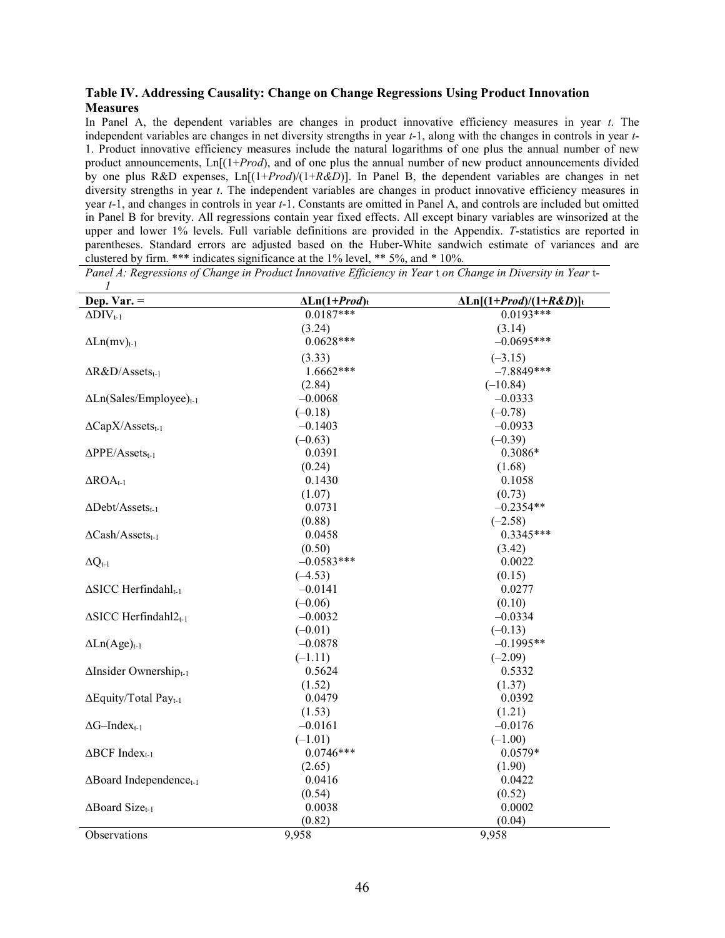#### Table IV. Addressing Causality: Change on Change Regressions Using Product Innovation **Measures**

In Panel A, the dependent variables are changes in product innovative efficiency measures in year  $t$ . The independent variables are changes in net diversity strengths in year t-1, along with the changes in controls in year t-1. Product innovative efficiency measures include the natural logarithms of one plus the annual number of new product announcements,  $\text{Ln}[(1+Prod)$ , and of one plus the annual number of new product announcements divided by one plus R&D expenses,  $\text{Ln}[(1+Prod)/(1+R&D)]$ . In Panel B, the dependent variables are changes in net diversity strengths in year t. The independent variables are changes in product innovative efficiency measures in year t-1, and changes in controls in year t-1. Constants are omitted in Panel A, and controls are included but omitted in Panel B for brevity. All regressions contain year fixed effects. All except binary variables are winsorized at the upper and lower 1% levels. Full variable definitions are provided in the Appendix. T-statistics are reported in parentheses. Standard errors are adjusted based on the Huber-White sandwich estimate of variances and are clustered by firm. \*\*\* indicates significance at the 1% level, \*\* 5%, and \* 10%.

| Dep. Var. $=$                              | $\Delta$ Ln(1+Prod)t | $\Delta \text{Ln}[(1+Prod)/(1+R\&D)]_t$ |
|--------------------------------------------|----------------------|-----------------------------------------|
| $\Delta$ DIV <sub>t-1</sub>                | $0.0187***$          | $0.0193***$                             |
|                                            | (3.24)               | (3.14)                                  |
| $\Delta$ Ln(mv) <sub>t-1</sub>             | $0.0628***$          | $-0.0695***$                            |
|                                            | (3.33)               | $(-3.15)$                               |
| $\Delta R\&D/Assets_{t-1}$                 | $1.6662***$          | $-7.8849***$                            |
|                                            | (2.84)               | $(-10.84)$                              |
| $\Delta$ Ln(Sales/Employee) <sub>t-1</sub> | $-0.0068$            | $-0.0333$                               |
|                                            | $(-0.18)$            | $(-0.78)$                               |
| $\Delta \text{Cap} X/\text{Assets}_{t-1}$  | $-0.1403$            | $-0.0933$                               |
|                                            | $(-0.63)$            | $(-0.39)$                               |
| $\Delta$ PPE/Assets <sub>t-1</sub>         | 0.0391               | $0.3086*$                               |
|                                            | (0.24)               | (1.68)                                  |
| $\triangle ROA$ <sub>t-1</sub>             | 0.1430               | 0.1058                                  |
|                                            | (1.07)               | (0.73)                                  |
| $\Delta$ Debt/Assets <sub>t-1</sub>        | 0.0731               | $-0.2354**$                             |
|                                            | (0.88)               | $(-2.58)$                               |
| $\Delta$ Cash/Assets <sub>t-1</sub>        | 0.0458               | $0.3345***$                             |
|                                            | (0.50)               | (3.42)                                  |
| $\Delta Q_{t-1}$                           | $-0.0583***$         | 0.0022                                  |
|                                            | $(-4.53)$            | (0.15)                                  |
| $\Delta$ SICC Herfindahl <sub>t-1</sub>    | $-0.0141$            | 0.0277                                  |
|                                            | $(-0.06)$            | (0.10)                                  |
| $\Delta$ SICC Herfindahl $2_{t-1}$         | $-0.0032$            | $-0.0334$                               |
|                                            | $(-0.01)$            | $(-0.13)$                               |
| $\Delta$ Ln(Age) <sub>t-1</sub>            | $-0.0878$            | $-0.1995**$                             |
|                                            | $(-1.11)$            | $(-2.09)$                               |
| $\Delta$ Insider Ownershipt-1              | 0.5624               | 0.5332                                  |
|                                            | (1.52)               | (1.37)                                  |
| ΔEquity/Total Pay <sub>t-1</sub>           | 0.0479               | 0.0392                                  |
|                                            | (1.53)               | (1.21)                                  |
| $\Delta G$ –Index <sub>t-1</sub>           | $-0.0161$            | $-0.0176$                               |
|                                            | $(-1.01)$            | $(-1.00)$                               |
| $\triangle$ BCF Index <sub>t-1</sub>       | $0.0746***$          | $0.0579*$                               |
|                                            | (2.65)               | (1.90)                                  |
| $\Delta$ Board Independence <sub>t-1</sub> | 0.0416               | 0.0422                                  |
|                                            | (0.54)               | (0.52)                                  |
| $\triangle$ Board Size <sub>t-1</sub>      | 0.0038               | 0.0002                                  |
|                                            | (0.82)               | (0.04)                                  |
| Observations                               | 9,958                | 9,958                                   |

Panel A: Regressions of Change in Product Innovative Efficiency in Year t on Change in Diversity in Year t-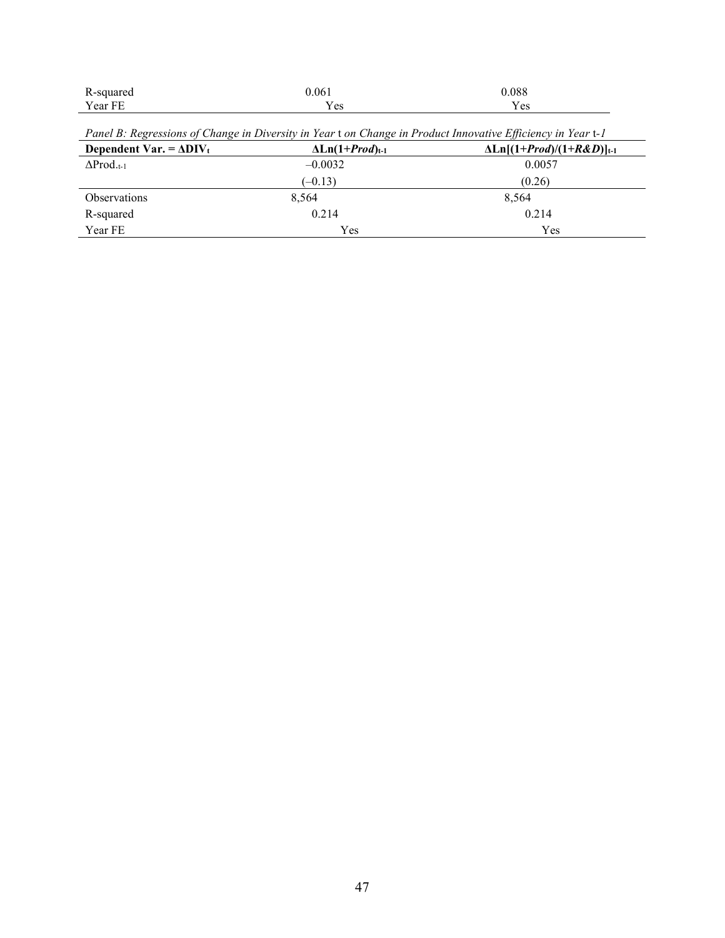| ,,,,,,,,<br>$\overline{\phantom{a}}$<br>$\overline{\phantom{a}}$ | .061                | 0.088         |  |
|------------------------------------------------------------------|---------------------|---------------|--|
| ear FF                                                           | $\alpha$<br>$100 -$ | $\alpha$<br>w |  |

Panel B: Regressions of Change in Diversity in Year t on Change in Product Innovative Efficiency in Year t-1

| Dependent Var. = $\Delta$ DIV <sub>t</sub> | $\Delta$ Ln(1+ <i>Prod</i> ) <sub>t-1</sub> | $\Delta \text{Ln}[(1+Prod)/(1+R\&D)]_{t-1}$ |
|--------------------------------------------|---------------------------------------------|---------------------------------------------|
| $\Delta \text{Prod.}_{t-1}$                | $-0.0032$                                   | 0.0057                                      |
|                                            | $(-0.13)$                                   | (0.26)                                      |
| <b>Observations</b>                        | 8.564                                       | 8,564                                       |
| R-squared                                  | 0.214                                       | 0.214                                       |
| Year FE                                    | Yes                                         | Yes                                         |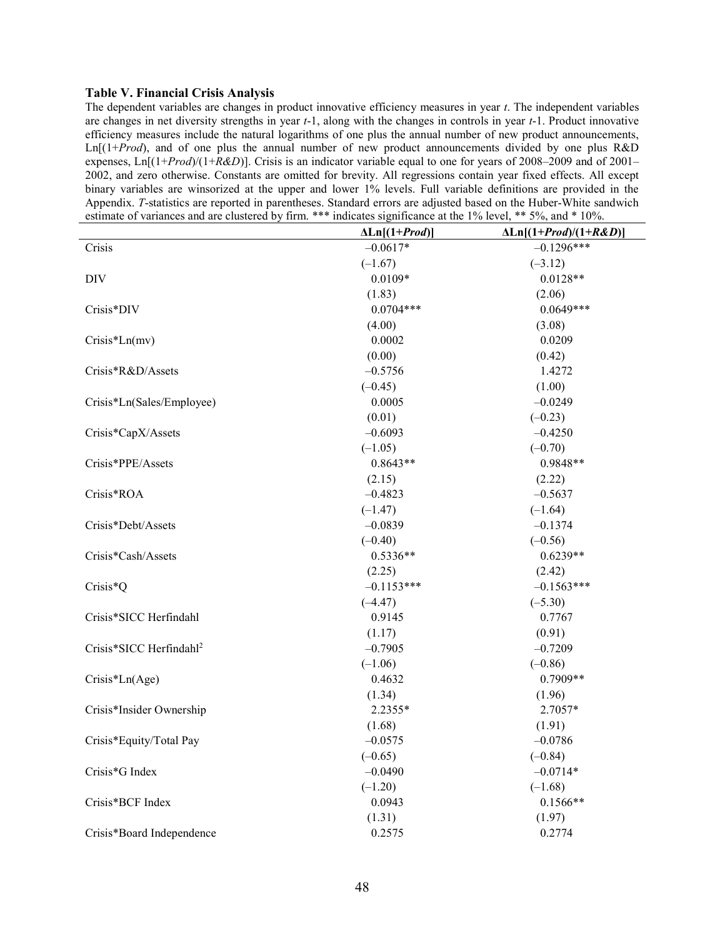#### Table V. Financial Crisis Analysis

The dependent variables are changes in product innovative efficiency measures in year t. The independent variables are changes in net diversity strengths in year t-1, along with the changes in controls in year t-1. Product innovative efficiency measures include the natural logarithms of one plus the annual number of new product announcements,  $\text{Ln}[1+Prod]$ , and of one plus the annual number of new product announcements divided by one plus R&D expenses,  $Ln[(1+Prod)/(1+R&D)]$ . Crisis is an indicator variable equal to one for years of 2008–2009 and of 2001– 2002, and zero otherwise. Constants are omitted for brevity. All regressions contain year fixed effects. All except binary variables are winsorized at the upper and lower 1% levels. Full variable definitions are provided in the Appendix. T-statistics are reported in parentheses. Standard errors are adjusted based on the Huber-White sandwich estimate of variances and are clustered by firm. \*\*\* indicates significance at the 1% level, \*\* 5%, and \* 10%.

|                                     | $\Delta$ Ln[(1+ <i>Prod</i> )] | $\Delta$ Ln[(1+ <i>Prod</i> )/(1+ <i>R&amp;D</i> )] |
|-------------------------------------|--------------------------------|-----------------------------------------------------|
| Crisis                              | $-0.0617*$                     | $-0.1296***$                                        |
|                                     | $(-1.67)$                      | $(-3.12)$                                           |
| <b>DIV</b>                          | $0.0109*$                      | $0.0128**$                                          |
|                                     | (1.83)                         | (2.06)                                              |
| Crisis*DIV                          | $0.0704***$                    | $0.0649***$                                         |
|                                     | (4.00)                         | (3.08)                                              |
| $Crisis*Ln(mv)$                     | 0.0002                         | 0.0209                                              |
|                                     | (0.00)                         | (0.42)                                              |
| Crisis*R&D/Assets                   | $-0.5756$                      | 1.4272                                              |
|                                     | $(-0.45)$                      | (1.00)                                              |
| Crisis*Ln(Sales/Employee)           | 0.0005                         | $-0.0249$                                           |
|                                     | (0.01)                         | $(-0.23)$                                           |
| Crisis*CapX/Assets                  | $-0.6093$                      | $-0.4250$                                           |
|                                     | $(-1.05)$                      | $(-0.70)$                                           |
| Crisis*PPE/Assets                   | $0.8643**$                     | $0.9848**$                                          |
|                                     | (2.15)                         | (2.22)                                              |
| Crisis*ROA                          | $-0.4823$                      | $-0.5637$                                           |
|                                     | $(-1.47)$                      | $(-1.64)$                                           |
| Crisis*Debt/Assets                  | $-0.0839$                      | $-0.1374$                                           |
|                                     | $(-0.40)$                      | $(-0.56)$                                           |
| Crisis*Cash/Assets                  | $0.5336**$                     | $0.6239**$                                          |
|                                     | (2.25)                         | (2.42)                                              |
| Crisis*Q                            | $-0.1153***$                   | $-0.1563***$                                        |
|                                     | $(-4.47)$                      | $(-5.30)$                                           |
| Crisis*SICC Herfindahl              | 0.9145                         | 0.7767                                              |
|                                     | (1.17)                         | (0.91)                                              |
| Crisis*SICC Herfindahl <sup>2</sup> | $-0.7905$                      | $-0.7209$                                           |
|                                     | $(-1.06)$                      | $(-0.86)$                                           |
| $Crisis*Ln(Age)$                    | 0.4632                         | $0.7909**$                                          |
|                                     | (1.34)                         | (1.96)                                              |
| Crisis*Insider Ownership            | 2.2355*                        | 2.7057*                                             |
|                                     | (1.68)                         | (1.91)                                              |
| Crisis*Equity/Total Pay             | $-0.0575$                      | $-0.0786$                                           |
|                                     | $(-0.65)$                      | $(-0.84)$                                           |
| Crisis*G Index                      | $-0.0490$                      | $-0.0714*$                                          |
|                                     | $(-1.20)$                      | $(-1.68)$                                           |
| Crisis*BCF Index                    | 0.0943                         | $0.1566**$                                          |
|                                     | (1.31)                         | (1.97)                                              |
| Crisis*Board Independence           | 0.2575                         | 0.2774                                              |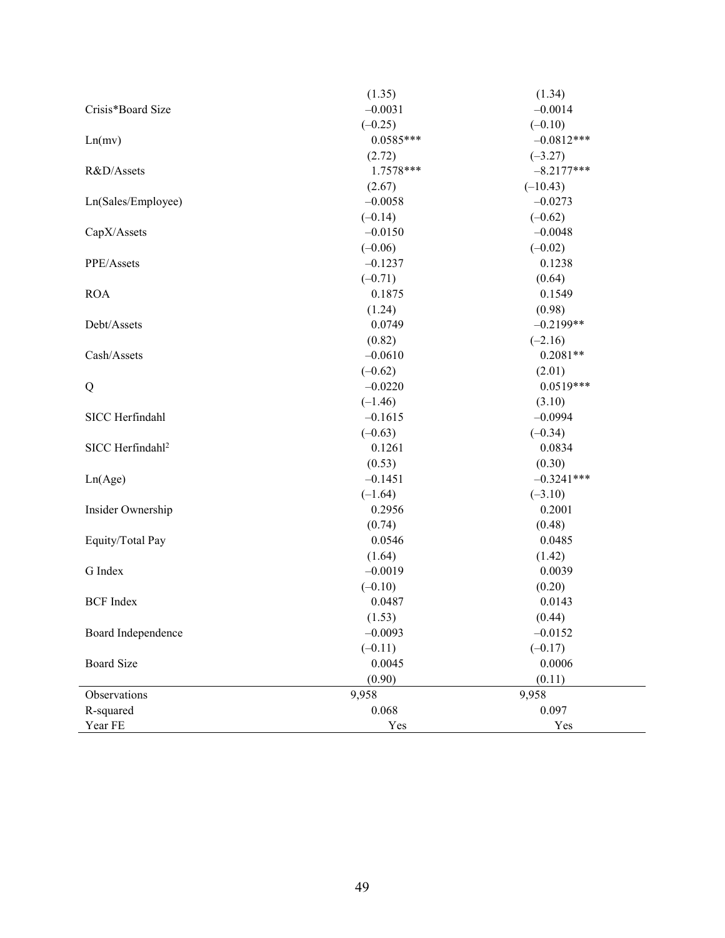|                              | (1.35)      | (1.34)       |
|------------------------------|-------------|--------------|
| Crisis*Board Size            | $-0.0031$   | $-0.0014$    |
|                              | $(-0.25)$   | $(-0.10)$    |
| Ln(mv)                       | $0.0585***$ | $-0.0812***$ |
|                              | (2.72)      | $(-3.27)$    |
| R&D/Assets                   | 1.7578***   | $-8.2177***$ |
|                              | (2.67)      | $(-10.43)$   |
| Ln(Sales/Employee)           | $-0.0058$   | $-0.0273$    |
|                              | $(-0.14)$   | $(-0.62)$    |
| CapX/Assets                  | $-0.0150$   | $-0.0048$    |
|                              | $(-0.06)$   | $(-0.02)$    |
| PPE/Assets                   | $-0.1237$   | 0.1238       |
|                              | $(-0.71)$   | (0.64)       |
| <b>ROA</b>                   | 0.1875      | 0.1549       |
|                              | (1.24)      | (0.98)       |
| Debt/Assets                  | 0.0749      | $-0.2199**$  |
|                              | (0.82)      | $(-2.16)$    |
| Cash/Assets                  | $-0.0610$   | $0.2081**$   |
|                              | $(-0.62)$   | (2.01)       |
| Q                            | $-0.0220$   | $0.0519***$  |
|                              | $(-1.46)$   | (3.10)       |
| SICC Herfindahl              | $-0.1615$   | $-0.0994$    |
|                              | $(-0.63)$   | $(-0.34)$    |
| SICC Herfindahl <sup>2</sup> | 0.1261      | 0.0834       |
|                              | (0.53)      | (0.30)       |
| Ln(Age)                      | $-0.1451$   | $-0.3241***$ |
|                              | $(-1.64)$   | $(-3.10)$    |
| Insider Ownership            | 0.2956      | 0.2001       |
|                              | (0.74)      | (0.48)       |
| Equity/Total Pay             | 0.0546      | 0.0485       |
|                              | (1.64)      | (1.42)       |
| G Index                      | $-0.0019$   | 0.0039       |
|                              | $(-0.10)$   | (0.20)       |
| <b>BCF</b> Index             | 0.0487      | 0.0143       |
|                              | (1.53)      | (0.44)       |
| Board Independence           | $-0.0093$   | $-0.0152$    |
|                              | $(-0.11)$   | $(-0.17)$    |
| <b>Board Size</b>            | 0.0045      | 0.0006       |
|                              | (0.90)      | (0.11)       |
| Observations                 | 9,958       | 9,958        |
| R-squared                    | 0.068       | 0.097        |
| Year FE                      | Yes         | Yes          |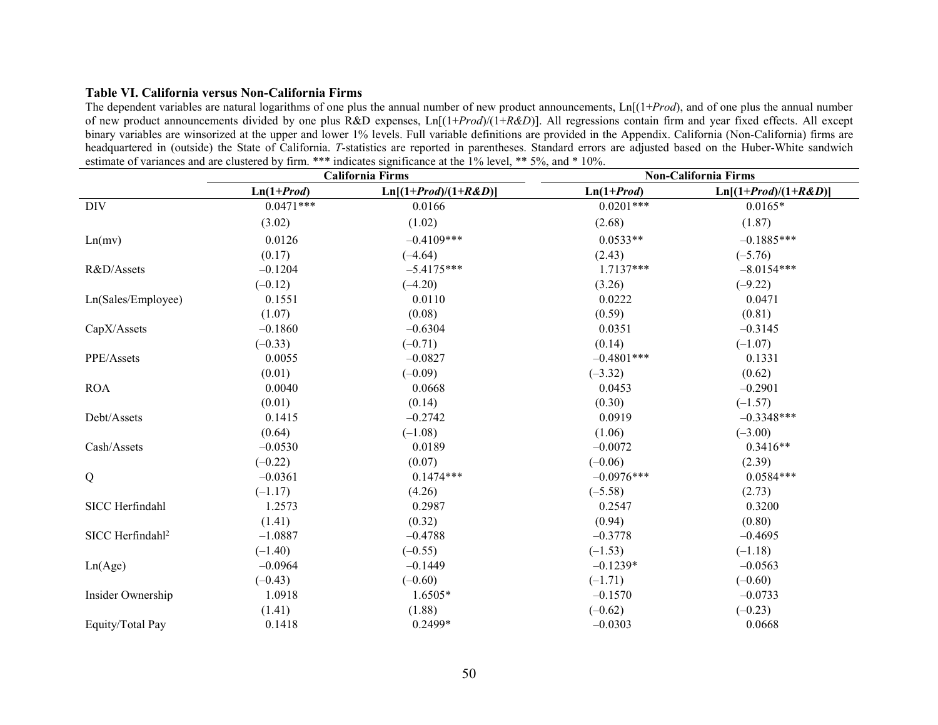#### Table VI. California versus Non-California Firms

The dependent variables are natural logarithms of one plus the annual number of new product announcements,  $\text{Ln}[(1+Prod)$ , and of one plus the annual number of new product announcements divided by one plus R&D expenses,  $Ln[(1+Prod)/(1+R&D)]$ . All regressions contain firm and year fixed effects. All except binary variables are winsorized at the upper and lower 1% levels. Full variable definitions are provided in the Appendix. California (Non-California) firms are headquartered in (outside) the State of California. T-statistics are reported in parentheses. Standard errors are adjusted based on the Huber-White sandwich estimate of variances and are clustered by firm. \*\*\* indicates significance at the 1% level, \*\* 5%, and \* 10%.

|                              |              | <b>California Firms</b><br><b>Non-California Firms</b> |              |                        |
|------------------------------|--------------|--------------------------------------------------------|--------------|------------------------|
|                              | $Ln(1+Prod)$ | $Ln[(1+Prod)/(1+R&D)]$                                 | $Ln(1+Prod)$ | $Ln[(1+Prod)/(1+R&D)]$ |
| <b>DIV</b>                   | $0.0471***$  | 0.0166                                                 | $0.0201***$  | $0.0165*$              |
|                              | (3.02)       | (1.02)                                                 | (2.68)       | (1.87)                 |
| Ln(mv)                       | 0.0126       | $-0.4109***$                                           | $0.0533**$   | $-0.1885***$           |
|                              | (0.17)       | $(-4.64)$                                              | (2.43)       | $(-5.76)$              |
| R&D/Assets                   | $-0.1204$    | $-5.4175***$                                           | $1.7137***$  | $-8.0154***$           |
|                              | $(-0.12)$    | $(-4.20)$                                              | (3.26)       | $(-9.22)$              |
| Ln(Sales/Employee)           | 0.1551       | 0.0110                                                 | 0.0222       | 0.0471                 |
|                              | (1.07)       | (0.08)                                                 | (0.59)       | (0.81)                 |
| CapX/Assets                  | $-0.1860$    | $-0.6304$                                              | 0.0351       | $-0.3145$              |
|                              | $(-0.33)$    | $(-0.71)$                                              | (0.14)       | $(-1.07)$              |
| PPE/Assets                   | 0.0055       | $-0.0827$                                              | $-0.4801***$ | 0.1331                 |
|                              | (0.01)       | $(-0.09)$                                              | $(-3.32)$    | (0.62)                 |
| <b>ROA</b>                   | 0.0040       | 0.0668                                                 | 0.0453       | $-0.2901$              |
|                              | (0.01)       | (0.14)                                                 | (0.30)       | $(-1.57)$              |
| Debt/Assets                  | 0.1415       | $-0.2742$                                              | 0.0919       | $-0.3348***$           |
|                              | (0.64)       | $(-1.08)$                                              | (1.06)       | $(-3.00)$              |
| Cash/Assets                  | $-0.0530$    | 0.0189                                                 | $-0.0072$    | $0.3416**$             |
|                              | $(-0.22)$    | (0.07)                                                 | $(-0.06)$    | (2.39)                 |
| Q                            | $-0.0361$    | $0.1474***$                                            | $-0.0976***$ | $0.0584***$            |
|                              | $(-1.17)$    | (4.26)                                                 | $(-5.58)$    | (2.73)                 |
| SICC Herfindahl              | 1.2573       | 0.2987                                                 | 0.2547       | 0.3200                 |
|                              | (1.41)       | (0.32)                                                 | (0.94)       | (0.80)                 |
| SICC Herfindahl <sup>2</sup> | $-1.0887$    | $-0.4788$                                              | $-0.3778$    | $-0.4695$              |
|                              | $(-1.40)$    | $(-0.55)$                                              | $(-1.53)$    | $(-1.18)$              |
| Ln(Age)                      | $-0.0964$    | $-0.1449$                                              | $-0.1239*$   | $-0.0563$              |
|                              | $(-0.43)$    | $(-0.60)$                                              | $(-1.71)$    | $(-0.60)$              |
| Insider Ownership            | 1.0918       | $1.6505*$                                              | $-0.1570$    | $-0.0733$              |
|                              | (1.41)       | (1.88)                                                 | $(-0.62)$    | $(-0.23)$              |
| Equity/Total Pay             | 0.1418       | 0.2499*                                                | $-0.0303$    | 0.0668                 |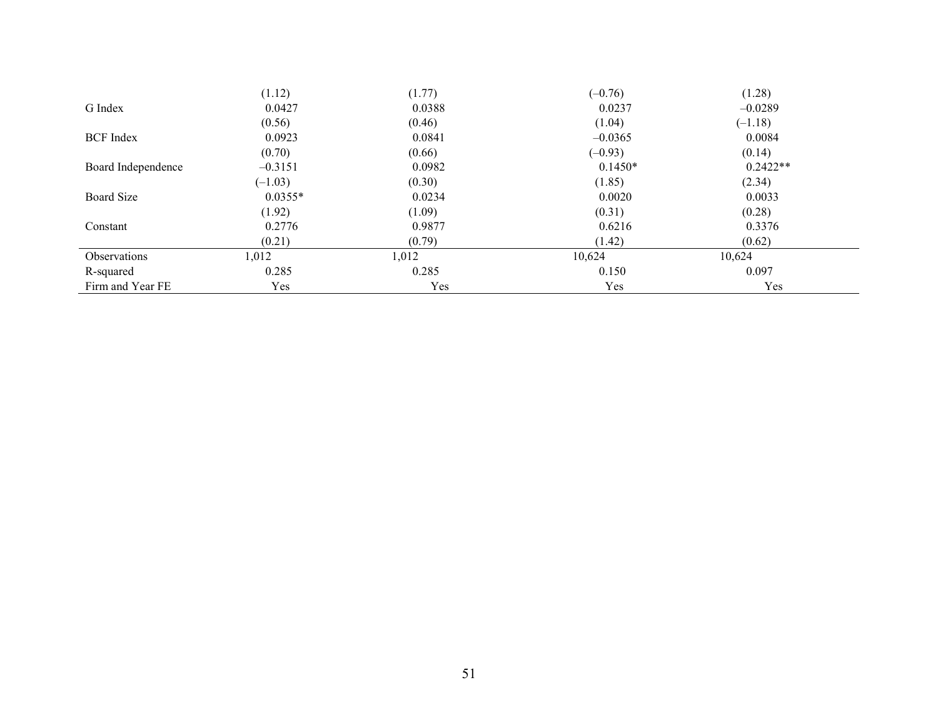|                     | (1.12)    | (1.77) | $(-0.76)$ | (1.28)     |  |
|---------------------|-----------|--------|-----------|------------|--|
| G Index             | 0.0427    | 0.0388 | 0.0237    | $-0.0289$  |  |
|                     | (0.56)    | (0.46) | (1.04)    | $(-1.18)$  |  |
| <b>BCF</b> Index    | 0.0923    | 0.0841 | $-0.0365$ | 0.0084     |  |
|                     | (0.70)    | (0.66) | $(-0.93)$ | (0.14)     |  |
| Board Independence  | $-0.3151$ | 0.0982 | $0.1450*$ | $0.2422**$ |  |
|                     | $(-1.03)$ | (0.30) | (1.85)    | (2.34)     |  |
| Board Size          | $0.0355*$ | 0.0234 | 0.0020    | 0.0033     |  |
|                     | (1.92)    | (1.09) | (0.31)    | (0.28)     |  |
| Constant            | 0.2776    | 0.9877 | 0.6216    | 0.3376     |  |
|                     | (0.21)    | (0.79) | (1.42)    | (0.62)     |  |
| <b>Observations</b> | 1,012     | 1,012  | 10,624    | 10,624     |  |
| R-squared           | 0.285     | 0.285  | 0.150     | 0.097      |  |
| Firm and Year FE    | Yes       | Yes    | Yes       | Yes        |  |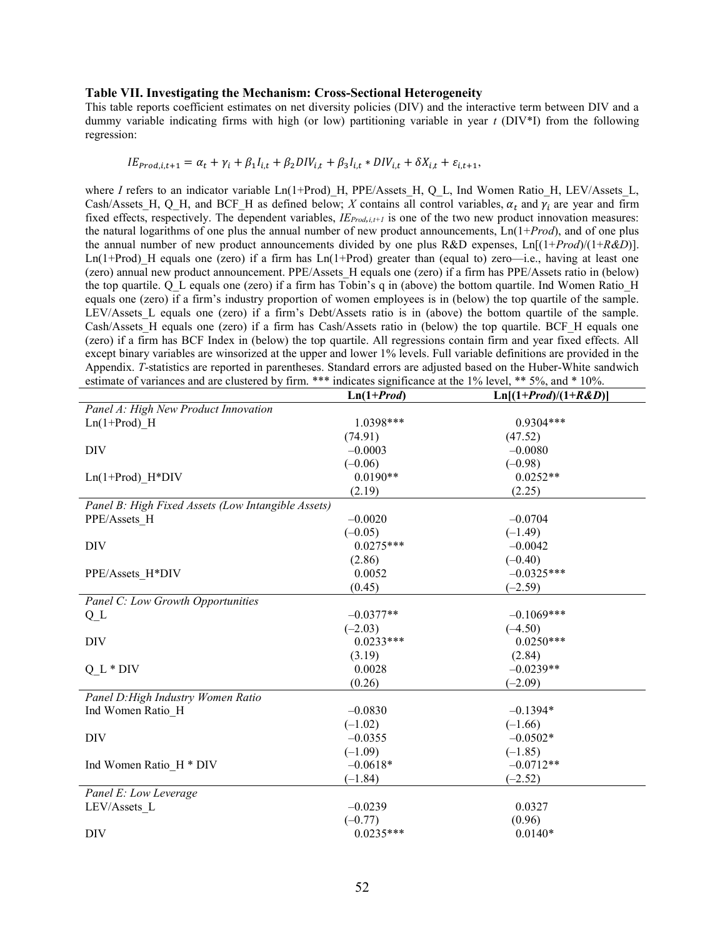#### Table VII. Investigating the Mechanism: Cross-Sectional Heterogeneity

This table reports coefficient estimates on net diversity policies (DIV) and the interactive term between DIV and a dummy variable indicating firms with high (or low) partitioning variable in year  $t$  (DIV\*I) from the following regression:

#### $IE_{prod,i,t+1} = \alpha_t + \gamma_i + \beta_1 I_{i,t} + \beta_2 DIV_{i,t} + \beta_3 I_{i,t} * DIV_{i,t} + \delta X_{i,t} + \varepsilon_{i,t+1},$

where I refers to an indicator variable Ln(1+Prod) H, PPE/Assets H, Q L, Ind Women Ratio H, LEV/Assets L, Cash/Assets\_H, Q\_H, and BCF\_H as defined below; X contains all control variables,  $\alpha_t$  and  $\gamma_i$  are year and firm fixed effects, respectively. The dependent variables,  $IE_{Prod,i,i+1}$  is one of the two new product innovation measures: the natural logarithms of one plus the annual number of new product announcements,  $\text{Ln}(1+Prod)$ , and of one plus the annual number of new product announcements divided by one plus R&D expenses,  $\text{Ln}[(1+Prod)/(1+R&D)]$ . Ln(1+Prod) H equals one (zero) if a firm has Ln(1+Prod) greater than (equal to) zero—i.e., having at least one (zero) annual new product announcement. PPE/Assets\_H equals one (zero) if a firm has PPE/Assets ratio in (below) the top quartile. Q\_L equals one (zero) if a firm has Tobin's q in (above) the bottom quartile. Ind Women Ratio\_H equals one (zero) if a firm's industry proportion of women employees is in (below) the top quartile of the sample. LEV/Assets L equals one (zero) if a firm's Debt/Assets ratio is in (above) the bottom quartile of the sample. Cash/Assets H equals one (zero) if a firm has Cash/Assets ratio in (below) the top quartile. BCF H equals one (zero) if a firm has BCF Index in (below) the top quartile. All regressions contain firm and year fixed effects. All except binary variables are winsorized at the upper and lower 1% levels. Full variable definitions are provided in the Appendix. T-statistics are reported in parentheses. Standard errors are adjusted based on the Huber-White sandwich estimate of variances and are clustered by firm. \*\*\* indicates significance at the 1% level, \*\* 5%, and \* 10%.

|                                                    | $Ln(1+Prod)$ | $Ln[(1+Prod)/(1+R\&D)]$ |  |
|----------------------------------------------------|--------------|-------------------------|--|
| Panel A: High New Product Innovation               |              |                         |  |
| $Ln(1+Prod)$ H                                     | 1.0398***    | $0.9304***$             |  |
|                                                    | (74.91)      | (47.52)                 |  |
| <b>DIV</b>                                         | $-0.0003$    | $-0.0080$               |  |
|                                                    | $(-0.06)$    | $(-0.98)$               |  |
| $Ln(1+Prod)$ $H*DIV$                               | $0.0190**$   | $0.0252**$              |  |
|                                                    | (2.19)       | (2.25)                  |  |
| Panel B: High Fixed Assets (Low Intangible Assets) |              |                         |  |
| PPE/Assets H                                       | $-0.0020$    | $-0.0704$               |  |
|                                                    | $(-0.05)$    | $(-1.49)$               |  |
| DIV                                                | $0.0275***$  | $-0.0042$               |  |
|                                                    | (2.86)       | $(-0.40)$               |  |
| PPE/Assets H*DIV                                   | 0.0052       | $-0.0325***$            |  |
|                                                    | (0.45)       | $(-2.59)$               |  |
| Panel C: Low Growth Opportunities                  |              |                         |  |
| Q <sub>L</sub>                                     | $-0.0377**$  | $-0.1069$ ***           |  |
|                                                    | $(-2.03)$    | $(-4.50)$               |  |
| DIV                                                | $0.0233***$  | $0.0250***$             |  |
|                                                    | (3.19)       | (2.84)                  |  |
| $Q L * DIV$                                        | 0.0028       | $-0.0239**$             |  |
|                                                    | (0.26)       | $(-2.09)$               |  |
| Panel D: High Industry Women Ratio                 |              |                         |  |
| Ind Women Ratio_H                                  | $-0.0830$    | $-0.1394*$              |  |
|                                                    | $(-1.02)$    | $(-1.66)$               |  |
| <b>DIV</b>                                         | $-0.0355$    | $-0.0502*$              |  |
|                                                    | $(-1.09)$    | $(-1.85)$               |  |
| Ind Women Ratio H * DIV                            | $-0.0618*$   | $-0.0712**$             |  |
|                                                    | $(-1.84)$    | $(-2.52)$               |  |
| Panel E: Low Leverage                              |              |                         |  |
| LEV/Assets L                                       | $-0.0239$    | 0.0327                  |  |
|                                                    | $(-0.77)$    | (0.96)                  |  |
| DIV                                                | $0.0235***$  | $0.0140*$               |  |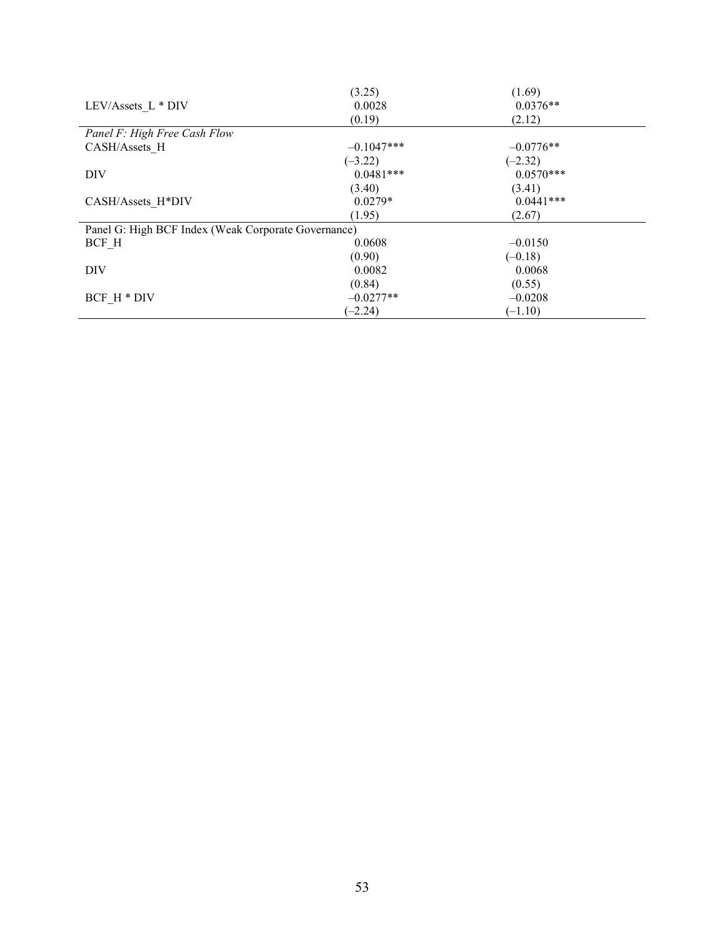|                                                     | (3.25)       | (1.69)      |  |
|-----------------------------------------------------|--------------|-------------|--|
| LEV/Assets L * DIV                                  | 0.0028       | $0.0376**$  |  |
|                                                     | (0.19)       | (2.12)      |  |
| Panel F: High Free Cash Flow                        |              |             |  |
| CASH/Assets H                                       | $-0.1047***$ | $-0.0776**$ |  |
|                                                     | $(-3.22)$    | $(-2.32)$   |  |
| DIV                                                 | $0.0481***$  | $0.0570***$ |  |
|                                                     | (3.40)       | (3.41)      |  |
| CASH/Assets H*DIV                                   | $0.0279*$    | $0.0441***$ |  |
|                                                     | (1.95)       | (2.67)      |  |
| Panel G: High BCF Index (Weak Corporate Governance) |              |             |  |
| BCF H                                               | 0.0608       | $-0.0150$   |  |
|                                                     | (0.90)       | $(-0.18)$   |  |
| DIV                                                 | 0.0082       | 0.0068      |  |
|                                                     | (0.84)       | (0.55)      |  |
| BCF H * DIV                                         | $-0.0277**$  | $-0.0208$   |  |
|                                                     | $(-2.24)$    | $(-1.10)$   |  |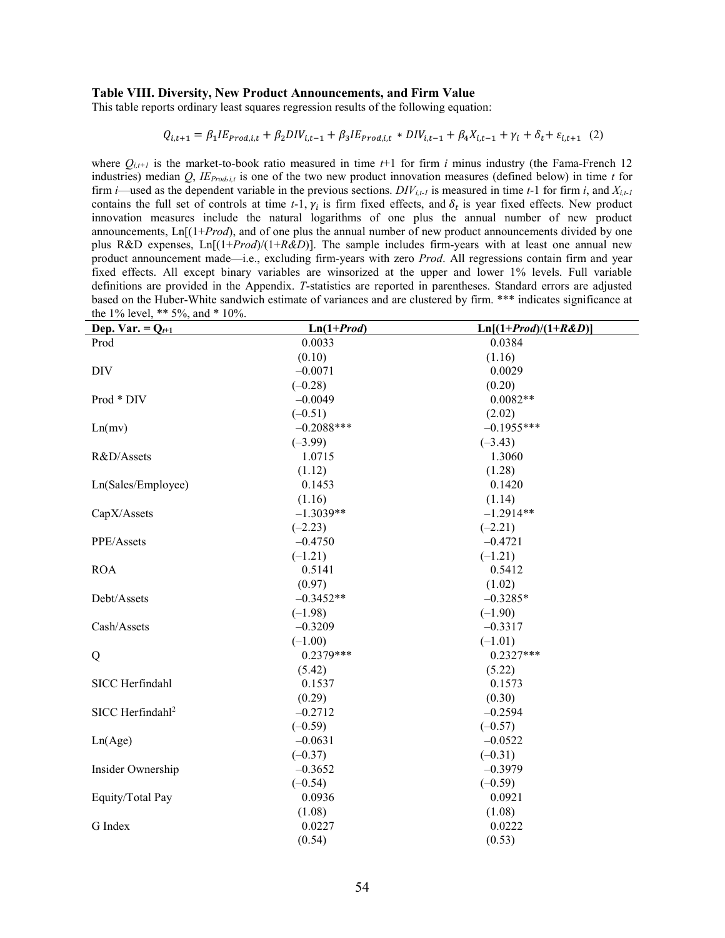#### Table VIII. Diversity, New Product Announcements, and Firm Value

This table reports ordinary least squares regression results of the following equation:

$$
Q_{i,t+1} = \beta_1 I E_{prod,i,t} + \beta_2 DIV_{i,t-1} + \beta_3 I E_{prod,i,t} * DIV_{i,t-1} + \beta_4 X_{i,t-1} + \gamma_i + \delta_t + \varepsilon_{i,t+1} (2)
$$

where  $Q_{i,t+1}$  is the market-to-book ratio measured in time  $t+1$  for firm i minus industry (the Fama-French 12 industries) median Q,  $IE_{prod,i}$  is one of the two new product innovation measures (defined below) in time t for firm *i*—used as the dependent variable in the previous sections.  $DIV_{i,t-1}$  is measured in time t-1 for firm i, and  $X_{i,t-1}$ contains the full set of controls at time  $t-1$ ,  $\gamma_i$  is firm fixed effects, and  $\delta_t$  is year fixed effects. New product innovation measures include the natural logarithms of one plus the annual number of new product announcements,  $\text{Ln}[(1+Prod)$ , and of one plus the annual number of new product announcements divided by one plus R&D expenses,  $\text{Ln}[(1+Prod)/(1+R\&D)]$ . The sample includes firm-years with at least one annual new product announcement made—i.e., excluding firm-years with zero *Prod*. All regressions contain firm and year fixed effects. All except binary variables are winsorized at the upper and lower 1% levels. Full variable definitions are provided in the Appendix. T-statistics are reported in parentheses. Standard errors are adjusted based on the Huber-White sandwich estimate of variances and are clustered by firm. \*\*\* indicates significance at the 1% level, \*\* 5%, and \* 10%.

| Dep. Var. = $Q_{t+1}$        | $Ln(1+Prod)$ | $Ln[(1+Prod)/(1+R\&D)]$ |
|------------------------------|--------------|-------------------------|
| Prod                         | 0.0033       | 0.0384                  |
|                              | (0.10)       | (1.16)                  |
| <b>DIV</b>                   | $-0.0071$    | 0.0029                  |
|                              | $(-0.28)$    | (0.20)                  |
| Prod * DIV                   | $-0.0049$    | $0.0082**$              |
|                              | $(-0.51)$    | (2.02)                  |
| Ln(mv)                       | $-0.2088***$ | $-0.1955***$            |
|                              | $(-3.99)$    | $(-3.43)$               |
| R&D/Assets                   | 1.0715       | 1.3060                  |
|                              | (1.12)       | (1.28)                  |
| Ln(Sales/Employee)           | 0.1453       | 0.1420                  |
|                              | (1.16)       | (1.14)                  |
| CapX/Assets                  | $-1.3039**$  | $-1.2914**$             |
|                              | $(-2.23)$    | $(-2.21)$               |
| PPE/Assets                   | $-0.4750$    | $-0.4721$               |
|                              | $(-1.21)$    | $(-1.21)$               |
| <b>ROA</b>                   | 0.5141       | 0.5412                  |
|                              | (0.97)       | (1.02)                  |
| Debt/Assets                  | $-0.3452**$  | $-0.3285*$              |
|                              | $(-1.98)$    | $(-1.90)$               |
| Cash/Assets                  | $-0.3209$    | $-0.3317$               |
|                              | $(-1.00)$    | $(-1.01)$               |
| Q                            | $0.2379***$  | $0.2327***$             |
|                              | (5.42)       | (5.22)                  |
| SICC Herfindahl              | 0.1537       | 0.1573                  |
|                              | (0.29)       | (0.30)                  |
| SICC Herfindahl <sup>2</sup> | $-0.2712$    | $-0.2594$               |
|                              | $(-0.59)$    | $(-0.57)$               |
| Ln(Age)                      | $-0.0631$    | $-0.0522$               |
|                              | $(-0.37)$    | $(-0.31)$               |
| Insider Ownership            | $-0.3652$    | $-0.3979$               |
|                              | $(-0.54)$    | $(-0.59)$               |
| Equity/Total Pay             | 0.0936       | 0.0921                  |
|                              | (1.08)       | (1.08)                  |
| G Index                      | 0.0227       | 0.0222                  |
|                              | (0.54)       | (0.53)                  |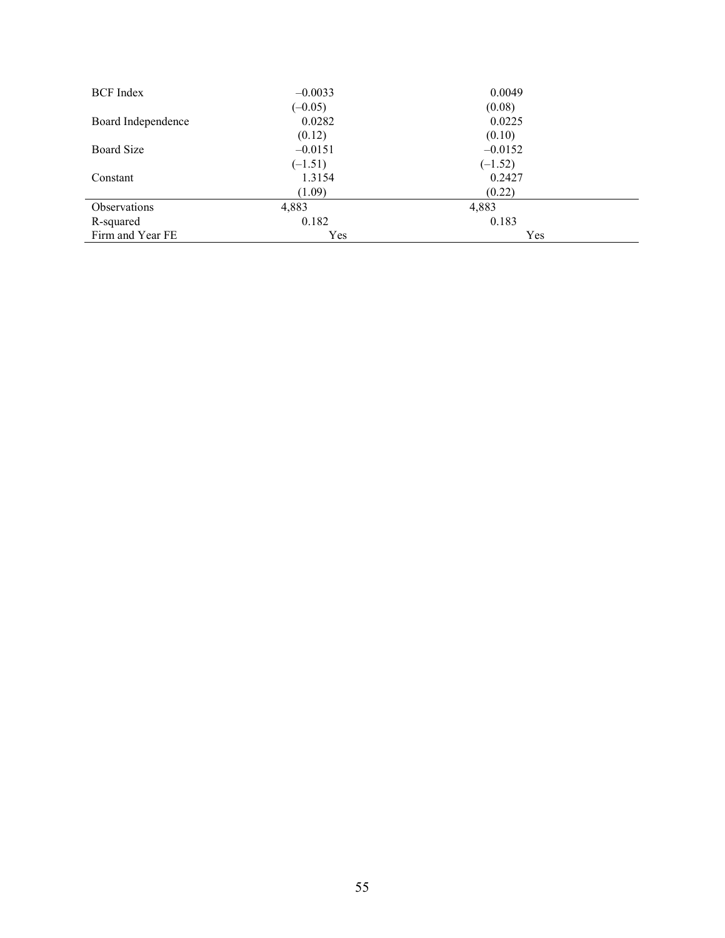| <b>BCF</b> Index    | $-0.0033$ | 0.0049    |
|---------------------|-----------|-----------|
|                     | $(-0.05)$ | (0.08)    |
| Board Independence  | 0.0282    | 0.0225    |
|                     | (0.12)    | (0.10)    |
| Board Size          | $-0.0151$ | $-0.0152$ |
|                     | $(-1.51)$ | $(-1.52)$ |
| Constant            | 1.3154    | 0.2427    |
|                     | (1.09)    | (0.22)    |
| <b>Observations</b> | 4,883     | 4,883     |
| R-squared           | 0.182     | 0.183     |
| Firm and Year FE    | Yes       | Yes       |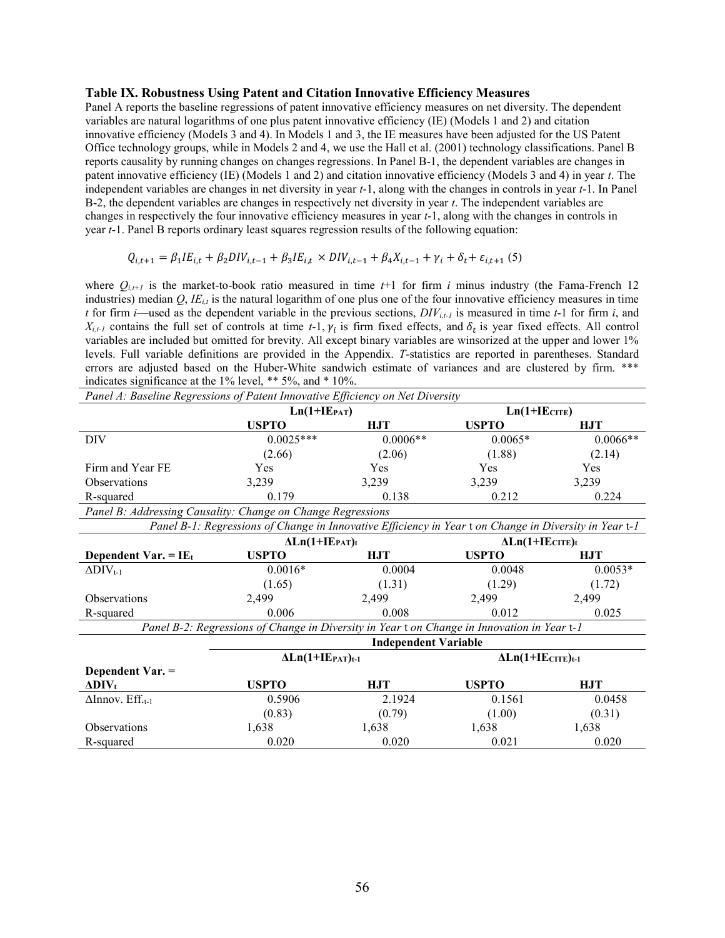#### Table IX. Robustness Using Patent and Citation Innovative Efficiency Measures

Panel A reports the baseline regressions of patent innovative efficiency measures on net diversity. The dependent variables are natural logarithms of one plus patent innovative efficiency (IE) (Models 1 and 2) and citation innovative efficiency (Models 3 and 4). In Models 1 and 3, the IE measures have been adjusted for the US Patent Office technology groups, while in Models 2 and 4, we use the Hall et al. (2001) technology classifications. Panel B reports causality by running changes on changes regressions. In Panel B-1, the dependent variables are changes in patent innovative efficiency (IE) (Models 1 and 2) and citation innovative efficiency (Models 3 and 4) in year t. The independent variables are changes in net diversity in year t-1, along with the changes in controls in year t-1. In Panel B-2, the dependent variables are changes in respectively net diversity in year  $t$ . The independent variables are changes in respectively the four innovative efficiency measures in year t-1, along with the changes in controls in year t-1. Panel B reports ordinary least squares regression results of the following equation:

$$
Q_{i,t+1} = \beta_1 I E_{i,t} + \beta_2 D IV_{i,t-1} + \beta_3 I E_{i,t} \times DIV_{i,t-1} + \beta_4 X_{i,t-1} + \gamma_i + \delta_t + \varepsilon_{i,t+1} (5)
$$

where  $Q_{i,t+1}$  is the market-to-book ratio measured in time  $t+1$  for firm i minus industry (the Fama-French 12 industries) median  $Q, IE_{i,t}$  is the natural logarithm of one plus one of the four innovative efficiency measures in time t for firm i—used as the dependent variable in the previous sections,  $DIV_{i,t-1}$  is measured in time t-1 for firm i, and  $X_{i,t-1}$  contains the full set of controls at time t-1,  $\gamma_i$  is firm fixed effects, and  $\delta_t$  is year fixed effects. All control variables are included but omitted for brevity. All except binary variables are winsorized at the upper and lower 1% levels. Full variable definitions are provided in the Appendix. T-statistics are reported in parentheses. Standard errors are adjusted based on the Huber-White sandwich estimate of variances and are clustered by firm. \*\*\* indicates significance at the 1% level, \*\* 5%, and \* 10%.

| Panel A: Baseline Regressions of Patent Innovative Efficiency on Net Diversity |                                                                                                        |            |                                      |            |  |  |
|--------------------------------------------------------------------------------|--------------------------------------------------------------------------------------------------------|------------|--------------------------------------|------------|--|--|
|                                                                                | $Ln(1+IEPATH)$                                                                                         |            | $Ln(1+IECITE)$                       |            |  |  |
|                                                                                | <b>USPTO</b>                                                                                           | <b>HJT</b> | <b>USPTO</b>                         | <b>HJT</b> |  |  |
| <b>DIV</b>                                                                     | $0.0025***$                                                                                            | $0.0006**$ | $0.0065*$                            | $0.0066**$ |  |  |
|                                                                                | (2.66)                                                                                                 | (2.06)     | (1.88)                               | (2.14)     |  |  |
| Firm and Year FE                                                               | <b>Yes</b>                                                                                             | Yes        | Yes                                  | Yes        |  |  |
| <b>Observations</b>                                                            | 3,239                                                                                                  | 3,239      | 3,239                                | 3,239      |  |  |
| R-squared                                                                      | 0.179                                                                                                  | 0.138      | 0.212                                | 0.224      |  |  |
| Panel B: Addressing Causality: Change on Change Regressions                    |                                                                                                        |            |                                      |            |  |  |
|                                                                                | Panel B-1: Regressions of Change in Innovative Efficiency in Year t on Change in Diversity in Year t-1 |            |                                      |            |  |  |
|                                                                                | $\Delta$ Ln(1+IE <sub>PAT</sub> )t                                                                     |            | $\Delta$ Ln(1+IE $_{\text{CTTE}}$ )t |            |  |  |
| Dependent Var. = $IE_t$                                                        | <b>USPTO</b>                                                                                           | <b>HJT</b> | <b>USPTO</b>                         | <b>HJT</b> |  |  |
| $\Delta$ DIV <sub>t-1</sub>                                                    | $0.0016*$                                                                                              | 0.0004     | 0.0048                               | $0.0053*$  |  |  |
|                                                                                | (1.65)                                                                                                 | (1.31)     | (1.29)                               | (1.72)     |  |  |
| <b>Observations</b>                                                            | 2,499                                                                                                  | 2,499      | 2,499                                | 2,499      |  |  |
| R-squared                                                                      | 0.006                                                                                                  | 0.008      | 0.012                                | 0.025      |  |  |
|                                                                                | Panel B-2: Regressions of Change in Diversity in Year t on Change in Innovation in Year t-1            |            |                                      |            |  |  |
|                                                                                | <b>Independent Variable</b>                                                                            |            |                                      |            |  |  |
|                                                                                | $\Delta$ Ln(1+IEPAT)t-1                                                                                |            | $\Delta$ Ln(1+IE $_{CITE}$ )t-1      |            |  |  |
| Dependent Var. =                                                               |                                                                                                        |            |                                      |            |  |  |
| $\Delta$ DIV <sub>t</sub>                                                      | <b>USPTO</b>                                                                                           | <b>HJT</b> | <b>USPTO</b>                         | <b>HJT</b> |  |  |
| $\Delta$ Innov. Eff. <sub>t-1</sub>                                            | 0.5906                                                                                                 | 2.1924     | 0.1561                               | 0.0458     |  |  |
|                                                                                | (0.83)                                                                                                 | (0.79)     | (1.00)                               | (0.31)     |  |  |
| <b>Observations</b>                                                            | 1,638                                                                                                  | 1,638      | 1,638                                | 1,638      |  |  |
| R-squared                                                                      | 0.020                                                                                                  | 0.020      | 0.021                                | 0.020      |  |  |